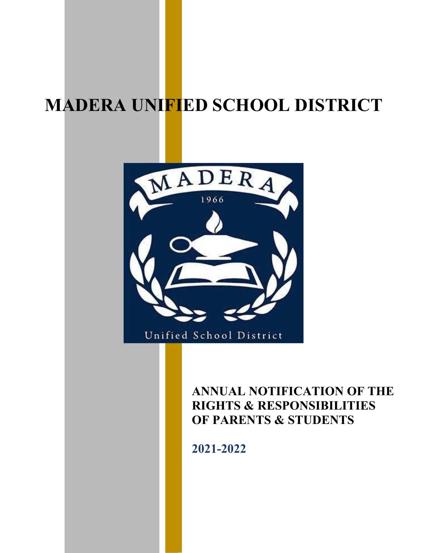# **MADERA UNIFIED SCHOOL DISTRICT**



## **ANNUAL NOTIFICATION OF THE RIGHTS & RESPONSIBILITIES OF PARENTS & STUDENTS**

**2021-2022**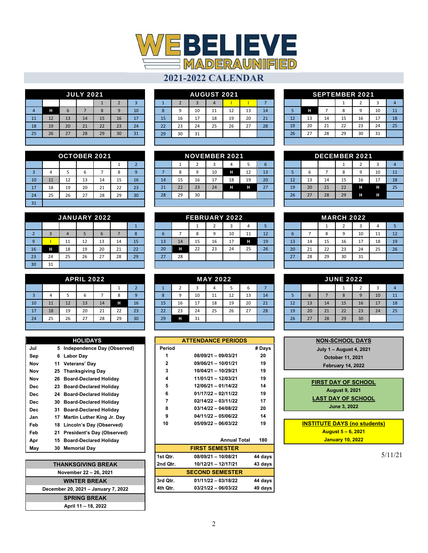

| <b>JULY 2021</b> |                     |    |    |    |    |    |  |  |  |
|------------------|---------------------|----|----|----|----|----|--|--|--|
|                  | $\overline{2}$<br>3 |    |    |    |    |    |  |  |  |
|                  | н                   | 6  |    | 8  | 9  | 10 |  |  |  |
| 11               | 12                  | 13 | 14 | 15 | 16 | 17 |  |  |  |
| 18               | 19                  | 20 | 21 | 22 | 23 | 24 |  |  |  |
| 25               | 26                  | 27 | 28 | 29 | 30 | 31 |  |  |  |
|                  |                     |    |    |    |    |    |  |  |  |

| OCTOBER 2021   |    |    |    |    |    |                |  |  |  |
|----------------|----|----|----|----|----|----------------|--|--|--|
|                |    |    |    |    |    | $\overline{2}$ |  |  |  |
| $\overline{3}$ | 4  | 5  | 6  |    | 8  | 9              |  |  |  |
| 10             | 11 | 12 | 13 | 14 | 15 | 16             |  |  |  |
| 17             | 18 | 19 | 20 | 21 | 22 | 23             |  |  |  |
| 24             | 25 | 26 | 27 | 28 | 29 | 30             |  |  |  |
| 31             |    |    |    |    |    |                |  |  |  |

| JANUARY 2022   |                |    |    |    |    |    |  |  |  |
|----------------|----------------|----|----|----|----|----|--|--|--|
|                |                |    |    |    |    |    |  |  |  |
| $\overline{2}$ | $\overline{3}$ |    |    | 6  |    | 8  |  |  |  |
| 9              |                | 11 | 12 | 13 | 14 | 15 |  |  |  |
| 16             | н              | 18 | 19 | 20 | 21 | 22 |  |  |  |
| 23             | 24             | 25 | 26 | 27 | 28 | 29 |  |  |  |
| 30             | 31             |    |    |    |    |    |  |  |  |

| APRIL 2022     |    |    |    |    |    |                |  |  |  |
|----------------|----|----|----|----|----|----------------|--|--|--|
|                |    |    |    |    | 1  | $\overline{2}$ |  |  |  |
| $\overline{3}$ | 4  | 5  | 6  |    | 8  | -9             |  |  |  |
| 10             | 11 | 12 | 13 | 14 | н  | 16             |  |  |  |
| 17             | 18 | 19 | 20 | 21 | 22 | 23             |  |  |  |
| 24             | 25 | 26 | 27 | 28 | 29 | 30             |  |  |  |

|     |    | <b>HOLIDAYS</b>               |
|-----|----|-------------------------------|
| Jul | 5  | Independence Day (Observed)   |
| Sep | 6. | Labor Day                     |
| Nov | 11 | <b>Veterans' Day</b>          |
| Nov |    | 25 Thanksgiving Day           |
| Nov | 26 | <b>Board-Declared Holiday</b> |
| Dec | 23 | <b>Board-Declared Holiday</b> |
| Dec | 24 | <b>Board-Declared Holiday</b> |
| Dec | 30 | <b>Board-Declared Holiday</b> |
| Dec | 31 | <b>Board-Declared Holiday</b> |
| Jan | 17 | Martin Luther King Jr. Day    |
| Feb | 18 | Lincoln's Day (Observed)      |
| Feb | 21 | President's Day (Observed)    |
| Apr | 15 | <b>Board-Declared Holiday</b> |
| May | 30 | <b>Memorial Day</b>           |

| <b>THANKSGIVING BREAK</b>           |
|-------------------------------------|
| November 22 - 26, 2021              |
| <b>WINTER BREAK</b>                 |
| December 20, 2021 - January 7, 2022 |
| <b>SPRING BREAK</b>                 |
| April 11 - 18, 2022                 |

| AUGUST 2021 |                |                |    |    |    |    |  |  |  |
|-------------|----------------|----------------|----|----|----|----|--|--|--|
|             | $\overline{2}$ | $\overline{3}$ |    |    |    |    |  |  |  |
| 8           | 9              | 10             | 11 | 12 | 13 | 14 |  |  |  |
| 15          | 16             | 17             | 18 | 19 | 20 | 21 |  |  |  |
| 22          | 23             | 24             | 25 | 26 | 27 | 28 |  |  |  |
| 29          | 30             | 31             |    |    |    |    |  |  |  |
|             |                |                |    |    |    |    |  |  |  |

| NOVEMBER 2021 |    |    |    |    |    |    |  |  |
|---------------|----|----|----|----|----|----|--|--|
|               | 1  | 2  | 3  | 4  | 5  | 6  |  |  |
|               | 8  | 9  | 10 | н  | 12 | 13 |  |  |
| 14            | 15 | 16 | 17 | 18 | 19 | 20 |  |  |
| 21            | 22 | 23 | 24 | н  | н  | 27 |  |  |
| 28            | 29 | 30 |    |    |    |    |  |  |
|               |    |    |    |    |    |    |  |  |

| FEBRUARY 2022 |    |    |    |    |    |    |  |  |  |
|---------------|----|----|----|----|----|----|--|--|--|
|               |    |    | 2  | 3  |    |    |  |  |  |
| 6             |    | 8  | 9  | 10 | 11 | 12 |  |  |  |
| 13            | 14 | 15 | 16 | 17 | н  | 19 |  |  |  |
| 20            | н  | 22 | 23 | 24 | 25 | 26 |  |  |  |
| 27            | 28 |    |    |    |    |    |  |  |  |
|               |    |    |    |    |    |    |  |  |  |

| MAY 2022 |    |    |    |    |    |    |  |  |  |
|----------|----|----|----|----|----|----|--|--|--|
|          | 2  | 3  |    | 5  | 6  |    |  |  |  |
| 8        | 9  | 10 | 11 | 12 | 13 | 14 |  |  |  |
| 15       | 16 | 17 | 18 | 19 | 20 | 21 |  |  |  |
| 22       | 23 | 24 | 25 | 26 | 27 | 28 |  |  |  |
| 29       | н  | 31 |    |    |    |    |  |  |  |
|          |    |    |    |    |    |    |  |  |  |

|              | <b>ATTENDANCE PERIODS</b> |         |
|--------------|---------------------------|---------|
| Period       |                           | # Days  |
| 1            | 08/09/21 - 09/03/21       | 20      |
| $\mathbf{2}$ | $09/06/21 - 10/01/21$     | 19      |
| 3            | 10/04/21 - 10/29/21       | 19      |
| 4            | 11/01/21 - 12/03/21       | 19      |
| 5            | 12/06/21 - 01/14/22       | 14      |
| 6            | $01/17/22 - 02/11/22$     | 19      |
| 7            | $02/14/22 - 03/11/22$     | 17      |
| 8            | $03/14/22 - 04/08/22$     | 20      |
| 9            | $04/11/22 - 05/06/22$     | 14      |
| 10           | 05/09/22 - 06/03/22       | 19      |
|              |                           |         |
|              | <b>Annual Total</b>       | 180     |
|              | <b>FIRST SEMESTER</b>     |         |
| 1st Qtr.     | 08/09/21 - 10/08/21       | 44 days |
| 2nd Qtr.     | 10/12/21 - 12/17/21       | 43 days |
|              | <b>SECOND SEMESTER</b>    |         |
| 3rd Qtr.     | $01/11/22 - 03/18/22$     | 44 days |
| 4th Otr.     | $03/21/22 - 06/03/22$     | 49 days |

| <b>SEPTEMBER 2021</b> |        |    |    |    |    |    |  |  |
|-----------------------|--------|----|----|----|----|----|--|--|
|                       | 3<br>2 |    |    |    |    |    |  |  |
| 5                     | Н      |    | 8  | 9  | 10 | 11 |  |  |
| 12                    | 13     | 14 | 15 | 16 | 17 | 18 |  |  |
| 19                    | 20     | 21 | 22 | 23 | 24 | 25 |  |  |
| 26                    | 27     | 28 | 29 | 30 | 31 |    |  |  |
|                       |        |    |    |    |    |    |  |  |

|    |    | DECEMBER 2021 |    |    |    |    |
|----|----|---------------|----|----|----|----|
|    |    |               |    | 2  | 3  |    |
| 5  | 6  |               | 8  | 9  | 10 | 11 |
| 12 | 13 | 14            | 15 | 16 | 17 | 18 |
| 19 | 20 | 21            | 22 | н  | н  | 25 |
| 26 | 27 | 28            | 29 | н  | н  |    |
|    |    |               |    |    |    |    |

|    |    |    | MARCH 2022     |    |    |    |
|----|----|----|----------------|----|----|----|
|    |    |    | $\overline{2}$ | 3  | 4  |    |
| 6  |    | 8  | 9              | 10 | 11 | 12 |
| 13 | 14 | 15 | 16             | 17 | 18 | 19 |
| 20 | 21 | 22 | 23             | 24 | 25 | 26 |
| 27 | 28 | 29 | 30             | 31 |    |    |
|    |    |    |                |    |    |    |

|    |    |    | <b>JUNE 2022</b> |                |    |    |
|----|----|----|------------------|----------------|----|----|
|    |    |    |                  | $\overline{2}$ | 3  |    |
| 5  | 6  |    | 8                | 9              | 10 | 11 |
| 12 | 13 | 14 | 15               | 16             | 17 | 18 |
| 19 | 20 | 21 | 22               | 23             | 24 | 25 |
| 26 | 27 | 28 | 29               | 30             |    |    |
|    |    |    |                  |                |    |    |

| <b>NON-SCHOOL DAYS</b>              |
|-------------------------------------|
| July 1 – August 4, 2021             |
| <b>October 11, 2021</b>             |
| <b>February 14, 2022</b>            |
|                                     |
| <b>FIRST DAY OF SCHOOL</b>          |
| <b>August 9, 2021</b>               |
| <b>LAST DAY OF SCHOOL</b>           |
| <b>June 3, 2022</b>                 |
|                                     |
| <b>INSTITUTE DAYS (no students)</b> |
| <b>August 5 – 6, 2021</b>           |
| <b>January 10, 2022</b>             |
|                                     |
|                                     |

5/11/21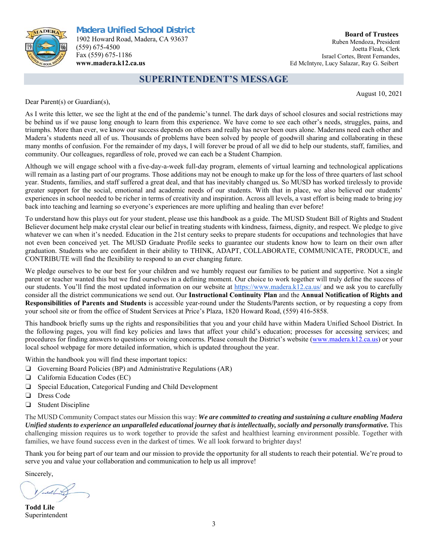

#### **Board of Trustees**  Ruben Mendoza, President Joetta Fleak, Clerk Israel Cortes, Brent Fernandes, Ed McIntyre, Lucy Salazar, Ray G. Seibert

### **SUPERINTENDENT'S MESSAGE**

August 10, 2021

Dear Parent(s) or Guardian(s),

As I write this letter, we see the light at the end of the pandemic's tunnel. The dark days of school closures and social restrictions may be behind us if we pause long enough to learn from this experience. We have come to see each other's needs, struggles, pains, and triumphs. More than ever, we know our success depends on others and really has never been ours alone. Maderans need each other and Madera's students need all of us. Thousands of problems have been solved by people of goodwill sharing and collaborating in these many months of confusion. For the remainder of my days, I will forever be proud of all we did to help our students, staff, families, and community. Our colleagues, regardless of role, proved we can each be a Student Champion.

Although we will engage school with a five-day-a-week full-day program, elements of virtual learning and technological applications will remain as a lasting part of our programs. Those additions may not be enough to make up for the loss of three quarters of last school year. Students, families, and staff suffered a great deal, and that has inevitably changed us. So MUSD has worked tirelessly to provide greater support for the social, emotional and academic needs of our students. With that in place, we also believed our students' experiences in school needed to be richer in terms of creativity and inspiration. Across all levels, a vast effort is being made to bring joy back into teaching and learning so everyone's experiences are more uplifting and healing than ever before!

To understand how this plays out for your student, please use this handbook as a guide. The MUSD Student Bill of Rights and Student Believer document help make crystal clear our belief in treating students with kindness, fairness, dignity, and respect. We pledge to give whatever we can when it's needed. Education in the 21st century seeks to prepare students for occupations and technologies that have not even been conceived yet. The MUSD Graduate Profile seeks to guarantee our students know how to learn on their own after graduation. Students who are confident in their ability to THINK, ADAPT, COLLABORATE, COMMUNICATE, PRODUCE, and CONTRIBUTE will find the flexibility to respond to an ever changing future.

We pledge ourselves to be our best for your children and we humbly request our families to be patient and supportive. Not a single parent or teacher wanted this but we find ourselves in a defining moment. Our choice to work together will truly define the success of our students. You'll find the most updated information on our website at https://www.madera.k12.ca.us/ and we ask you to carefully consider all the district communications we send out. Our **Instructional Continuity Plan** and the **Annual Notification of Rights and Responsibilities of Parents and Students** is accessible year-round under the Students/Parents section, or by requesting a copy from your school site or from the office of Student Services at Price's Plaza, 1820 Howard Road, (559) 416-5858.

This handbook briefly sums up the rights and responsibilities that you and your child have within Madera Unified School District. In the following pages, you will find key policies and laws that affect your child's education; processes for accessing services; and procedures for finding answers to questions or voicing concerns. Please consult the District's website (www.madera.k12.ca.us) or your local school webpage for more detailed information, which is updated throughout the year.

Within the handbook you will find these important topics:

- ❏ Governing Board Policies (BP) and Administrative Regulations (AR)
- ❏ California Education Codes (EC)
- ❏ Special Education, Categorical Funding and Child Development
- ❏ Dress Code
- ❏ Student Discipline

The MUSD Community Compact states our Mission this way: *We are committed to creating and sustaining a culture enabling Madera Unified students to experience an unparalleled educational journey that is intellectually, socially and personally transformative.* This challenging mission requires us to work together to provide the safest and healthiest learning environment possible. Together with families, we have found success even in the darkest of times. We all look forward to brighter days!

Thank you for being part of our team and our mission to provide the opportunity for all students to reach their potential. We're proud to serve you and value your collaboration and communication to help us all improve!

Sincerely,

**Todd Lile**  Superintendent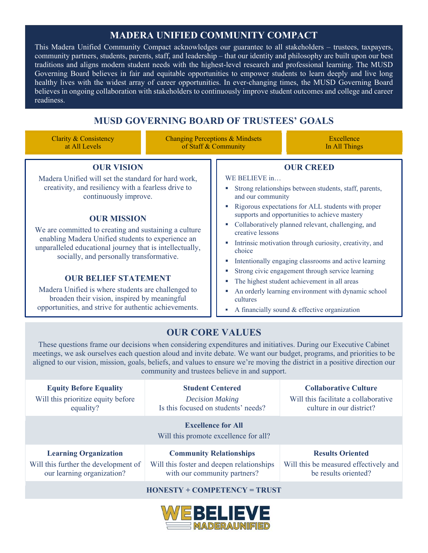### **MADERA UNIFIED COMMUNITY COMPACT**

This Madera Unified Community Compact acknowledges our guarantee to all stakeholders – trustees, taxpayers, community partners, students, parents, staff, and leadership – that our identity and philosophy are built upon our best traditions and aligns modern student needs with the highest-level research and professional learning. The MUSD Governing Board believes in fair and equitable opportunities to empower students to learn deeply and live long healthy lives with the widest array of career opportunities. In ever-changing times, the MUSD Governing Board believes in ongoing collaboration with stakeholders to continuously improve student outcomes and college and career readiness.

### **MUSD GOVERNING BOARD OF TRUSTEES' GOALS**

Clarity & Consistency at All Levels

Changing Perceptions & Mindsets of Staff & Community

Excellence In All Things

### **OUR VISION**

Madera Unified will set the standard for hard work, creativity, and resiliency with a fearless drive to continuously improve.

### **OUR MISSION**

We are committed to creating and sustaining a culture enabling Madera Unified students to experience an unparalleled educational journey that is intellectually, socially, and personally transformative.

#### **OUR BELIEF STATEMENT**

Madera Unified is where students are challenged to broaden their vision, inspired by meaningful opportunities, and strive for authentic achievements.

#### **OUR CREED**

WE BELIEVE in…

- Strong relationships between students, staff, parents, and our community
- Rigorous expectations for ALL students with proper supports and opportunities to achieve mastery
- Collaboratively planned relevant, challenging, and creative lessons
- Intrinsic motivation through curiosity, creativity, and choice
- **Intentionally engaging classrooms and active learning**
- **Strong civic engagement through service learning**
- The highest student achievement in all areas
- An orderly learning environment with dynamic school cultures
- A financially sound & effective organization

### **OUR CORE VALUES**

These questions frame our decisions when considering expenditures and initiatives. During our Executive Cabinet meetings, we ask ourselves each question aloud and invite debate. We want our budget, programs, and priorities to be aligned to our vision, mission, goals, beliefs, and values to ensure we're moving the district in a positive direction our community and trustees believe in and support.

| <b>Equity Before Equality</b><br>Will this prioritize equity before<br>equality?                | <b>Student Centered</b><br><b>Decision Making</b><br>Is this focused on students' needs?                                                         | <b>Collaborative Culture</b><br>Will this facilitate a collaborative<br>culture in our district? |  |
|-------------------------------------------------------------------------------------------------|--------------------------------------------------------------------------------------------------------------------------------------------------|--------------------------------------------------------------------------------------------------|--|
|                                                                                                 | <b>Excellence for All</b><br>Will this promote excellence for all?                                                                               |                                                                                                  |  |
| <b>Learning Organization</b><br>$W^{111}$ this family on the starting compact of $\mathbb{R}$ . | <b>Community Relationships</b><br>Will this Control of decrees at the control of the control of the control of the state of the state of the con | <b>Results Oriented</b>                                                                          |  |

Will this further the development of our learning organization?

### Will this foster and deepen relationships with our community partners?

### Will this be measured effectively and be results oriented?

#### **HONESTY + COMPETENCY = TRUST**

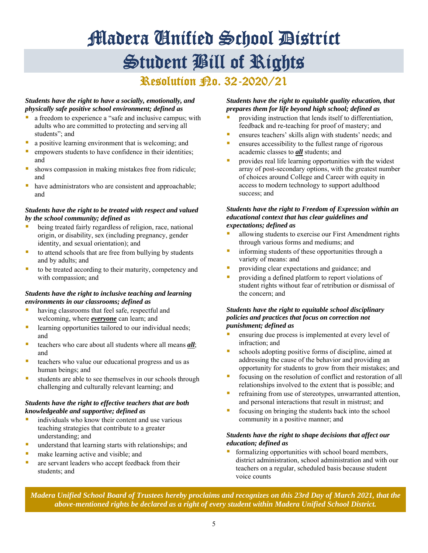# Madera Unified School District Student Bill of Rights

### **Resolution Ro. 32-2020/21**

#### *Students have the right to have a socially, emotionally, and physically safe positive school environment; defined as*

- a freedom to experience a "safe and inclusive campus; with adults who are committed to protecting and serving all students"; and
- **a** a positive learning environment that is welcoming; and
- **EXECUTE:** empowers students to have confidence in their identities; and
- shows compassion in making mistakes free from ridicule; and
- have administrators who are consistent and approachable; and

#### *Students have the right to be treated with respect and valued by the school community; defined as*

- being treated fairly regardless of religion, race, national origin, or disability, sex (including pregnancy, gender identity, and sexual orientation); and
- $\blacksquare$  to attend schools that are free from bullying by students and by adults; and
- to be treated according to their maturity, competency and with compassion; and

#### *Students have the right to inclusive teaching and learning environments in our classrooms; defined as*

- **having classrooms that feel safe, respectful and** welcoming, where *everyone* can learn; and
- **Example 1** learning opportunities tailored to our individual needs; and
- teachers who care about all students where all means *all*; and
- teachers who value our educational progress and us as human beings; and
- students are able to see themselves in our schools through challenging and culturally relevant learning; and

#### *Students have the right to effective teachers that are both knowledgeable and supportive; defined as*

- individuals who know their content and use various teaching strategies that contribute to a greater understanding; and
- **understand that learning starts with relationships; and**
- make learning active and visible; and
- are servant leaders who accept feedback from their students; and

#### *Students have the right to equitable quality education, that prepares them for life beyond high school; defined as*

- providing instruction that lends itself to differentiation, feedback and re-teaching for proof of mastery; and
- ensures teachers' skills align with students' needs; and
- **E** ensures accessibility to the fullest range of rigorous academic classes to *all* students; and
- provides real life learning opportunities with the widest array of post-secondary options, with the greatest number of choices around College and Career with equity in access to modern technology to support adulthood success; and

#### *Students have the right to Freedom of Expression within an educational context that has clear guidelines and expectations; defined as*

- allowing students to exercise our First Amendment rights through various forms and mediums; and
- informing students of these opportunities through a variety of means: and
- providing clear expectations and guidance; and
- providing a defined platform to report violations of student rights without fear of retribution or dismissal of the concern; and

#### *Students have the right to equitable school disciplinary policies and practices that focus on correction not punishment; defined as*

- ensuring due process is implemented at every level of infraction; and
- schools adopting positive forms of discipline, aimed at addressing the cause of the behavior and providing an opportunity for students to grow from their mistakes; and
- focusing on the resolution of conflict and restoration of all relationships involved to the extent that is possible; and
- refraining from use of stereotypes, unwarranted attention, and personal interactions that result in mistrust; and
- focusing on bringing the students back into the school community in a positive manner; and

#### *Students have the right to shape decisions that affect our education; defined as*

 formalizing opportunities with school board members, district administration, school administration and with our teachers on a regular, scheduled basis because student voice counts

 *Madera Unified School Board of Trustees hereby proclaims and recognizes on this 23rd Day of March 2021, that the above-mentioned rights be declared as a right of every student within Madera Unified School District.*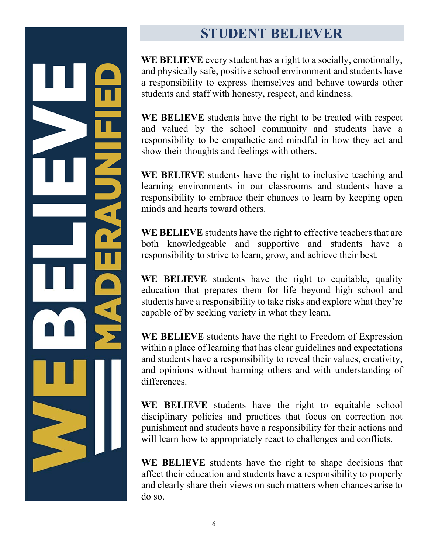## **STUDENT BELIEVER**

**WE BELIEVE** every student has a right to a socially, emotionally, and physically safe, positive school environment and students have a responsibility to express themselves and behave towards other students and staff with honesty, respect, and kindness.

**WE BELIEVE** students have the right to be treated with respect and valued by the school community and students have a responsibility to be empathetic and mindful in how they act and show their thoughts and feelings with others.

**WE BELIEVE** students have the right to inclusive teaching and learning environments in our classrooms and students have a responsibility to embrace their chances to learn by keeping open minds and hearts toward others.

**WE BELIEVE** students have the right to effective teachers that are both knowledgeable and supportive and students have a responsibility to strive to learn, grow, and achieve their best.

**WE BELIEVE** students have the right to equitable, quality education that prepares them for life beyond high school and students have a responsibility to take risks and explore what they're capable of by seeking variety in what they learn.

**WE BELIEVE** students have the right to Freedom of Expression within a place of learning that has clear guidelines and expectations and students have a responsibility to reveal their values, creativity, and opinions without harming others and with understanding of differences.

**WE BELIEVE** students have the right to equitable school disciplinary policies and practices that focus on correction not punishment and students have a responsibility for their actions and will learn how to appropriately react to challenges and conflicts.

**WE BELIEVE** students have the right to shape decisions that affect their education and students have a responsibility to properly and clearly share their views on such matters when chances arise to do so.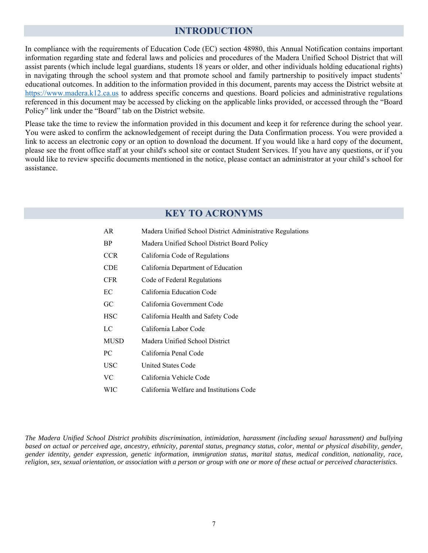### **INTRODUCTION**

In compliance with the requirements of Education Code (EC) section 48980, this Annual Notification contains important information regarding state and federal laws and policies and procedures of the Madera Unified School District that will assist parents (which include legal guardians, students 18 years or older, and other individuals holding educational rights) in navigating through the school system and that promote school and family partnership to positively impact students' educational outcomes. In addition to the information provided in this document, parents may access the District website at https://www.madera.k12.ca.us to address specific concerns and questions. Board policies and administrative regulations referenced in this document may be accessed by clicking on the applicable links provided, or accessed through the "Board Policy" link under the "Board" tab on the District website.

Please take the time to review the information provided in this document and keep it for reference during the school year. You were asked to confirm the acknowledgement of receipt during the Data Confirmation process. You were provided a link to access an electronic copy or an option to download the document. If you would like a hard copy of the document, please see the front office staff at your child's school site or contact Student Services. If you have any questions, or if you would like to review specific documents mentioned in the notice, please contact an administrator at your child's school for assistance.

### **KEY TO ACRONYMS**

| AR          | Madera Unified School District Administrative Regulations |
|-------------|-----------------------------------------------------------|
| BP          | Madera Unified School District Board Policy               |
| <b>CCR</b>  | California Code of Regulations                            |
| CDE         | California Department of Education                        |
| <b>CFR</b>  | Code of Federal Regulations                               |
| EC          | California Education Code                                 |
| GС          | California Government Code                                |
| <b>HSC</b>  | California Health and Safety Code                         |
| LC          | California Labor Code                                     |
| <b>MUSD</b> | Madera Unified School District                            |
| PС          | California Penal Code                                     |
| <b>USC</b>  | United States Code                                        |
| VС          | California Vehicle Code                                   |
| WIC         | California Welfare and Institutions Code                  |

*The Madera Unified School District prohibits discrimination, intimidation, harassment (including sexual harassment) and bullying based on actual or perceived age, ancestry, ethnicity, parental status, pregnancy status, color, mental or physical disability, gender, gender identity, gender expression, genetic information, immigration status, marital status, medical condition, nationality, race, religion, sex, sexual orientation, or association with a person or group with one or more of these actual or perceived characteristics.*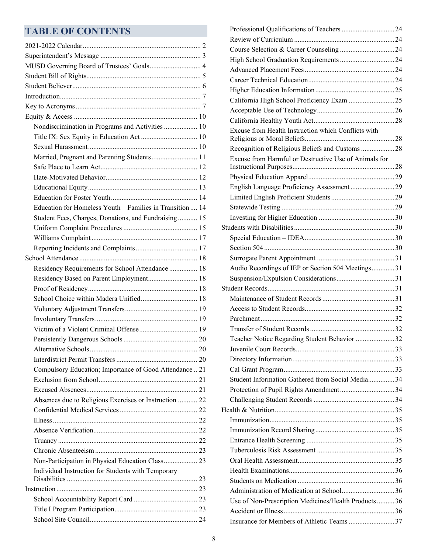### **TABLE OF CONTENTS**

| MUSD Governing Board of Trustees' Goals 4                 |  |
|-----------------------------------------------------------|--|
|                                                           |  |
|                                                           |  |
|                                                           |  |
|                                                           |  |
|                                                           |  |
| Nondiscrimination in Programs and Activities  10          |  |
|                                                           |  |
|                                                           |  |
| Married, Pregnant and Parenting Students 11               |  |
|                                                           |  |
|                                                           |  |
|                                                           |  |
|                                                           |  |
| Education for Homeless Youth - Families in Transition  14 |  |
| Student Fees, Charges, Donations, and Fundraising 15      |  |
|                                                           |  |
|                                                           |  |
|                                                           |  |
|                                                           |  |
| Residency Requirements for School Attendance  18          |  |
| Residency Based on Parent Employment 18                   |  |
|                                                           |  |
|                                                           |  |
|                                                           |  |
|                                                           |  |
|                                                           |  |
|                                                           |  |
|                                                           |  |
|                                                           |  |
|                                                           |  |
| Compulsory Education; Importance of Good Attendance  21   |  |
|                                                           |  |
|                                                           |  |
| Absences due to Religious Exercises or Instruction  22    |  |
|                                                           |  |
|                                                           |  |
|                                                           |  |
|                                                           |  |
|                                                           |  |
| Non-Participation in Physical Education Class 23          |  |
| Individual Instruction for Students with Temporary        |  |
|                                                           |  |
|                                                           |  |
|                                                           |  |
|                                                           |  |

| Excuse from Health Instruction which Conflicts with   |  |
|-------------------------------------------------------|--|
| Recognition of Religious Beliefs and Customs 28       |  |
| Excuse from Harmful or Destructive Use of Animals for |  |
|                                                       |  |
| English Language Proficiency Assessment  29           |  |
|                                                       |  |
|                                                       |  |
|                                                       |  |
|                                                       |  |
|                                                       |  |
|                                                       |  |
|                                                       |  |
| Audio Recordings of IEP or Section 504 Meetings31     |  |
|                                                       |  |
|                                                       |  |
|                                                       |  |
|                                                       |  |
|                                                       |  |
|                                                       |  |
| Teacher Notice Regarding Student Behavior 32          |  |
|                                                       |  |
|                                                       |  |
|                                                       |  |
| Student Information Gathered from Social Media 34     |  |
|                                                       |  |
|                                                       |  |
|                                                       |  |
|                                                       |  |
|                                                       |  |
|                                                       |  |
|                                                       |  |
|                                                       |  |
|                                                       |  |
|                                                       |  |
|                                                       |  |
| Use of Non-Prescription Medicines/Health Products36   |  |
|                                                       |  |
| Insurance for Members of Athletic Teams 37            |  |
|                                                       |  |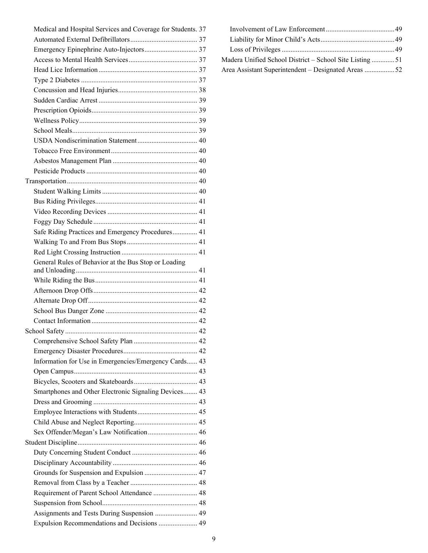| Medical and Hospital Services and Coverage for Students. 37 |
|-------------------------------------------------------------|
|                                                             |
| Emergency Epinephrine Auto-Injectors 37                     |
|                                                             |
|                                                             |
|                                                             |
|                                                             |
|                                                             |
|                                                             |
|                                                             |
|                                                             |
|                                                             |
|                                                             |
|                                                             |
|                                                             |
|                                                             |
|                                                             |
|                                                             |
|                                                             |
|                                                             |
| Safe Riding Practices and Emergency Procedures 41           |
|                                                             |
|                                                             |
|                                                             |
| General Rules of Behavior at the Bus Stop or Loading        |
|                                                             |
|                                                             |
|                                                             |
|                                                             |
|                                                             |
|                                                             |
|                                                             |
|                                                             |
| Information for Use in Emergencies/Emergency Cards 43       |
|                                                             |
|                                                             |
| Smartphones and Other Electronic Signaling Devices 43       |
|                                                             |
|                                                             |
|                                                             |
| Sex Offender/Megan's Law Notification 46                    |
|                                                             |
|                                                             |
|                                                             |
| Grounds for Suspension and Expulsion  47                    |
|                                                             |
| Requirement of Parent School Attendance  48                 |
|                                                             |
| Assignments and Tests During Suspension  49                 |
| Expulsion Recommendations and Decisions  49                 |

| Madera Unified School District - School Site Listing51 |  |
|--------------------------------------------------------|--|
| Area Assistant Superintendent – Designated Areas 52    |  |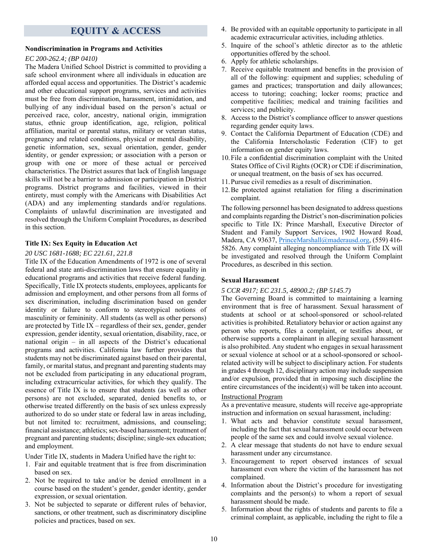### **EQUITY & ACCESS**

#### **Nondiscrimination in Programs and Activities**

#### *EC 200-262.4; (BP 0410)*

The Madera Unified School District is committed to providing a safe school environment where all individuals in education are afforded equal access and opportunities. The District's academic and other educational support programs, services and activities must be free from discrimination, harassment, intimidation, and bullying of any individual based on the person's actual or perceived race, color, ancestry, national origin, immigration status, ethnic group identification, age, religion, political affiliation, marital or parental status, military or veteran status, pregnancy and related conditions, physical or mental disability, genetic information, sex, sexual orientation, gender, gender identity, or gender expression; or association with a person or group with one or more of these actual or perceived characteristics. The District assures that lack of English language skills will not be a barrier to admission or participation in District programs. District programs and facilities, viewed in their entirety, must comply with the Americans with Disabilities Act (ADA) and any implementing standards and/or regulations. Complaints of unlawful discrimination are investigated and resolved through the Uniform Complaint Procedures, as described in this section.

#### **Title IX: Sex Equity in Education Act**

#### *20 USC 1681-1688; EC 221.61, 221.8*

Title IX of the Education Amendments of 1972 is one of several federal and state anti-discrimination laws that ensure equality in educational programs and activities that receive federal funding. Specifically, Title IX protects students, employees, applicants for admission and employment, and other persons from all forms of sex discrimination, including discrimination based on gender identity or failure to conform to stereotypical notions of masculinity or femininity. All students (as well as other persons) are protected by Title IX – regardless of their sex, gender, gender expression, gender identity, sexual orientation, disability, race, or national origin – in all aspects of the District's educational programs and activities. California law further provides that students may not be discriminated against based on their parental, family, or marital status, and pregnant and parenting students may not be excluded from participating in any educational program, including extracurricular activities, for which they qualify. The essence of Title IX is to ensure that students (as well as other persons) are not excluded, separated, denied benefits to, or otherwise treated differently on the basis of sex unless expressly authorized to do so under state or federal law in areas including, but not limited to: recruitment, admissions, and counseling; financial assistance; athletics; sex-based harassment; treatment of pregnant and parenting students; discipline; single-sex education; and employment.

Under Title IX, students in Madera Unified have the right to:

- 1. Fair and equitable treatment that is free from discrimination based on sex.
- 2. Not be required to take and/or be denied enrollment in a course based on the student's gender, gender identity, gender expression, or sexual orientation.
- 3. Not be subjected to separate or different rules of behavior, sanctions, or other treatment, such as discriminatory discipline policies and practices, based on sex.
- 4. Be provided with an equitable opportunity to participate in all academic extracurricular activities, including athletics.
- 5. Inquire of the school's athletic director as to the athletic opportunities offered by the school.
- 6. Apply for athletic scholarships.
- 7. Receive equitable treatment and benefits in the provision of all of the following: equipment and supplies; scheduling of games and practices; transportation and daily allowances; access to tutoring; coaching; locker rooms; practice and competitive facilities; medical and training facilities and services; and publicity.
- 8. Access to the District's compliance officer to answer questions regarding gender equity laws.
- 9. Contact the California Department of Education (CDE) and the California Interscholastic Federation (CIF) to get information on gender equity laws.
- 10.File a confidential discrimination complaint with the United States Office of Civil Rights (OCR) or CDE if discrimination, or unequal treatment, on the basis of sex has occurred.
- 11.Pursue civil remedies as a result of discrimination.
- 12.Be protected against retaliation for filing a discrimination complaint.

The following personnel has been designated to address questions and complaints regarding the District's non-discrimination policies specific to Title IX: Prince Marshall, Executive Director of Student and Family Support Services, 1902 Howard Road, Madera, CA 93637, PrinceMarshall@maderausd.org, (559) 416-5826. Any complaint alleging noncompliance with Title IX will be investigated and resolved through the Uniform Complaint Procedures, as described in this section.

#### **Sexual Harassment**

#### *5 CCR 4917; EC 231.5, 48900.2; (BP 5145.7)*

The Governing Board is committed to maintaining a learning environment that is free of harassment. Sexual harassment of students at school or at school-sponsored or school-related activities is prohibited. Retaliatory behavior or action against any person who reports, files a complaint, or testifies about, or otherwise supports a complainant in alleging sexual harassment is also prohibited. Any student who engages in sexual harassment or sexual violence at school or at a school-sponsored or schoolrelated activity will be subject to disciplinary action. For students in grades 4 through 12, disciplinary action may include suspension and/or expulsion, provided that in imposing such discipline the entire circumstances of the incident(s) will be taken into account.

#### Instructional Program

As a preventative measure, students will receive age-appropriate instruction and information on sexual harassment, including:

- 1. What acts and behavior constitute sexual harassment, including the fact that sexual harassment could occur between people of the same sex and could involve sexual violence.
- 2. A clear message that students do not have to endure sexual harassment under any circumstance.
- 3. Encouragement to report observed instances of sexual harassment even where the victim of the harassment has not complained.
- 4. Information about the District's procedure for investigating complaints and the person(s) to whom a report of sexual harassment should be made.
- 5. Information about the rights of students and parents to file a criminal complaint, as applicable, including the right to file a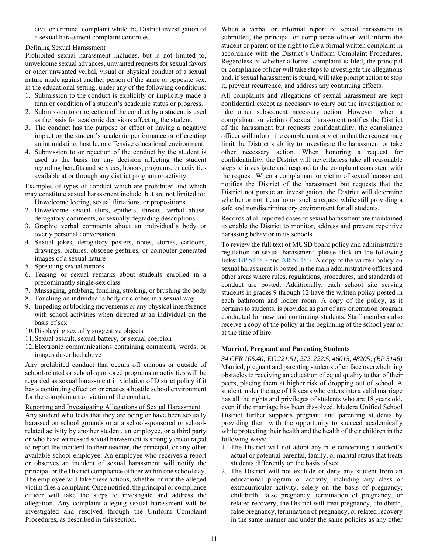civil or criminal complaint while the District investigation of a sexual harassment complaint continues.

#### Defining Sexual Harassment

Prohibited sexual harassment includes, but is not limited to, unwelcome sexual advances, unwanted requests for sexual favors or other unwanted verbal, visual or physical conduct of a sexual nature made against another person of the same or opposite sex, in the educational setting, under any of the following conditions:

- 1. Submission to the conduct is explicitly or implicitly made a term or condition of a student's academic status or progress.
- 2. Submission to or rejection of the conduct by a student is used as the basis for academic decisions affecting the student.
- 3. The conduct has the purpose or effect of having a negative impact on the student's academic performance or of creating an intimidating, hostile, or offensive educational environment.
- 4. Submission to or rejection of the conduct by the student is used as the basis for any decision affecting the student regarding benefits and services, honors, programs, or activities available at or through any district program or activity.

Examples of types of conduct which are prohibited and which may constitute sexual harassment include, but are not limited to:

- 1. Unwelcome leering, sexual flirtations, or propositions
- 2. Unwelcome sexual slurs, epithets, threats, verbal abuse, derogatory comments, or sexually degrading descriptions
- 3. Graphic verbal comments about an individual's body or overly personal conversation
- 4. Sexual jokes, derogatory posters, notes, stories, cartoons, drawings, pictures, obscene gestures, or computer-generated images of a sexual nature
- 5. Spreading sexual rumors
- 6. Teasing or sexual remarks about students enrolled in a predominantly single-sex class
- 7. Massaging, grabbing, fondling, stroking, or brushing the body
- 8. Touching an individual's body or clothes in a sexual way
- 9. Impeding or blocking movements or any physical interference with school activities when directed at an individual on the basis of sex
- 10.Displaying sexually suggestive objects
- 11.Sexual assault, sexual battery, or sexual coercion
- 12.Electronic communications containing comments, words, or images described above

Any prohibited conduct that occurs off campus or outside of school-related or school-sponsored programs or activities will be regarded as sexual harassment in violation of District policy if it has a continuing effect on or creates a hostile school environment for the complainant or victim of the conduct.

Reporting and Investigating Allegations of Sexual Harassment

Any student who feels that they are being or have been sexually harassed on school grounds or at a school-sponsored or schoolrelated activity by another student, an employee, or a third party or who have witnessed sexual harassment is strongly encouraged to report the incident to their teacher, the principal, or any other available school employee. An employee who receives a report or observes an incident of sexual harassment will notify the principal or the District compliance officer within one school day. The employee will take these actions, whether or not the alleged victim files a complaint. Once notified, the principal or compliance officer will take the steps to investigate and address the allegation. Any complaint alleging sexual harassment will be investigated and resolved through the Uniform Complaint Procedures, as described in this section.

When a verbal or informal report of sexual harassment is submitted, the principal or compliance officer will inform the student or parent of the right to file a formal written complaint in accordance with the District's Uniform Complaint Procedures. Regardless of whether a formal complaint is filed, the principal or compliance officer will take steps to investigate the allegations and, if sexual harassment is found, will take prompt action to stop it, prevent recurrence, and address any continuing effects.

All complaints and allegations of sexual harassment are kept confidential except as necessary to carry out the investigation or take other subsequent necessary action. However, when a complainant or victim of sexual harassment notifies the District of the harassment but requests confidentiality, the compliance officer will inform the complainant or victim that the request may limit the District's ability to investigate the harassment or take other necessary action. When honoring a request for confidentiality, the District will nevertheless take all reasonable steps to investigate and respond to the complaint consistent with the request. When a complainant or victim of sexual harassment notifies the District of the harassment but requests that the District not pursue an investigation, the District will determine whether or not it can honor such a request while still providing a safe and nondiscriminatory environment for all students.

Records of all reported cases of sexual harassment are maintained to enable the District to monitor, address and prevent repetitive harassing behavior in its schools.

To review the full text of MUSD board policy and administrative regulation on sexual harassment, please click on the following links: **BP** 5145.7 and **AR** 5145.7. A copy of the written policy on sexual harassment is posted in the main administrative offices and other areas where rules, regulations, procedures, and standards of conduct are posted. Additionally, each school site serving students in grades 9 through 12 have the written policy posted in each bathroom and locker room. A copy of the policy, as it pertains to students, is provided as part of any orientation program conducted for new and continuing students. Staff members also receive a copy of the policy at the beginning of the school year or at the time of hire.

#### **Married, Pregnant and Parenting Students**

*34 CFR 106.40; EC 221.51, 222, 222.5, 46015, 48205; (BP 5146)*  Married, pregnant and parenting students often face overwhelming obstacles to receiving an education of equal quality to that of their peers, placing them at higher risk of dropping out of school. A student under the age of 18 years who enters into a valid marriage has all the rights and privileges of students who are 18 years old, even if the marriage has been dissolved. Madera Unified School District further supports pregnant and parenting students by providing them with the opportunity to succeed academically while protecting their health and the health of their children in the following ways:

- 1. The District will not adopt any rule concerning a student's actual or potential parental, family, or marital status that treats students differently on the basis of sex.
- 2. The District will not exclude or deny any student from an educational program or activity, including any class or extracurricular activity, solely on the basis of pregnancy, childbirth, false pregnancy, termination of pregnancy, or related recovery; the District will treat pregnancy, childbirth, false pregnancy, termination of pregnancy, or related recovery in the same manner and under the same policies as any other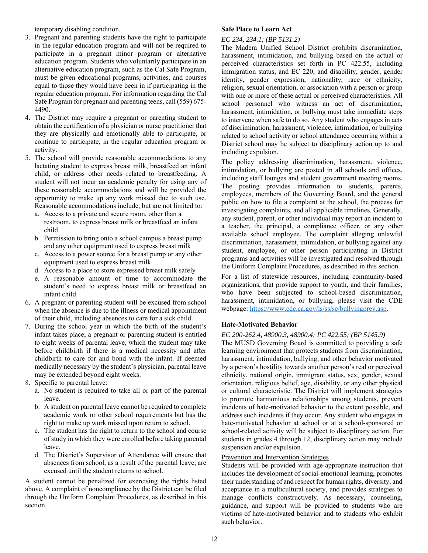temporary disabling condition.

- 3. Pregnant and parenting students have the right to participate in the regular education program and will not be required to participate in a pregnant minor program or alternative education program. Students who voluntarily participate in an alternative education program, such as the Cal Safe Program, must be given educational programs, activities, and courses equal to those they would have been in if participating in the regular education program. For information regarding the Cal Safe Program for pregnant and parenting teens, call (559) 675- 4490.
- 4. The District may require a pregnant or parenting student to obtain the certification of a physician or nurse practitioner that they are physically and emotionally able to participate, or continue to participate, in the regular education program or activity.
- 5. The school will provide reasonable accommodations to any lactating student to express breast milk, breastfeed an infant child, or address other needs related to breastfeeding. A student will not incur an academic penalty for using any of these reasonable accommodations and will be provided the opportunity to make up any work missed due to such use. Reasonable accommodations include, but are not limited to:
	- a. Access to a private and secure room, other than a restroom, to express breast milk or breastfeed an infant child
	- b. Permission to bring onto a school campus a breast pump and any other equipment used to express breast milk
	- c. Access to a power source for a breast pump or any other equipment used to express breast milk
	- d. Access to a place to store expressed breast milk safely
	- e. A reasonable amount of time to accommodate the student's need to express breast milk or breastfeed an infant child
- 6. A pregnant or parenting student will be excused from school when the absence is due to the illness or medical appointment of their child, including absences to care for a sick child.
- 7. During the school year in which the birth of the student's infant takes place, a pregnant or parenting student is entitled to eight weeks of parental leave, which the student may take before childbirth if there is a medical necessity and after childbirth to care for and bond with the infant. If deemed medically necessary by the student's physician, parental leave may be extended beyond eight weeks.
- 8. Specific to parental leave:
	- a. No student is required to take all or part of the parental leave.
	- b. A student on parental leave cannot be required to complete academic work or other school requirements but has the right to make up work missed upon return to school.
	- c. The student has the right to return to the school and course of study in which they were enrolled before taking parental leave.
	- d. The District's Supervisor of Attendance will ensure that absences from school, as a result of the parental leave, are excused until the student returns to school.

A student cannot be penalized for exercising the rights listed above. A complaint of noncompliance by the District can be filed through the Uniform Complaint Procedures, as described in this section.

#### **Safe Place to Learn Act**

#### *EC 234, 234.1; (BP 5131.2)*

The Madera Unified School District prohibits discrimination, harassment, intimidation, and bullying based on the actual or perceived characteristics set forth in PC 422.55, including immigration status, and EC 220, and disability, gender, gender identity, gender expression, nationality, race or ethnicity, religion, sexual orientation, or association with a person or group with one or more of these actual or perceived characteristics. All school personnel who witness an act of discrimination, harassment, intimidation, or bullying must take immediate steps to intervene when safe to do so. Any student who engages in acts of discrimination, harassment, violence, intimidation, or bullying related to school activity or school attendance occurring within a District school may be subject to disciplinary action up to and including expulsion.

The policy addressing discrimination, harassment, violence, intimidation, or bullying are posted in all schools and offices, including staff lounges and student government meeting rooms. The posting provides information to students, parents, employees, members of the Governing Board, and the general public on how to file a complaint at the school, the process for investigating complaints, and all applicable timelines. Generally, any student, parent, or other individual may report an incident to a teacher, the principal, a compliance officer, or any other available school employee. The complaint alleging unlawful discrimination, harassment, intimidation, or bullying against any student, employee, or other person participating in District programs and activities will be investigated and resolved through the Uniform Complaint Procedures, as described in this section.

For a list of statewide resources, including community-based organizations, that provide support to youth, and their families, who have been subjected to school-based discrimination, harassment, intimidation, or bullying, please visit the CDE webpage: https://www.cde.ca.gov/ls/ss/se/bullyingprev.asp.

#### **Hate-Motivated Behavior**

#### *EC 200-262.4, 48900.3, 48900.4; PC 422.55; (BP 5145.9)*

The MUSD Governing Board is committed to providing a safe learning environment that protects students from discrimination, harassment, intimidation, bullying, and other behavior motivated by a person's hostility towards another person's real or perceived ethnicity, national origin, immigrant status, sex, gender, sexual orientation, religious belief, age, disability, or any other physical or cultural characteristic. The District will implement strategies to promote harmonious relationships among students, prevent incidents of hate-motivated behavior to the extent possible, and address such incidents if they occur. Any student who engages in hate-motivated behavior at school or at a school-sponsored or school-related activity will be subject to disciplinary action. For students in grades 4 through 12, disciplinary action may include suspension and/or expulsion.

#### Prevention and Intervention Strategies

Students will be provided with age-appropriate instruction that includes the development of social-emotional learning, promotes their understanding of and respect for human rights, diversity, and acceptance in a multicultural society, and provides strategies to manage conflicts constructively. As necessary, counseling, guidance, and support will be provided to students who are victims of hate-motivated behavior and to students who exhibit such behavior.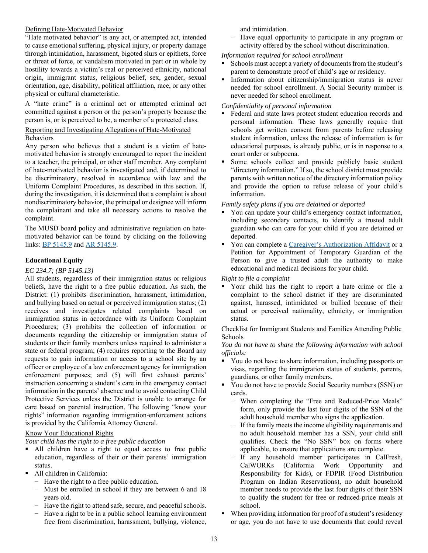#### Defining Hate-Motivated Behavior

"Hate motivated behavior" is any act, or attempted act, intended to cause emotional suffering, physical injury, or property damage through intimidation, harassment, bigoted slurs or epithets, force or threat of force, or vandalism motivated in part or in whole by hostility towards a victim's real or perceived ethnicity, national origin, immigrant status, religious belief, sex, gender, sexual orientation, age, disability, political affiliation, race, or any other physical or cultural characteristic.

A "hate crime" is a criminal act or attempted criminal act committed against a person or the person's property because the person is, or is perceived to be, a member of a protected class.

#### Reporting and Investigating Allegations of Hate-Motivated Behaviors

Any person who believes that a student is a victim of hatemotivated behavior is strongly encouraged to report the incident to a teacher, the principal, or other staff member. Any complaint of hate-motivated behavior is investigated and, if determined to be discriminatory, resolved in accordance with law and the Uniform Complaint Procedures, as described in this section. If, during the investigation, it is determined that a complaint is about nondiscriminatory behavior, the principal or designee will inform the complainant and take all necessary actions to resolve the complaint.

The MUSD board policy and administrative regulation on hatemotivated behavior can be found by clicking on the following links: BP 5145.9 and AR 5145.9.

#### **Educational Equity**

#### *EC 234.7; (BP 5145.13)*

All students, regardless of their immigration status or religious beliefs, have the right to a free public education. As such, the District: (1) prohibits discrimination, harassment, intimidation, and bullying based on actual or perceived immigration status; (2) receives and investigates related complaints based on immigration status in accordance with its Uniform Complaint Procedures; (3) prohibits the collection of information or documents regarding the citizenship or immigration status of students or their family members unless required to administer a state or federal program; (4) requires reporting to the Board any requests to gain information or access to a school site by an officer or employee of a law enforcement agency for immigration enforcement purposes; and (5) will first exhaust parents' instruction concerning a student's care in the emergency contact information in the parents' absence and to avoid contacting Child Protective Services unless the District is unable to arrange for care based on parental instruction. The following "know your rights" information regarding immigration-enforcement actions is provided by the California Attorney General.

#### Know Your Educational Rights

*Your child has the right to a free public education* 

- All children have a right to equal access to free public education, regardless of their or their parents' immigration status.
- All children in California:
	- − Have the right to a free public education.
	- − Must be enrolled in school if they are between 6 and 18 years old.
	- Have the right to attend safe, secure, and peaceful schools.
	- Have a right to be in a public school learning environment free from discrimination, harassment, bullying, violence,

and intimidation.

Have equal opportunity to participate in any program or activity offered by the school without discrimination.

#### *Information required for school enrollment*

- Schools must accept a variety of documents from the student's parent to demonstrate proof of child's age or residency.
- Information about citizenship/immigration status is never needed for school enrollment. A Social Security number is never needed for school enrollment.

#### *Confidentiality of personal information*

- Federal and state laws protect student education records and personal information. These laws generally require that schools get written consent from parents before releasing student information, unless the release of information is for educational purposes, is already public, or is in response to a court order or subpoena.
- Some schools collect and provide publicly basic student "directory information." If so, the school district must provide parents with written notice of the directory information policy and provide the option to refuse release of your child's information.

#### *Family safety plans if you are detained or deported*

- You can update your child's emergency contact information, including secondary contacts, to identify a trusted adult guardian who can care for your child if you are detained or deported.
- You can complete a Caregiver's Authorization Affidavit or a Petition for Appointment of Temporary Guardian of the Person to give a trusted adult the authority to make educational and medical decisions for your child.

#### *Right to file a complaint*

 Your child has the right to report a hate crime or file a complaint to the school district if they are discriminated against, harassed, intimidated or bullied because of their actual or perceived nationality, ethnicity, or immigration status.

#### Checklist for Immigrant Students and Families Attending Public Schools

#### *You do not have to share the following information with school officials:*

- You do not have to share information, including passports or visas, regarding the immigration status of students, parents, guardians, or other family members.
- You do not have to provide Social Security numbers (SSN) or cards.
	- − When completing the "Free and Reduced-Price Meals" form, only provide the last four digits of the SSN of the adult household member who signs the application.
	- − If the family meets the income eligibility requirements and no adult household member has a SSN, your child still qualifies. Check the "No SSN" box on forms where applicable, to ensure that applications are complete.
	- If any household member participates in CalFresh, CalWORKs (California Work Opportunity and Responsibility for Kids), or FDPIR (Food Distribution Program on Indian Reservations), no adult household member needs to provide the last four digits of their SSN to qualify the student for free or reduced-price meals at school.
- When providing information for proof of a student's residency or age, you do not have to use documents that could reveal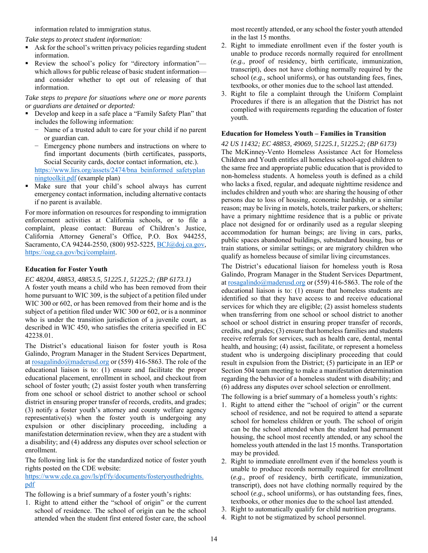information related to immigration status.

*Take steps to protect student information:* 

- Ask for the school's written privacy policies regarding student information.
- Review the school's policy for "directory information" which allows for public release of basic student information and consider whether to opt out of releasing of that information.

*Take steps to prepare for situations where one or more parents or guardians are detained or deported:* 

- Develop and keep in a safe place a "Family Safety Plan" that includes the following information:
	- − Name of a trusted adult to care for your child if no parent or guardian can.
	- Emergency phone numbers and instructions on where to find important documents (birth certificates, passports, Social Security cards, doctor contact information, etc.). https://www.lirs.org/assets/2474/bna\_beinformed\_safetyplan

ningtoolkit.pdf (example plan)

 Make sure that your child's school always has current emergency contact information, including alternative contacts if no parent is available.

For more information on resources for responding to immigration enforcement activities at California schools, or to file a complaint, please contact: Bureau of Children's Justice, California Attorney General's Office, P.O. Box 944255, Sacramento, CA 94244-2550, (800) 952-5225, BCJ@doj.ca.gov, https://oag.ca.gov/bcj/complaint.

#### **Education for Foster Youth**

#### *EC 48204, 48853, 48853.5, 51225.1, 51225.2; (BP 6173.1)*

A foster youth means a child who has been removed from their home pursuant to WIC 309, is the subject of a petition filed under WIC 300 or 602, or has been removed from their home and is the subject of a petition filed under WIC 300 or 602, or is a nonminor who is under the transition jurisdiction of a juvenile court, as described in WIC 450, who satisfies the criteria specified in EC 42238.01.

The District's educational liaison for foster youth is Rosa Galindo, Program Manager in the Student Services Department, at rosagalindo@maderusd.org or (559) 416-5863. The role of the educational liaison is to: (1) ensure and facilitate the proper educational placement, enrollment in school, and checkout from school of foster youth; (2) assist foster youth when transferring from one school or school district to another school or school district in ensuring proper transfer of records, credits, and grades; (3) notify a foster youth's attorney and county welfare agency representative(s) when the foster youth is undergoing any expulsion or other disciplinary proceeding, including a manifestation determination review, when they are a student with a disability; and (4) address any disputes over school selection or enrollment.

The following link is for the standardized notice of foster youth rights posted on the CDE website:

https://www.cde.ca.gov/ls/pf/fy/documents/fosteryouthedrights. pdf

The following is a brief summary of a foster youth's rights:

1. Right to attend either the "school of origin" or the current school of residence. The school of origin can be the school attended when the student first entered foster care, the school

most recently attended, or any school the foster youth attended in the last 15 months.

- 2. Right to immediate enrollment even if the foster youth is unable to produce records normally required for enrollment (*e.g.,* proof of residency, birth certificate, immunization, transcript), does not have clothing normally required by the school (*e.g.,* school uniforms), or has outstanding fees, fines, textbooks, or other monies due to the school last attended.
- 3. Right to file a complaint through the Uniform Complaint Procedures if there is an allegation that the District has not complied with requirements regarding the education of foster youth.

#### **Education for Homeless Youth – Families in Transition**

*42 US 11432; EC 48853, 49069, 51225.1, 51225.2; (BP 6173)*  The McKinney-Vento Homeless Assistance Act for Homeless Children and Youth entitles all homeless school-aged children to the same free and appropriate public education that is provided to non-homeless students. A homeless youth is defined as a child who lacks a fixed, regular, and adequate nighttime residence and includes children and youth who: are sharing the housing of other persons due to loss of housing, economic hardship, or a similar reason; may be living in motels, hotels, trailer parkers, or shelters; have a primary nighttime residence that is a public or private place not designed for or ordinarily used as a regular sleeping accommodation for human beings; are living in cars, parks, public spaces abandoned buildings, substandard housing, bus or train stations, or similar settings; or are migratory children who qualify as homeless because of similar living circumstances.

The District's educational liaison for homeless youth is Rosa Galindo, Program Manager in the Student Services Department, at rosagalindo@maderusd.org or (559) 416-5863. The role of the educational liaison is to: (1) ensure that homeless students are identified so that they have access to and receive educational services for which they are eligible; (2) assist homeless students when transferring from one school or school district to another school or school district in ensuring proper transfer of records, credits, and grades; (3) ensure that homeless families and students receive referrals for services, such as health care, dental, mental health, and housing; (4) assist, facilitate, or represent a homeless student who is undergoing disciplinary proceeding that could result in expulsion from the District; (5) participate in an IEP or Section 504 team meeting to make a manifestation determination regarding the behavior of a homeless student with disability; and (6) address any disputes over school selection or enrollment.

The following is a brief summary of a homeless youth's rights:

- 1. Right to attend either the "school of origin" or the current school of residence, and not be required to attend a separate school for homeless children or youth. The school of origin can be the school attended when the student had permanent housing, the school most recently attended, or any school the homeless youth attended in the last 15 months. Transportation may be provided.
- 2. Right to immediate enrollment even if the homeless youth is unable to produce records normally required for enrollment (*e.g.,* proof of residency, birth certificate, immunization, transcript), does not have clothing normally required by the school (*e.g.,* school uniforms), or has outstanding fees, fines, textbooks, or other monies due to the school last attended.
- 3. Right to automatically qualify for child nutrition programs.
- 4. Right to not be stigmatized by school personnel.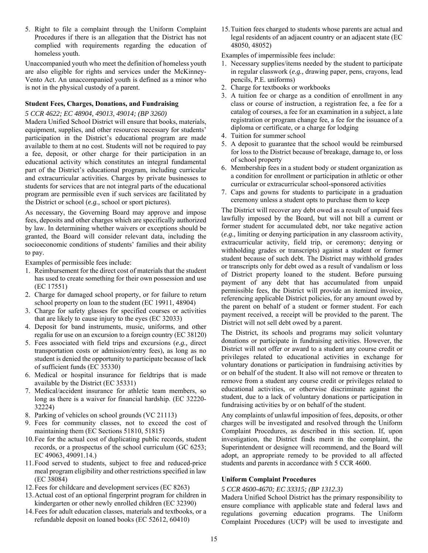5. Right to file a complaint through the Uniform Complaint Procedures if there is an allegation that the District has not complied with requirements regarding the education of homeless youth.

Unaccompanied youth who meet the definition of homeless youth are also eligible for rights and services under the McKinney-Vento Act. An unaccompanied youth is defined as a minor who is not in the physical custody of a parent.

#### **Student Fees, Charges, Donations, and Fundraising**

*5 CCR 4622; EC 48904, 49013, 49014; (BP 3260)* 

Madera Unified School District will ensure that books, materials, equipment, supplies, and other resources necessary for students' participation in the District's educational program are made available to them at no cost. Students will not be required to pay a fee, deposit, or other charge for their participation in an educational activity which constitutes an integral fundamental part of the District's educational program, including curricular and extracurricular activities. Charges by private businesses to students for services that are not integral parts of the educational program are permissible even if such services are facilitated by the District or school (*e.g.,* school or sport pictures).

As necessary, the Governing Board may approve and impose fees, deposits and other charges which are specifically authorized by law. In determining whether waivers or exceptions should be granted, the Board will consider relevant data, including the socioeconomic conditions of students' families and their ability to pay.

Examples of permissible fees include:

- 1. Reimbursement for the direct cost of materials that the student has used to create something for their own possession and use (EC 17551)
- 2. Charge for damaged school property, or for failure to return school property on loan to the student (EC 19911, 48904)
- 3. Charge for safety glasses for specified courses or activities that are likely to cause injury to the eyes (EC 32033)
- 4. Deposit for band instruments, music, uniforms, and other regalia for use on an excursion to a foreign country (EC 38120)
- 5. Fees associated with field trips and excursions (*e.g.,* direct transportation costs or admission/entry fees), as long as no student is denied the opportunity to participate because of lack of sufficient funds (EC 35330)
- 6. Medical or hospital insurance for fieldtrips that is made available by the District (EC 35331)
- 7. Medical/accident insurance for athletic team members, so long as there is a waiver for financial hardship. (EC 32220- 32224)
- 8. Parking of vehicles on school grounds (VC 21113)
- 9. Fees for community classes, not to exceed the cost of maintaining them (EC Sections 51810, 51815)
- 10.Fee for the actual cost of duplicating public records, student records, or a prospectus of the school curriculum (GC 6253; EC 49063, 49091.14.)
- 11.Food served to students, subject to free and reduced-price meal program eligibility and other restrictions specified in law (EC 38084)
- 12.Fees for childcare and development services (EC 8263)
- 13.Actual cost of an optional fingerprint program for children in kindergarten or other newly enrolled children (EC 32390)
- 14.Fees for adult education classes, materials and textbooks, or a refundable deposit on loaned books (EC 52612, 60410)

15.Tuition fees charged to students whose parents are actual and legal residents of an adjacent country or an adjacent state (EC 48050, 48052)

Examples of impermissible fees include:

- 1. Necessary supplies/items needed by the student to participate in regular classwork (*e.g.,* drawing paper, pens, crayons, lead pencils, P.E. uniforms)
- 2. Charge for textbooks or workbooks
- 3. A tuition fee or charge as a condition of enrollment in any class or course of instruction, a registration fee, a fee for a catalog of courses, a fee for an examination in a subject, a late registration or program change fee, a fee for the issuance of a diploma or certificate, or a charge for lodging
- 4. Tuition for summer school
- 5. A deposit to guarantee that the school would be reimbursed for loss to the District because of breakage, damage to, or loss of school property
- 6. Membership fees in a student body or student organization as a condition for enrollment or participation in athletic or other curricular or extracurricular school-sponsored activities
- 7. Caps and gowns for students to participate in a graduation ceremony unless a student opts to purchase them to keep

The District will recover any debt owed as a result of unpaid fees lawfully imposed by the Board, but will not bill a current or former student for accumulated debt, nor take negative action (*e.g.,* limiting or denying participation in any classroom activity, extracurricular activity, field trip, or ceremony; denying or withholding grades or transcripts) against a student or former student because of such debt. The District may withhold grades or transcripts only for debt owed as a result of vandalism or loss of District property loaned to the student. Before pursuing payment of any debt that has accumulated from unpaid permissible fees, the District will provide an itemized invoice, referencing applicable District policies, for any amount owed by the parent on behalf of a student or former student. For each payment received, a receipt will be provided to the parent. The District will not sell debt owed by a parent.

The District, its schools and programs may solicit voluntary donations or participate in fundraising activities. However, the District will not offer or award to a student any course credit or privileges related to educational activities in exchange for voluntary donations or participation in fundraising activities by or on behalf of the student. It also will not remove or threaten to remove from a student any course credit or privileges related to educational activities, or otherwise discriminate against the student, due to a lack of voluntary donations or participation in fundraising activities by or on behalf of the student.

Any complaints of unlawful imposition of fees, deposits, or other charges will be investigated and resolved through the Uniform Complaint Procedures, as described in this section. If, upon investigation, the District finds merit in the complaint, the Superintendent or designee will recommend, and the Board will adopt, an appropriate remedy to be provided to all affected students and parents in accordance with 5 CCR 4600.

#### **Uniform Complaint Procedures**

#### *5 CCR 4600-4670; EC 33315; (BP 1312.3)*

Madera Unified School District has the primary responsibility to ensure compliance with applicable state and federal laws and regulations governing education programs. The Uniform Complaint Procedures (UCP) will be used to investigate and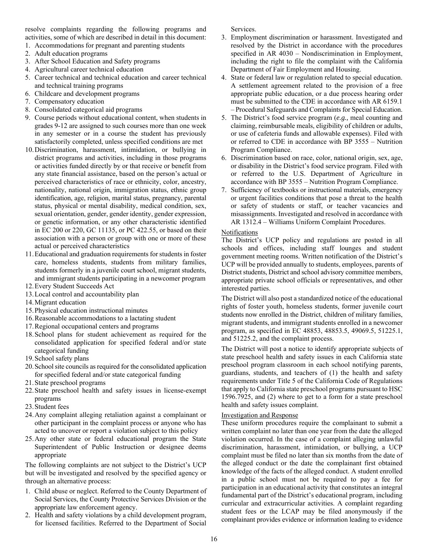resolve complaints regarding the following programs and activities, some of which are described in detail in this document:

- 1. Accommodations for pregnant and parenting students
- 2. Adult education programs
- 3. After School Education and Safety programs
- 4. Agricultural career technical education
- 5. Career technical and technical education and career technical and technical training programs
- 6. Childcare and development programs
- 7. Compensatory education
- 8. Consolidated categorical aid programs
- 9. Course periods without educational content, when students in grades 9-12 are assigned to such courses more than one week in any semester or in a course the student has previously satisfactorily completed, unless specified conditions are met
- 10.Discrimination, harassment, intimidation, or bullying in district programs and activities, including in those programs or activities funded directly by or that receive or benefit from any state financial assistance, based on the person's actual or perceived characteristics of race or ethnicity, color, ancestry, nationality, national origin, immigration status, ethnic group identification, age, religion, marital status, pregnancy, parental status, physical or mental disability, medical condition, sex, sexual orientation, gender, gender identity, gender expression, or genetic information, or any other characteristic identified in EC 200 or 220, GC 11135, or PC 422.55, or based on their association with a person or group with one or more of these actual or perceived characteristics
- 11.Educational and graduation requirements for students in foster care, homeless students, students from military families, students formerly in a juvenile court school, migrant students, and immigrant students participating in a newcomer program
- 12.Every Student Succeeds Act
- 13.Local control and accountability plan
- 14.Migrant education
- 15.Physical education instructional minutes
- 16.Reasonable accommodations to a lactating student
- 17.Regional occupational centers and programs
- 18.School plans for student achievement as required for the consolidated application for specified federal and/or state categorical funding
- 19.School safety plans
- 20.School site councils as required for the consolidated application for specified federal and/or state categorical funding
- 21.State preschool programs
- 22.State preschool health and safety issues in license-exempt programs
- 23.Student fees
- 24.Any complaint alleging retaliation against a complainant or other participant in the complaint process or anyone who has acted to uncover or report a violation subject to this policy
- 25.Any other state or federal educational program the State Superintendent of Public Instruction or designee deems appropriate

The following complaints are not subject to the District's UCP but will be investigated and resolved by the specified agency or through an alternative process:

- 1. Child abuse or neglect. Referred to the County Department of Social Services, the County Protective Services Division or the appropriate law enforcement agency.
- 2. Health and safety violations by a child development program, for licensed facilities. Referred to the Department of Social

Services.

- 3. Employment discrimination or harassment. Investigated and resolved by the District in accordance with the procedures specified in AR 4030 – Nondiscrimination in Employment, including the right to file the complaint with the California Department of Fair Employment and Housing.
- 4. State or federal law or regulation related to special education. A settlement agreement related to the provision of a free appropriate public education, or a due process hearing order must be submitted to the CDE in accordance with AR 6159.1 – Procedural Safeguards and Complaints for Special Education.
- 5. The District's food service program (*e.g.,* meal counting and claiming, reimbursable meals, eligibility of children or adults, or use of cafeteria funds and allowable expenses). Filed with or referred to CDE in accordance with BP 3555 – Nutrition Program Compliance.
- 6. Discrimination based on race, color, national origin, sex, age, or disability in the District's food service program. Filed with or referred to the U.S. Department of Agriculture in accordance with BP 3555 – Nutrition Program Compliance.
- 7. Sufficiency of textbooks or instructional materials, emergency or urgent facilities conditions that pose a threat to the health or safety of students or staff, or teacher vacancies and misassignments. Investigated and resolved in accordance with AR 1312.4 – Williams Uniform Complaint Procedures.

#### Notifications

The District's UCP policy and regulations are posted in all schools and offices, including staff lounges and student government meeting rooms. Written notification of the District's UCP will be provided annually to students, employees, parents of District students, District and school advisory committee members, appropriate private school officials or representatives, and other interested parties.

The District will also post a standardized notice of the educational rights of foster youth, homeless students, former juvenile court students now enrolled in the District, children of military families, migrant students, and immigrant students enrolled in a newcomer program, as specified in EC 48853, 48853.5, 49069.5, 51225.1, and 51225.2, and the complaint process.

The District will post a notice to identify appropriate subjects of state preschool health and safety issues in each California state preschool program classroom in each school notifying parents, guardians, students, and teachers of (1) the health and safety requirements under Title 5 of the California Code of Regulations that apply to California state preschool programs pursuant to HSC 1596.7925, and (2) where to get to a form for a state preschool health and safety issues complaint.

#### Investigation and Response

These uniform procedures require the complainant to submit a written complaint no later than one year from the date the alleged violation occurred. In the case of a complaint alleging unlawful discrimination, harassment, intimidation, or bullying, a UCP complaint must be filed no later than six months from the date of the alleged conduct or the date the complainant first obtained knowledge of the facts of the alleged conduct. A student enrolled in a public school must not be required to pay a fee for participation in an educational activity that constitutes an integral fundamental part of the District's educational program, including curricular and extracurricular activities. A complaint regarding student fees or the LCAP may be filed anonymously if the complainant provides evidence or information leading to evidence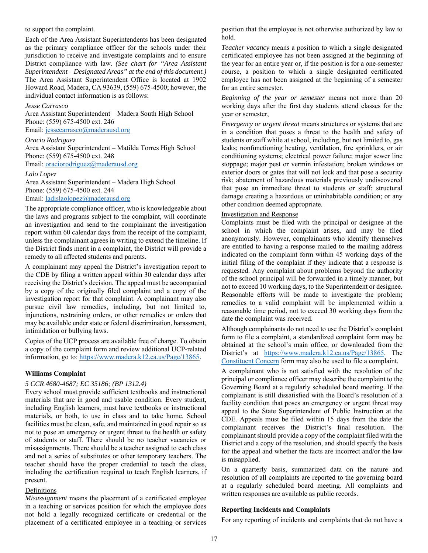to support the complaint.

Each of the Area Assistant Superintendents has been designated as the primary compliance officer for the schools under their jurisdiction to receive and investigate complaints and to ensure District compliance with law. *(See chart for "Area Assistant Superintendent – Designated Areas" at the end of this document.)* The Area Assistant Superintendent Office is located at 1902 Howard Road, Madera, CA 93639, (559) 675-4500; however, the individual contact information is as follows:

#### *Jesse Carrasco*

Area Assistant Superintendent – Madera South High School Phone: (559) 675-4500 ext. 246 Email: jessecarrasco@maderausd.org

#### *Oracio Rodriguez*

Area Assistant Superintendent – Matilda Torres High School Phone: (559) 675-4500 ext. 248

Email: oraciorodriguez@maderausd.org

#### *Lalo Lopez*

Area Assistant Superintendent – Madera High School Phone: (559) 675-4500 ext. 244 Email: ladislaolopez@maderausd.org

The appropriate compliance officer, who is knowledgeable about the laws and programs subject to the complaint, will coordinate an investigation and send to the complainant the investigation report within 60 calendar days from the receipt of the complaint, unless the complainant agrees in writing to extend the timeline. If the District finds merit in a complaint, the District will provide a remedy to all affected students and parents.

A complainant may appeal the District's investigation report to the CDE by filing a written appeal within 30 calendar days after receiving the District's decision. The appeal must be accompanied by a copy of the originally filed complaint and a copy of the investigation report for that complaint. A complainant may also pursue civil law remedies, including, but not limited to, injunctions, restraining orders, or other remedies or orders that may be available under state or federal discrimination, harassment, intimidation or bullying laws.

Copies of the UCP process are available free of charge. To obtain a copy of the complaint form and review additional UCP-related information, go to: https://www.madera.k12.ca.us/Page/13865.

#### **Williams Complaint**

#### *5 CCR 4680-4687; EC 35186; (BP 1312.4)*

Every school must provide sufficient textbooks and instructional materials that are in good and usable condition. Every student, including English learners, must have textbooks or instructional materials, or both, to use in class and to take home. School facilities must be clean, safe, and maintained in good repair so as not to pose an emergency or urgent threat to the health or safety of students or staff. There should be no teacher vacancies or misassignments. There should be a teacher assigned to each class and not a series of substitutes or other temporary teachers. The teacher should have the proper credential to teach the class, including the certification required to teach English learners, if present.

#### Definitions

*Misassignment* means the placement of a certificated employee in a teaching or services position for which the employee does not hold a legally recognized certificate or credential or the placement of a certificated employee in a teaching or services

position that the employee is not otherwise authorized by law to hold.

*Teacher vacancy* means a position to which a single designated certificated employee has not been assigned at the beginning of the year for an entire year or, if the position is for a one-semester course, a position to which a single designated certificated employee has not been assigned at the beginning of a semester for an entire semester.

*Beginning of the year or semester* means not more than 20 working days after the first day students attend classes for the year or semester,

*Emergency or urgent threat* means structures or systems that are in a condition that poses a threat to the health and safety of students or staff while at school, including, but not limited to, gas leaks; nonfunctioning heating, ventilation, fire sprinklers, or air conditioning systems; electrical power failure; major sewer line stoppage; major pest or vermin infestation; broken windows or exterior doors or gates that will not lock and that pose a security risk; abatement of hazardous materials previously undiscovered that pose an immediate threat to students or staff; structural damage creating a hazardous or uninhabitable condition; or any other condition deemed appropriate.

#### Investigation and Response

Complaints must be filed with the principal or designee at the school in which the complaint arises, and may be filed anonymously. However, complainants who identify themselves are entitled to having a response mailed to the mailing address indicated on the complaint form within 45 working days of the initial filing of the complaint if they indicate that a response is requested. Any complaint about problems beyond the authority of the school principal will be forwarded in a timely manner, but not to exceed 10 working days, to the Superintendent or designee. Reasonable efforts will be made to investigate the problem; remedies to a valid complaint will be implemented within a reasonable time period, not to exceed 30 working days from the date the complaint was received.

Although complainants do not need to use the District's complaint form to file a complaint, a standardized complaint form may be obtained at the school's main office, or downloaded from the District's at https://www.madera.k12.ca.us/Page/13865. The Constituent Concern form may also be used to file a complaint.

A complainant who is not satisfied with the resolution of the principal or compliance officer may describe the complaint to the Governing Board at a regularly scheduled board meeting. If the complainant is still dissatisfied with the Board's resolution of a facility condition that poses an emergency or urgent threat may appeal to the State Superintendent of Public Instruction at the CDE. Appeals must be filed within 15 days from the date the complainant receives the District's final resolution. The complainant should provide a copy of the complaint filed with the District and a copy of the resolution, and should specify the basis for the appeal and whether the facts are incorrect and/or the law is misapplied.

On a quarterly basis, summarized data on the nature and resolution of all complaints are reported to the governing board at a regularly scheduled board meeting. All complaints and written responses are available as public records.

#### **Reporting Incidents and Complaints**

For any reporting of incidents and complaints that do not have a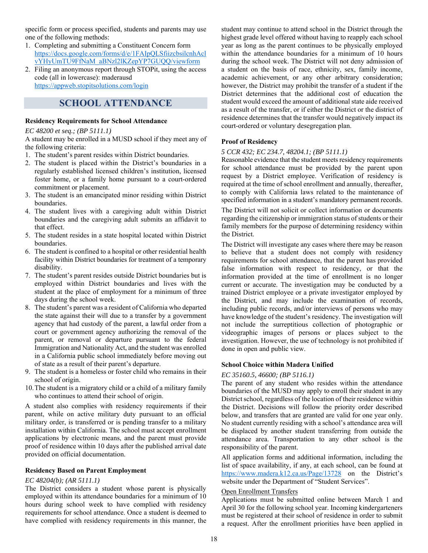specific form or process specified, students and parents may use one of the following methods:

- 1. Completing and submitting a Constituent Concern form https://docs.google.com/forms/d/e/1FAIpQLSfiizcbsilcnhAcl vYHyUmTU9FfNaM\_aBNzl2lKZepYP7GUQQ/viewform
- 2. Filing an anonymous report through STOPit, using the access code (all in lowercase): maderausd https://appweb.stopitsolutions.com/login

### **SCHOOL ATTENDANCE**

#### **Residency Requirements for School Attendance**

#### *EC 48200 et seq.; (BP 5111.1)*

A student may be enrolled in a MUSD school if they meet any of the following criteria:

- 1. The student's parent resides within District boundaries.
- 2. The student is placed within the District's boundaries in a regularly established licensed children's institution, licensed foster home, or a family home pursuant to a court-ordered commitment or placement.
- 3. The student is an emancipated minor residing within District boundaries.
- 4. The student lives with a caregiving adult within District boundaries and the caregiving adult submits an affidavit to that effect.
- 5. The student resides in a state hospital located within District boundaries.
- 6. The student is confined to a hospital or other residential health facility within District boundaries for treatment of a temporary disability.
- 7. The student's parent resides outside District boundaries but is employed within District boundaries and lives with the student at the place of employment for a minimum of three days during the school week.
- 8. The student's parent was a resident of California who departed the state against their will due to a transfer by a government agency that had custody of the parent, a lawful order from a court or government agency authorizing the removal of the parent, or removal or departure pursuant to the federal Immigration and Nationality Act, and the student was enrolled in a California public school immediately before moving out of state as a result of their parent's departure.
- 9. The student is a homeless or foster child who remains in their school of origin.
- 10.The student is a migratory child or a child of a military family who continues to attend their school of origin.

A student also complies with residency requirements if their parent, while on active military duty pursuant to an official military order, is transferred or is pending transfer to a military installation within California. The school must accept enrollment applications by electronic means, and the parent must provide proof of residence within 10 days after the published arrival date provided on official documentation.

#### **Residency Based on Parent Employment**

#### *EC 48204(b); (AR 5111.1)*

The District considers a student whose parent is physically employed within its attendance boundaries for a minimum of 10 hours during school week to have complied with residency requirements for school attendance. Once a student is deemed to have complied with residency requirements in this manner, the

student may continue to attend school in the District through the highest grade level offered without having to reapply each school year as long as the parent continues to be physically employed within the attendance boundaries for a minimum of 10 hours during the school week. The District will not deny admission of a student on the basis of race, ethnicity, sex, family income, academic achievement, or any other arbitrary consideration; however, the District may prohibit the transfer of a student if the District determines that the additional cost of education the student would exceed the amount of additional state aide received as a result of the transfer, or if either the District or the district of residence determines that the transfer would negatively impact its court-ordered or voluntary desegregation plan.

#### **Proof of Residency**

#### *5 CCR 432; EC 234.7, 48204.1; (BP 5111.1)*

Reasonable evidence that the student meets residency requirements for school attendance must be provided by the parent upon request by a District employee. Verification of residency is required at the time of school enrollment and annually, thereafter, to comply with California laws related to the maintenance of specified information in a student's mandatory permanent records.

The District will not solicit or collect information or documents regarding the citizenship or immigration status of students or their family members for the purpose of determining residency within the District.

The District will investigate any cases where there may be reason to believe that a student does not comply with residency requirements for school attendance, that the parent has provided false information with respect to residency, or that the information provided at the time of enrollment is no longer current or accurate. The investigation may be conducted by a trained District employee or a private investigator employed by the District, and may include the examination of records, including public records, and/or interviews of persons who may have knowledge of the student's residency. The investigation will not include the surreptitious collection of photographic or videographic images of persons or places subject to the investigation. However, the use of technology is not prohibited if done in open and public view.

#### **School Choice within Madera Unified**

#### *EC 35160.5, 46600; (BP 5116.1)*

The parent of any student who resides within the attendance boundaries of the MUSD may apply to enroll their student in any District school, regardless of the location of their residence within the District. Decisions will follow the priority order described below, and transfers that are granted are valid for one year only. No student currently residing with a school's attendance area will be displaced by another student transferring from outside the attendance area. Transportation to any other school is the responsibility of the parent.

All application forms and additional information, including the list of space availability, if any, at each school, can be found at https://www.madera.k12.ca.us/Page/13728 on the District's website under the Department of "Student Services".

#### Open Enrollment Transfers

Applications must be submitted online between March 1 and April 30 for the following school year. Incoming kindergarteners must be registered at their school of residence in order to submit a request. After the enrollment priorities have been applied in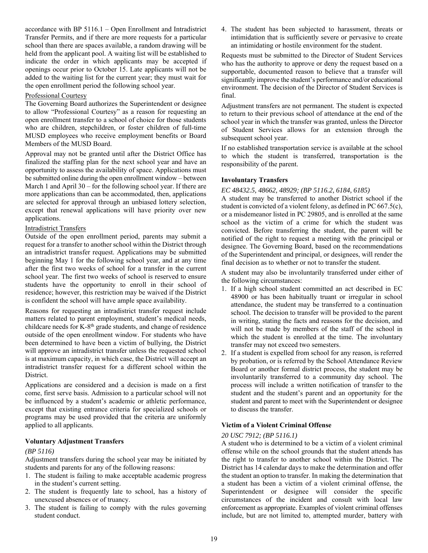accordance with BP 5116.1 – Open Enrollment and Intradistrict Transfer Permits, and if there are more requests for a particular school than there are spaces available, a random drawing will be held from the applicant pool. A waiting list will be established to indicate the order in which applicants may be accepted if openings occur prior to October 15. Late applicants will not be added to the waiting list for the current year; they must wait for the open enrollment period the following school year.

#### Professional Courtesy

The Governing Board authorizes the Superintendent or designee to allow "Professional Courtesy" as a reason for requesting an open enrollment transfer to a school of choice for those students who are children, stepchildren, or foster children of full-time MUSD employees who receive employment benefits or Board Members of the MUSD Board.

Approval may not be granted until after the District Office has finalized the staffing plan for the next school year and have an opportunity to assess the availability of space. Applications must be submitted online during the open enrollment window – between March 1 and April 30 – for the following school year. If there are more applications than can be accommodated, then, applications are selected for approval through an unbiased lottery selection, except that renewal applications will have priority over new applications.

#### Intradistrict Transfers

Outside of the open enrollment period, parents may submit a request for a transfer to another school within the District through an intradistrict transfer request. Applications may be submitted beginning May 1 for the following school year, and at any time after the first two weeks of school for a transfer in the current school year. The first two weeks of school is reserved to ensure students have the opportunity to enroll in their school of residence; however, this restriction may be waived if the District is confident the school will have ample space availability.

Reasons for requesting an intradistrict transfer request include matters related to parent employment, student's medical needs, childcare needs for K-8th grade students, and change of residence outside of the open enrollment window. For students who have been determined to have been a victim of bullying, the District will approve an intradistrict transfer unless the requested school is at maximum capacity, in which case, the District will accept an intradistrict transfer request for a different school within the District.

Applications are considered and a decision is made on a first come, first serve basis. Admission to a particular school will not be influenced by a student's academic or athletic performance, except that existing entrance criteria for specialized schools or programs may be used provided that the criteria are uniformly applied to all applicants.

#### **Voluntary Adjustment Transfers**

#### *(BP 5116)*

Adjustment transfers during the school year may be initiated by students and parents for any of the following reasons:

- 1. The student is failing to make acceptable academic progress in the student's current setting.
- 2. The student is frequently late to school, has a history of unexcused absences or of truancy.
- 3. The student is failing to comply with the rules governing student conduct.

4. The student has been subjected to harassment, threats or intimidation that is sufficiently severe or pervasive to create an intimidating or hostile environment for the student.

Requests must be submitted to the Director of Student Services who has the authority to approve or deny the request based on a supportable, documented reason to believe that a transfer will significantly improve the student's performance and/or educational environment. The decision of the Director of Student Services is final.

Adjustment transfers are not permanent. The student is expected to return to their previous school of attendance at the end of the school year in which the transfer was granted, unless the Director of Student Services allows for an extension through the subsequent school year.

If no established transportation service is available at the school to which the student is transferred, transportation is the responsibility of the parent.

#### **Involuntary Transfers**

*EC 48432.5, 48662, 48929; (BP 5116.2, 6184, 6185)* 

A student may be transferred to another District school if the student is convicted of a violent felony, as defined in PC 667.5(c), or a misdemeanor listed in PC 29805, and is enrolled at the same school as the victim of a crime for which the student was convicted. Before transferring the student, the parent will be notified of the right to request a meeting with the principal or designee. The Governing Board, based on the recommendations of the Superintendent and principal, or designees, will render the final decision as to whether or not to transfer the student.

A student may also be involuntarily transferred under either of the following circumstances:

- 1. If a high school student committed an act described in EC 48900 or has been habitually truant or irregular in school attendance, the student may be transferred to a continuation school. The decision to transfer will be provided to the parent in writing, stating the facts and reasons for the decision, and will not be made by members of the staff of the school in which the student is enrolled at the time. The involuntary transfer may not exceed two semesters.
- 2. If a student is expelled from school for any reason, is referred by probation, or is referred by the School Attendance Review Board or another formal district process, the student may be involuntarily transferred to a community day school. The process will include a written notification of transfer to the student and the student's parent and an opportunity for the student and parent to meet with the Superintendent or designee to discuss the transfer.

#### **Victim of a Violent Criminal Offense**

#### *20 USC 7912; (BP 5116.1)*

A student who is determined to be a victim of a violent criminal offense while on the school grounds that the student attends has the right to transfer to another school within the District. The District has 14 calendar days to make the determination and offer the student an option to transfer. In making the determination that a student has been a victim of a violent criminal offense, the Superintendent or designee will consider the specific circumstances of the incident and consult with local law enforcement as appropriate. Examples of violent criminal offenses include, but are not limited to, attempted murder, battery with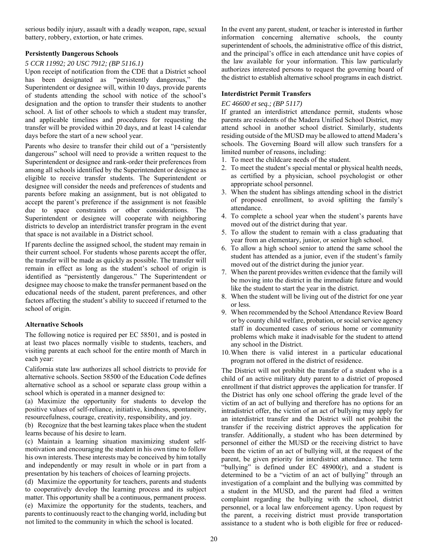serious bodily injury, assault with a deadly weapon, rape, sexual battery, robbery, extortion, or hate crimes.

#### **Persistently Dangerous Schools**

#### *5 CCR 11992; 20 USC 7912; (BP 5116.1)*

Upon receipt of notification from the CDE that a District school has been designated as "persistently dangerous," the Superintendent or designee will, within 10 days, provide parents of students attending the school with notice of the school's designation and the option to transfer their students to another school. A list of other schools to which a student may transfer, and applicable timelines and procedures for requesting the transfer will be provided within 20 days, and at least 14 calendar days before the start of a new school year.

Parents who desire to transfer their child out of a "persistently dangerous" school will need to provide a written request to the Superintendent or designee and rank-order their preferences from among all schools identified by the Superintendent or designee as eligible to receive transfer students. The Superintendent or designee will consider the needs and preferences of students and parents before making an assignment, but is not obligated to accept the parent's preference if the assignment is not feasible due to space constraints or other considerations. The Superintendent or designee will cooperate with neighboring districts to develop an interdistrict transfer program in the event that space is not available in a District school.

If parents decline the assigned school, the student may remain in their current school. For students whose parents accept the offer, the transfer will be made as quickly as possible. The transfer will remain in effect as long as the student's school of origin is identified as "persistently dangerous." The Superintendent or designee may choose to make the transfer permanent based on the educational needs of the student, parent preferences, and other factors affecting the student's ability to succeed if returned to the school of origin.

#### **Alternative Schools**

The following notice is required per EC 58501, and is posted in at least two places normally visible to students, teachers, and visiting parents at each school for the entire month of March in each year:

California state law authorizes all school districts to provide for alternative schools. Section 58500 of the Education Code defines alternative school as a school or separate class group within a school which is operated in a manner designed to:

(a) Maximize the opportunity for students to develop the positive values of self-reliance, initiative, kindness, spontaneity, resourcefulness, courage, creativity, responsibility, and joy.

(b) Recognize that the best learning takes place when the student learns because of his desire to learn.

(c) Maintain a learning situation maximizing student selfmotivation and encouraging the student in his own time to follow his own interests. These interests may be conceived by him totally and independently or may result in whole or in part from a presentation by his teachers of choices of learning projects.

(d) Maximize the opportunity for teachers, parents and students to cooperatively develop the learning process and its subject matter. This opportunity shall be a continuous, permanent process. (e) Maximize the opportunity for the students, teachers, and parents to continuously react to the changing world, including but not limited to the community in which the school is located.

In the event any parent, student, or teacher is interested in further information concerning alternative schools, the county superintendent of schools, the administrative office of this district, and the principal's office in each attendance unit have copies of the law available for your information. This law particularly authorizes interested persons to request the governing board of the district to establish alternative school programs in each district.

#### **Interdistrict Permit Transfers**

#### *EC 46600 et seq.; (BP 5117)*

If granted an interdistrict attendance permit, students whose parents are residents of the Madera Unified School District, may attend school in another school district. Similarly, students residing outside of the MUSD may be allowed to attend Madera's schools. The Governing Board will allow such transfers for a limited number of reasons, including:

- 1. To meet the childcare needs of the student.
- 2. To meet the student's special mental or physical health needs, as certified by a physician, school psychologist or other appropriate school personnel.
- 3. When the student has siblings attending school in the district of proposed enrollment, to avoid splitting the family's attendance.
- 4. To complete a school year when the student's parents have moved out of the district during that year.
- 5. To allow the student to remain with a class graduating that year from an elementary, junior, or senior high school.
- 6. To allow a high school senior to attend the same school the student has attended as a junior, even if the student's family moved out of the district during the junior year.
- 7. When the parent provides written evidence that the family will be moving into the district in the immediate future and would like the student to start the year in the district.
- 8. When the student will be living out of the district for one year or less.
- 9. When recommended by the School Attendance Review Board or by county child welfare, probation, or social service agency staff in documented cases of serious home or community problems which make it inadvisable for the student to attend any school in the District.
- 10.When there is valid interest in a particular educational program not offered in the district of residence.

The District will not prohibit the transfer of a student who is a child of an active military duty parent to a district of proposed enrollment if that district approves the application for transfer. If the District has only one school offering the grade level of the victim of an act of bullying and therefore has no options for an intradistrict offer, the victim of an act of bullying may apply for an interdistrict transfer and the District will not prohibit the transfer if the receiving district approves the application for transfer. Additionally, a student who has been determined by personnel of either the MUSD or the receiving district to have been the victim of an act of bullying will, at the request of the parent, be given priority for interdistrict attendance. The term "bullying" is defined under EC 48900(r), and a student is determined to be a "victim of an act of bullying" through an investigation of a complaint and the bullying was committed by a student in the MUSD, and the parent had filed a written complaint regarding the bullying with the school, district personnel, or a local law enforcement agency. Upon request by the parent, a receiving district must provide transportation assistance to a student who is both eligible for free or reduced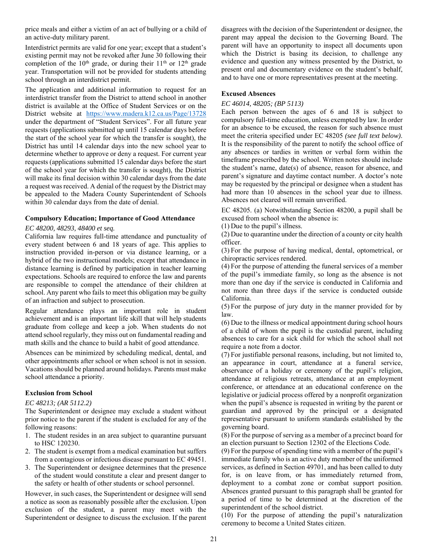price meals and either a victim of an act of bullying or a child of an active-duty military parent.

Interdistrict permits are valid for one year; except that a student's existing permit may not be revoked after June 30 following their completion of the  $10^{th}$  grade, or during their  $11^{th}$  or  $12^{th}$  grade year. Transportation will not be provided for students attending school through an interdistrict permit.

The application and additional information to request for an interdistrict transfer from the District to attend school in another district is available at the Office of Student Services or on the District website at https://www.madera.k12.ca.us/Page/13728 under the department of "Student Services". For all future year requests (applications submitted up until 15 calendar days before the start of the school year for which the transfer is sought), the District has until 14 calendar days into the new school year to determine whether to approve or deny a request. For current year requests (applications submitted 15 calendar days before the start of the school year for which the transfer is sought), the District will make its final decision within 30 calendar days from the date a request was received. A denial of the request by the District may be appealed to the Madera County Superintendent of Schools within 30 calendar days from the date of denial.

#### **Compulsory Education; Importance of Good Attendance**

#### *EC 48200, 48293, 48400 et seq.*

California law requires full-time attendance and punctuality of every student between 6 and 18 years of age. This applies to instruction provided in-person or via distance learning, or a hybrid of the two instructional models; except that attendance in distance learning is defined by participation in teacher learning expectations. Schools are required to enforce the law and parents are responsible to compel the attendance of their children at school. Any parent who fails to meet this obligation may be guilty of an infraction and subject to prosecution.

Regular attendance plays an important role in student achievement and is an important life skill that will help students graduate from college and keep a job. When students do not attend school regularly, they miss out on fundamental reading and math skills and the chance to build a habit of good attendance.

Absences can be minimized by scheduling medical, dental, and other appointments after school or when school is not in session. Vacations should be planned around holidays. Parents must make school attendance a priority.

#### **Exclusion from School**

#### *EC 48213; (AR 5112.2)*

The Superintendent or designee may exclude a student without prior notice to the parent if the student is excluded for any of the following reasons:

- 1. The student resides in an area subject to quarantine pursuant to HSC 120230.
- 2. The student is exempt from a medical examination but suffers from a contagious or infectious disease pursuant to EC 49451.
- 3. The Superintendent or designee determines that the presence of the student would constitute a clear and present danger to the safety or health of other students or school personnel.

However, in such cases, the Superintendent or designee will send a notice as soon as reasonably possible after the exclusion. Upon exclusion of the student, a parent may meet with the Superintendent or designee to discuss the exclusion. If the parent disagrees with the decision of the Superintendent or designee, the parent may appeal the decision to the Governing Board. The parent will have an opportunity to inspect all documents upon which the District is basing its decision, to challenge any evidence and question any witness presented by the District, to present oral and documentary evidence on the student's behalf, and to have one or more representatives present at the meeting.

#### **Excused Absences**

#### *EC 46014, 48205; (BP 5113)*

Each person between the ages of 6 and 18 is subject to compulsory full-time education, unless exempted by law. In order for an absence to be excused, the reason for such absence must meet the criteria specified under EC 48205 *(see full text below)*. It is the responsibility of the parent to notify the school office of any absences or tardies in written or verbal form within the timeframe prescribed by the school. Written notes should include the student's name, date(s) of absence, reason for absence, and parent's signature and daytime contact number. A doctor's note may be requested by the principal or designee when a student has had more than 10 absences in the school year due to illness. Absences not cleared will remain unverified.

EC 48205. (a) Notwithstanding Section 48200, a pupil shall be excused from school when the absence is:

(1) Due to the pupil's illness.

(2) Due to quarantine under the direction of a county or city health officer.

(3) For the purpose of having medical, dental, optometrical, or chiropractic services rendered.

(4) For the purpose of attending the funeral services of a member of the pupil's immediate family, so long as the absence is not more than one day if the service is conducted in California and not more than three days if the service is conducted outside California.

(5) For the purpose of jury duty in the manner provided for by law.

(6) Due to the illness or medical appointment during school hours of a child of whom the pupil is the custodial parent, including absences to care for a sick child for which the school shall not require a note from a doctor.

(7) For justifiable personal reasons, including, but not limited to, an appearance in court, attendance at a funeral service, observance of a holiday or ceremony of the pupil's religion, attendance at religious retreats, attendance at an employment conference, or attendance at an educational conference on the legislative or judicial process offered by a nonprofit organization when the pupil's absence is requested in writing by the parent or guardian and approved by the principal or a designated representative pursuant to uniform standards established by the governing board.

(8) For the purpose of serving as a member of a precinct board for an election pursuant to Section 12302 of the Elections Code.

(9) For the purpose of spending time with a member of the pupil's immediate family who is an active duty member of the uniformed services, as defined in Section 49701, and has been called to duty for, is on leave from, or has immediately returned from, deployment to a combat zone or combat support position. Absences granted pursuant to this paragraph shall be granted for a period of time to be determined at the discretion of the superintendent of the school district.

(10) For the purpose of attending the pupil's naturalization ceremony to become a United States citizen.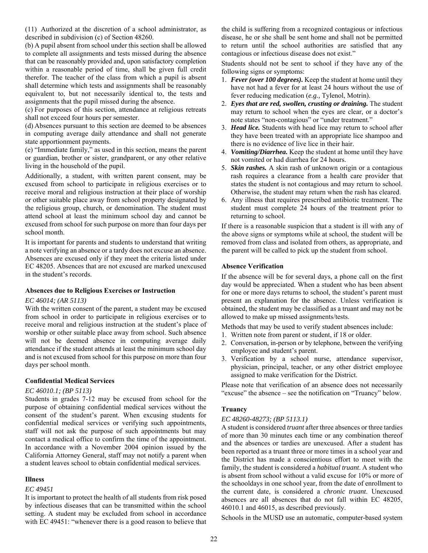(11) Authorized at the discretion of a school administrator, as described in subdivision (c) of Section 48260.

(b) A pupil absent from school under this section shall be allowed to complete all assignments and tests missed during the absence that can be reasonably provided and, upon satisfactory completion within a reasonable period of time, shall be given full credit therefor. The teacher of the class from which a pupil is absent shall determine which tests and assignments shall be reasonably equivalent to, but not necessarily identical to, the tests and assignments that the pupil missed during the absence.

(c) For purposes of this section, attendance at religious retreats shall not exceed four hours per semester.

(d) Absences pursuant to this section are deemed to be absences in computing average daily attendance and shall not generate state apportionment payments.

(e) "Immediate family," as used in this section, means the parent or guardian, brother or sister, grandparent, or any other relative living in the household of the pupil.

Additionally, a student, with written parent consent, may be excused from school to participate in religious exercises or to receive moral and religious instruction at their place of worship or other suitable place away from school property designated by the religious group, church, or denomination. The student must attend school at least the minimum school day and cannot be excused from school for such purpose on more than four days per school month.

It is important for parents and students to understand that writing a note verifying an absence or a tardy does not excuse an absence. Absences are excused only if they meet the criteria listed under EC 48205. Absences that are not excused are marked unexcused in the student's records.

#### **Absences due to Religious Exercises or Instruction**

#### *EC 46014; (AR 5113)*

With the written consent of the parent, a student may be excused from school in order to participate in religious exercises or to receive moral and religious instruction at the student's place of worship or other suitable place away from school. Such absence will not be deemed absence in computing average daily attendance if the student attends at least the minimum school day and is not excused from school for this purpose on more than four days per school month.

#### **Confidential Medical Services**

#### *EC 46010.1; (BP 5113)*

Students in grades 7-12 may be excused from school for the purpose of obtaining confidential medical services without the consent of the student's parent. When excusing students for confidential medical services or verifying such appointments, staff will not ask the purpose of such appointments but may contact a medical office to confirm the time of the appointment. In accordance with a November 2004 opinion issued by the California Attorney General, staff may not notify a parent when a student leaves school to obtain confidential medical services.

#### **Illness**

#### *EC 49451*

It is important to protect the health of all students from risk posed by infectious diseases that can be transmitted within the school setting. A student may be excluded from school in accordance with EC 49451: "whenever there is a good reason to believe that the child is suffering from a recognized contagious or infectious disease, he or she shall be sent home and shall not be permitted to return until the school authorities are satisfied that any contagious or infectious disease does not exist."

Students should not be sent to school if they have any of the following signs or symptoms:

- 1. *Fever (over 100 degrees).* Keep the student at home until they have not had a fever for at least 24 hours without the use of fever reducing medication (*e.g.,* Tylenol, Motrin).
- 2. *Eyes that are red, swollen, crusting or draining.* The student may return to school when the eyes are clear, or a doctor's note states "non-contagious" or "under treatment."
- 3. *Head lice.* Students with head lice may return to school after they have been treated with an appropriate lice shampoo and there is no evidence of live lice in their hair.
- 4. *Vomiting/Diarrhea.* Keep the student at home until they have not vomited or had diarrhea for 24 hours.
- 5. *Skin rashes.* A skin rash of unknown origin or a contagious rash requires a clearance from a health care provider that states the student is not contagious and may return to school. Otherwise, the student may return when the rash has cleared.
- 6. Any illness that requires prescribed antibiotic treatment. The student must complete 24 hours of the treatment prior to returning to school.

If there is a reasonable suspicion that a student is ill with any of the above signs or symptoms while at school, the student will be removed from class and isolated from others, as appropriate, and the parent will be called to pick up the student from school.

#### **Absence Verification**

If the absence will be for several days, a phone call on the first day would be appreciated. When a student who has been absent for one or more days returns to school, the student's parent must present an explanation for the absence. Unless verification is obtained, the student may be classified as a truant and may not be allowed to make up missed assignments/tests.

Methods that may be used to verify student absences include:

- 1. Written note from parent or student, if 18 or older.
- 2. Conversation, in-person or by telephone, between the verifying employee and student's parent.
- 3. Verification by a school nurse, attendance supervisor, physician, principal, teacher, or any other district employee assigned to make verification for the District.

Please note that verification of an absence does not necessarily "excuse" the absence – see the notification on "Truancy" below.

#### **Truancy**

#### *EC 48260-48273; (BP 5113.1)*

A student is considered *truant* after three absences or three tardies of more than 30 minutes each time or any combination thereof and the absences or tardies are unexcused. After a student has been reported as a truant three or more times in a school year and the District has made a conscientious effort to meet with the family, the student is considered a *habitual truant*. A student who is absent from school without a valid excuse for 10% or more of the schooldays in one school year, from the date of enrollment to the current date, is considered a *chronic truant*. Unexcused absences are all absences that do not fall within EC 48205, 46010.1 and 46015, as described previously.

Schools in the MUSD use an automatic, computer-based system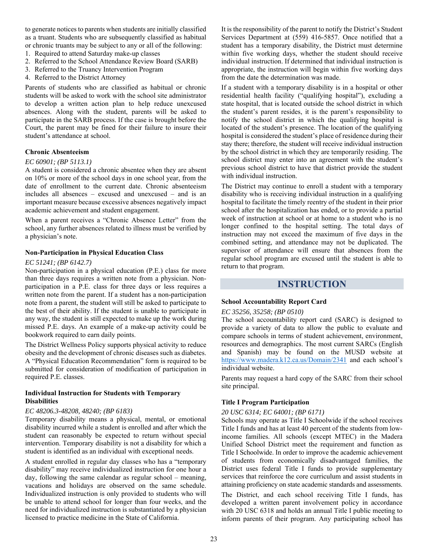to generate notices to parents when students are initially classified as a truant. Students who are subsequently classified as habitual or chronic truants may be subject to any or all of the following:

- 1. Required to attend Saturday make-up classes
- 2. Referred to the School Attendance Review Board (SARB)
- 3. Referred to the Truancy Intervention Program
- 4. Referred to the District Attorney

Parents of students who are classified as habitual or chronic students will be asked to work with the school site administrator to develop a written action plan to help reduce unexcused absences. Along with the student, parents will be asked to participate in the SARB process. If the case is brought before the Court, the parent may be fined for their failure to insure their student's attendance at school.

#### **Chronic Absenteeism**

#### *EC 60901; (BP 5113.1)*

A student is considered a chronic absentee when they are absent on 10% or more of the school days in one school year, from the date of enrollment to the current date. Chronic absenteeism includes all absences – excused and unexcused – and is an important measure because excessive absences negatively impact academic achievement and student engagement.

When a parent receives a "Chronic Absence Letter" from the school, any further absences related to illness must be verified by a physician's note.

#### **Non-Participation in Physical Education Class**

#### *EC 51241; (BP 6142.7)*

Non-participation in a physical education (P.E.) class for more than three days requires a written note from a physician. Nonparticipation in a P.E. class for three days or less requires a written note from the parent. If a student has a non-participation note from a parent, the student will still be asked to participate to the best of their ability. If the student is unable to participate in any way, the student is still expected to make up the work during missed P.E. days. An example of a make-up activity could be bookwork required to earn daily points.

The District Wellness Policy supports physical activity to reduce obesity and the development of chronic diseases such as diabetes. A "Physical Education Recommendation" form is required to be submitted for consideration of modification of participation in required P.E. classes.

#### **Individual Instruction for Students with Temporary Disabilities**

#### *EC 48206.3-48208, 48240; (BP 6183)*

Temporary disability means a physical, mental, or emotional disability incurred while a student is enrolled and after which the student can reasonably be expected to return without special intervention. Temporary disability is not a disability for which a student is identified as an individual with exceptional needs.

A student enrolled in regular day classes who has a "temporary disability" may receive individualized instruction for one hour a day, following the same calendar as regular school – meaning, vacations and holidays are observed on the same schedule. Individualized instruction is only provided to students who will be unable to attend school for longer than four weeks, and the need for individualized instruction is substantiated by a physician licensed to practice medicine in the State of California.

It is the responsibility of the parent to notify the District's Student Services Department at (559) 416-5857. Once notified that a student has a temporary disability, the District must determine within five working days, whether the student should receive individual instruction. If determined that individual instruction is appropriate, the instruction will begin within five working days from the date the determination was made.

If a student with a temporary disability is in a hospital or other residential health facility ("qualifying hospital"), excluding a state hospital, that is located outside the school district in which the student's parent resides, it is the parent's responsibility to notify the school district in which the qualifying hospital is located of the student's presence. The location of the qualifying hospital is considered the student's place of residence during their stay there; therefore, the student will receive individual instruction by the school district in which they are temporarily residing. The school district may enter into an agreement with the student's previous school district to have that district provide the student with individual instruction.

The District may continue to enroll a student with a temporary disability who is receiving individual instruction in a qualifying hospital to facilitate the timely reentry of the student in their prior school after the hospitalization has ended, or to provide a partial week of instruction at school or at home to a student who is no longer confined to the hospital setting. The total days of instruction may not exceed the maximum of five days in the combined setting, and attendance may not be duplicated. The supervisor of attendance will ensure that absences from the regular school program are excused until the student is able to return to that program.

### **INSTRUCTION**

#### **School Accountability Report Card**

#### *EC 35256, 35258; (BP 0510)*

The school accountability report card (SARC) is designed to provide a variety of data to allow the public to evaluate and compare schools in terms of student achievement, environment, resources and demographics. The most current SARCs (English and Spanish) may be found on the MUSD website at https://www.madera.k12.ca.us/Domain/2341 and each school's individual website.

Parents may request a hard copy of the SARC from their school site principal.

#### **Title I Program Participation**

#### *20 USC 6314; EC 64001; (BP 6171)*

Schools may operate as Title I Schoolwide if the school receives Title I funds and has at least 40 percent of the students from lowincome families. All schools (except MTEC) in the Madera Unified School District meet the requirement and function as Title I Schoolwide. In order to improve the academic achievement of students from economically disadvantaged families, the District uses federal Title I funds to provide supplementary services that reinforce the core curriculum and assist students in attaining proficiency on state academic standards and assessments.

The District, and each school receiving Title I funds, has developed a written parent involvement policy in accordance with 20 USC 6318 and holds an annual Title I public meeting to inform parents of their program. Any participating school has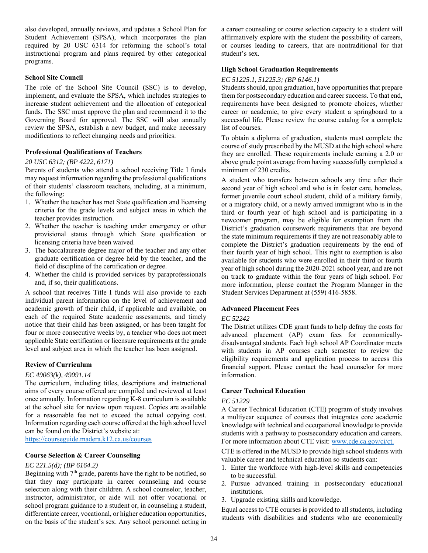also developed, annually reviews, and updates a School Plan for Student Achievement (SPSA), which incorporates the plan required by 20 USC 6314 for reforming the school's total instructional program and plans required by other categorical programs.

#### **School Site Council**

The role of the School Site Council (SSC) is to develop, implement, and evaluate the SPSA, which includes strategies to increase student achievement and the allocation of categorical funds. The SSC must approve the plan and recommend it to the Governing Board for approval. The SSC will also annually review the SPSA, establish a new budget, and make necessary modifications to reflect changing needs and priorities.

#### **Professional Qualifications of Teachers**

#### *20 USC 6312; (BP 4222, 6171)*

Parents of students who attend a school receiving Title I funds may request information regarding the professional qualifications of their students' classroom teachers, including, at a minimum, the following:

- 1. Whether the teacher has met State qualification and licensing criteria for the grade levels and subject areas in which the teacher provides instruction.
- 2. Whether the teacher is teaching under emergency or other provisional status through which State qualification or licensing criteria have been waived.
- 3. The baccalaureate degree major of the teacher and any other graduate certification or degree held by the teacher, and the field of discipline of the certification or degree.
- 4. Whether the child is provided services by paraprofessionals and, if so, their qualifications.

A school that receives Title I funds will also provide to each individual parent information on the level of achievement and academic growth of their child, if applicable and available, on each of the required State academic assessments, and timely notice that their child has been assigned, or has been taught for four or more consecutive weeks by, a teacher who does not meet applicable State certification or licensure requirements at the grade level and subject area in which the teacher has been assigned.

#### **Review of Curriculum**

#### *EC 49063(k), 49091.14*

The curriculum, including titles, descriptions and instructional aims of every course offered are compiled and reviewed at least once annually. Information regarding K-8 curriculum is available at the school site for review upon request. Copies are available for a reasonable fee not to exceed the actual copying cost. Information regarding each course offered at the high school level can be found on the District's website at:

https://courseguide.madera.k12.ca.us/courses

#### **Course Selection & Career Counseling**

#### *EC 221.5(d); (BP 6164.2)*

Beginning with  $7<sup>th</sup>$  grade, parents have the right to be notified, so that they may participate in career counseling and course selection along with their children. A school counselor, teacher, instructor, administrator, or aide will not offer vocational or school program guidance to a student or, in counseling a student, differentiate career, vocational, or higher education opportunities, on the basis of the student's sex. Any school personnel acting in a career counseling or course selection capacity to a student will affirmatively explore with the student the possibility of careers, or courses leading to careers, that are nontraditional for that student's sex.

#### **High School Graduation Requirements**

#### *EC 51225.1, 51225.3; (BP 6146.1)*

Students should, upon graduation, have opportunities that prepare them for postsecondary education and career success. To that end, requirements have been designed to promote choices, whether career or academic, to give every student a springboard to a successful life. Please review the course catalog for a complete list of courses.

To obtain a diploma of graduation, students must complete the course of study prescribed by the MUSD at the high school where they are enrolled. These requirements include earning a 2.0 or above grade point average from having successfully completed a minimum of 230 credits.

A student who transfers between schools any time after their second year of high school and who is in foster care, homeless, former juvenile court school student, child of a military family, or a migratory child, or a newly arrived immigrant who is in the third or fourth year of high school and is participating in a newcomer program, may be eligible for exemption from the District's graduation coursework requirements that are beyond the state minimum requirements if they are not reasonably able to complete the District's graduation requirements by the end of their fourth year of high school. This right to exemption is also available for students who were enrolled in their third or fourth year of high school during the 2020-2021 school year, and are not on track to graduate within the four years of high school. For more information, please contact the Program Manager in the Student Services Department at (559) 416-5858.

#### **Advanced Placement Fees**

#### *EC 52242*

The District utilizes CDE grant funds to help defray the costs for advanced placement (AP) exam fees for economicallydisadvantaged students. Each high school AP Coordinator meets with students in AP courses each semester to review the eligibility requirements and application process to access this financial support. Please contact the head counselor for more information.

#### **Career Technical Education**

#### *EC 51229*

A Career Technical Education (CTE) program of study involves a multiyear sequence of courses that integrates core academic knowledge with technical and occupational knowledge to provide students with a pathway to postsecondary education and careers. For more information about CTE visit: www.cde.ca.gov/ci/ct.

CTE is offered in the MUSD to provide high school students with valuable career and technical education so students can:

- 1. Enter the workforce with high-level skills and competencies to be successful.
- 2. Pursue advanced training in postsecondary educational institutions.
- 3. Upgrade existing skills and knowledge.

Equal access to CTE courses is provided to all students, including students with disabilities and students who are economically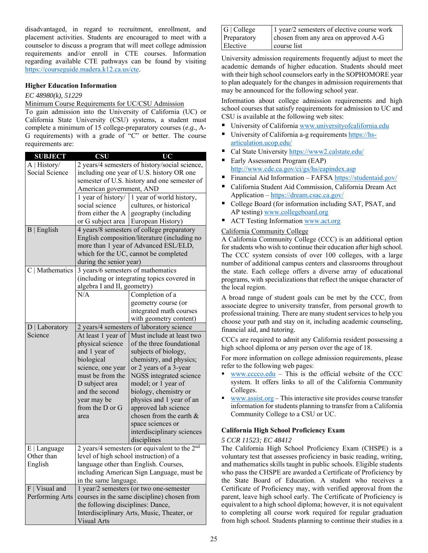disadvantaged, in regard to recruitment, enrollment, and placement activities. Students are encouraged to meet with a counselor to discuss a program that will meet college admission requirements and/or enroll in CTE courses. Information regarding available CTE pathways can be found by visiting https://courseguide.madera.k12.ca.us/cte.

#### **Higher Education Information**

#### *EC 48980(k), 51229*

#### Minimum Course Requirements for UC/CSU Admission

To gain admission into the University of California (UC) or California State University (CSU) systems, a student must complete a minimum of 15 college-preparatory courses (*e.g.,* A-G requirements) with a grade of "C" or better. The course requirements are:

| <b>SUBJECT</b>    | <b>CSU</b>                         | UC                                                        |
|-------------------|------------------------------------|-----------------------------------------------------------|
| A   History/      |                                    | 2 years/4 semesters of history/social science,            |
| Social Science    |                                    | including one year of U.S. history OR one                 |
|                   |                                    | semester of U.S. history and one semester of              |
|                   | American government, AND           |                                                           |
|                   | 1 year of history/                 | 1 year of world history,                                  |
|                   | social science                     | cultures, or historical                                   |
|                   | from either the A                  | geography (including                                      |
|                   |                                    | or G subject area   European History)                     |
| $B  $ English     |                                    | 4 years/8 semesters of college preparatory                |
|                   |                                    | English composition/literature (including no              |
|                   |                                    | more than 1 year of Advanced ESL/ELD,                     |
|                   |                                    | which for the UC, cannot be completed                     |
|                   | during the senior year)            |                                                           |
| $C$   Mathematics | 3 years/6 semesters of mathematics |                                                           |
|                   |                                    | (including or integrating topics covered in               |
|                   | algebra I and II, geometry)        |                                                           |
|                   | N/A                                | Completion of a                                           |
|                   |                                    | geometry course (or                                       |
|                   |                                    | integrated math courses                                   |
|                   |                                    | with geometry content)                                    |
| $D$   Laboratory  |                                    | 2 years/4 semesters of laboratory science                 |
| Science           | At least 1 year of                 | Must include at least two                                 |
|                   | physical science                   | of the three foundational                                 |
|                   |                                    | subjects of biology,                                      |
|                   | and 1 year of                      |                                                           |
|                   | biological                         | chemistry, and physics;                                   |
|                   | science, one year                  | or 2 years of a 3-year                                    |
|                   | must be from the                   | NGSS integrated science                                   |
|                   | D subject area                     | model; or 1 year of                                       |
|                   | and the second                     | biology, chemistry or                                     |
|                   | year may be                        | physics and 1 year of an                                  |
|                   | from the D or G                    | approved lab science                                      |
|                   | area                               | chosen from the earth &                                   |
|                   |                                    | space sciences or                                         |
|                   |                                    | interdisciplinary sciences                                |
|                   |                                    | disciplines                                               |
| $E$   Language    |                                    | 2 years/4 semesters (or equivalent to the 2 <sup>nd</sup> |
| Other than        |                                    | level of high school instruction) of a                    |
| English           |                                    | language other than English. Courses,                     |
|                   |                                    | including American Sign Language, must be                 |
|                   | in the same language.              |                                                           |
| $F$   Visual and  |                                    | 1 year/2 semesters (or two one-semester                   |
|                   |                                    |                                                           |
| Performing Arts   |                                    | courses in the same discipline) chosen from               |
|                   | the following disciplines: Dance,  |                                                           |
|                   |                                    | Interdisciplinary Arts, Music, Theater, or                |

| G   College | 1 year/2 semesters of elective course work |
|-------------|--------------------------------------------|
| Preparatory | chosen from any area on approved A-G       |
| Elective    | course list                                |

University admission requirements frequently adjust to meet the academic demands of higher education. Students should meet with their high school counselors early in the SOPHOMORE year to plan adequately for the changes in admission requirements that may be announced for the following school year.

Information about college admission requirements and high school courses that satisfy requirements for admission to UC and CSU is available at the following web sites:

- University of California www.universityofcalifornia.edu
- University of California a-g requirements https://hsarticulation.ucop.edu/
- Cal State University https://www2.calstate.edu/
- Early Assessment Program (EAP) http://www.cde.ca.gov/ci/gs/hs/eapindex.asp
- Financial Aid Information FAFSA https://studentaid.gov/
- California Student Aid Commission, California Dream Act Application – https://dream.csac.ca.gov/
- College Board (for information including SAT, PSAT, and AP testing) www.collegeboard.org
- ACT Testing Information www.act.org

#### California Community College

A California Community College (CCC) is an additional option for students who wish to continue their education after high school. The CCC system consists of over 100 colleges, with a large number of additional campus centers and classrooms throughout the state. Each college offers a diverse array of educational programs, with specializations that reflect the unique character of the local region.

A broad range of student goals can be met by the CCC, from associate degree to university transfer, from personal growth to professional training. There are many student services to help you choose your path and stay on it, including academic counseling, financial aid, and tutoring.

CCCs are required to admit any California resident possessing a high school diploma or any person over the age of 18.

For more information on college admission requirements, please refer to the following web pages:

- www.cccco.edu This is the official website of the CCC system. It offers links to all of the California Community Colleges.
- www.assist.org This interactive site provides course transfer information for students planning to transfer from a California Community College to a CSU or UC.

#### **California High School Proficiency Exam**

#### *5 CCR 11523; EC 48412*

The California High School Proficiency Exam (CHSPE) is a voluntary test that assesses proficiency in basic reading, writing, and mathematics skills taught in public schools. Eligible students who pass the CHSPE are awarded a Certificate of Proficiency by the State Board of Education. A student who receives a Certificate of Proficiency may, with verified approval from the parent, leave high school early. The Certificate of Proficiency is equivalent to a high school diploma; however, it is not equivalent to completing all course work required for regular graduation from high school. Students planning to continue their studies in a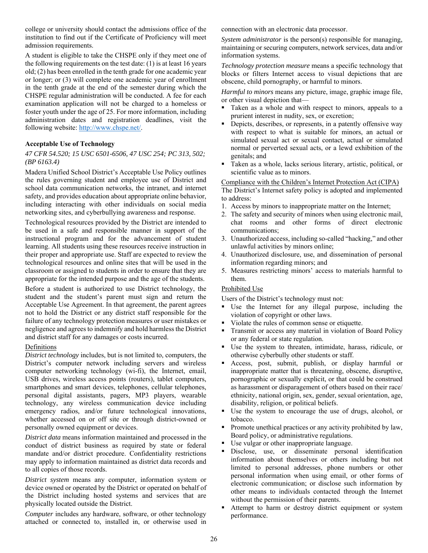college or university should contact the admissions office of the institution to find out if the Certificate of Proficiency will meet admission requirements.

A student is eligible to take the CHSPE only if they meet one of the following requirements on the test date:  $(1)$  is at least 16 years old; (2) has been enrolled in the tenth grade for one academic year or longer; or (3) will complete one academic year of enrollment in the tenth grade at the end of the semester during which the CHSPE regular administration will be conducted. A fee for each examination application will not be charged to a homeless or foster youth under the age of 25. For more information, including administration dates and registration deadlines, visit the following website: http://www.chspe.net/.

#### **Acceptable Use of Technology**

#### *47 CFR 54.520; 15 USC 6501-6506, 47 USC 254; PC 313, 502; (BP 6163.4)*

Madera Unified School District's Acceptable Use Policy outlines the rules governing student and employee use of District and school data communication networks, the intranet, and internet safety, and provides education about appropriate online behavior, including interacting with other individuals on social media networking sites, and cyberbullying awareness and response.

Technological resources provided by the District are intended to be used in a safe and responsible manner in support of the instructional program and for the advancement of student learning. All students using these resources receive instruction in their proper and appropriate use. Staff are expected to review the technological resources and online sites that will be used in the classroom or assigned to students in order to ensure that they are appropriate for the intended purpose and the age of the students.

Before a student is authorized to use District technology, the student and the student's parent must sign and return the Acceptable Use Agreement. In that agreement, the parent agrees not to hold the District or any district staff responsible for the failure of any technology protection measures or user mistakes or negligence and agrees to indemnify and hold harmless the District and district staff for any damages or costs incurred.

#### Definitions

*District technology* includes, but is not limited to, computers, the District's computer network including servers and wireless computer networking technology (wi-fi), the Internet, email, USB drives, wireless access points (routers), tablet computers, smartphones and smart devices, telephones, cellular telephones, personal digital assistants, pagers, MP3 players, wearable technology, any wireless communication device including emergency radios, and/or future technological innovations, whether accessed on or off site or through district-owned or personally owned equipment or devices.

*District data* means information maintained and processed in the conduct of district business as required by state or federal mandate and/or district procedure. Confidentiality restrictions may apply to information maintained as district data records and to all copies of those records.

*District system* means any computer, information system or device owned or operated by the District or operated on behalf of the District including hosted systems and services that are physically located outside the District.

*Computer* includes any hardware, software, or other technology attached or connected to, installed in, or otherwise used in connection with an electronic data processor.

*System administrator* is the person(s) responsible for managing, maintaining or securing computers, network services, data and/or information systems.

*Technology protection measure* means a specific technology that blocks or filters Internet access to visual depictions that are obscene, child pornography, or harmful to minors.

*Harmful to minors* means any picture, image, graphic image file, or other visual depiction that—

- Taken as a whole and with respect to minors, appeals to a prurient interest in nudity, sex, or excretion;
- Depicts, describes, or represents, in a patently offensive way with respect to what is suitable for minors, an actual or simulated sexual act or sexual contact, actual or simulated normal or perverted sexual acts, or a lewd exhibition of the genitals; and
- Taken as a whole, lacks serious literary, artistic, political, or scientific value as to minors.

#### Compliance with the Children's Internet Protection Act (CIPA)

The District's Internet safety policy is adopted and implemented to address:

- 1. Access by minors to inappropriate matter on the Internet;
- 2. The safety and security of minors when using electronic mail, chat rooms and other forms of direct electronic communications;
- 3. Unauthorized access, including so-called "hacking," and other unlawful activities by minors online;
- 4. Unauthorized disclosure, use, and dissemination of personal information regarding minors; and
- 5. Measures restricting minors' access to materials harmful to them.

#### Prohibited Use

Users of the District's technology must not:

- Use the Internet for any illegal purpose, including the violation of copyright or other laws.
- Violate the rules of common sense or etiquette.
- **Transmit or access any material in violation of Board Policy** or any federal or state regulation.
- Use the system to threaten, intimidate, harass, ridicule, or otherwise cyberbully other students or staff.
- Access, post, submit, publish, or display harmful or inappropriate matter that is threatening, obscene, disruptive, pornographic or sexually explicit, or that could be construed as harassment or disparagement of others based on their race/ ethnicity, national origin, sex, gender, sexual orientation, age, disability, religion, or political beliefs.
- Use the system to encourage the use of drugs, alcohol, or tobacco.
- Promote unethical practices or any activity prohibited by law, Board policy, or administrative regulations.
- Use vulgar or other inappropriate language.
- Disclose, use, or disseminate personal identification information about themselves or others including but not limited to personal addresses, phone numbers or other personal information when using email, or other forms of electronic communication; or disclose such information by other means to individuals contacted through the Internet without the permission of their parents.
- Attempt to harm or destroy district equipment or system performance.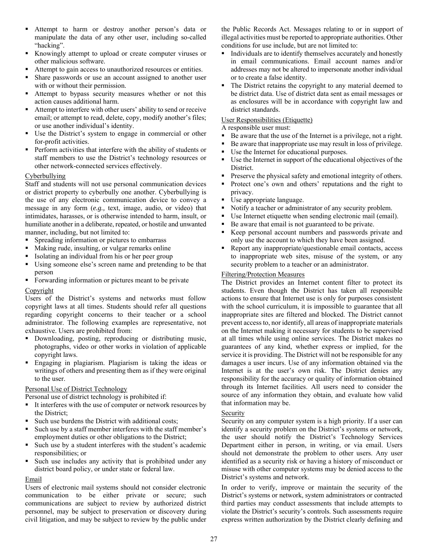- Attempt to harm or destroy another person's data or manipulate the data of any other user, including so-called "hacking".
- Knowingly attempt to upload or create computer viruses or other malicious software.
- Attempt to gain access to unauthorized resources or entities.
- Share passwords or use an account assigned to another user with or without their permission.
- Attempt to bypass security measures whether or not this action causes additional harm.
- Attempt to interfere with other users' ability to send or receive email; or attempt to read, delete, copy, modify another's files; or use another individual's identity.
- Use the District's system to engage in commercial or other for-profit activities.
- **Perform activities that interfere with the ability of students or** staff members to use the District's technology resources or other network-connected services effectively.

#### Cyberbullying

Staff and students will not use personal communication devices or district property to cyberbully one another. Cyberbullying is the use of any electronic communication device to convey a message in any form (*e.g.,* text, image, audio, or video) that intimidates, harasses, or is otherwise intended to harm, insult, or humiliate another in a deliberate, repeated, or hostile and unwanted manner, including, but not limited to:

- Spreading information or pictures to embarrass
- Making rude, insulting, or vulgar remarks online
- Isolating an individual from his or her peer group
- Using someone else's screen name and pretending to be that person
- **Forwarding information or pictures meant to be private**

#### Copyright

Users of the District's systems and networks must follow copyright laws at all times. Students should refer all questions regarding copyright concerns to their teacher or a school administrator. The following examples are representative, not exhaustive. Users are prohibited from:

- Downloading, posting, reproducing or distributing music, photographs, video or other works in violation of applicable copyright laws.
- Engaging in plagiarism. Plagiarism is taking the ideas or writings of others and presenting them as if they were original to the user.

#### Personal Use of District Technology

Personal use of district technology is prohibited if:

- It interferes with the use of computer or network resources by the District;
- Such use burdens the District with additional costs;
- Such use by a staff member interferes with the staff member's employment duties or other obligations to the District;
- Such use by a student interferes with the student's academic responsibilities; or
- Such use includes any activity that is prohibited under any district board policy, or under state or federal law.

#### Email

Users of electronic mail systems should not consider electronic communication to be either private or secure; such communications are subject to review by authorized district personnel, may be subject to preservation or discovery during civil litigation, and may be subject to review by the public under the Public Records Act. Messages relating to or in support of illegal activities must be reported to appropriate authorities. Other conditions for use include, but are not limited to:

- Individuals are to identify themselves accurately and honestly in email communications. Email account names and/or addresses may not be altered to impersonate another individual or to create a false identity.
- The District retains the copyright to any material deemed to be district data. Use of district data sent as email messages or as enclosures will be in accordance with copyright law and district standards.

#### User Responsibilities (Etiquette)

A responsible user must:

- Be aware that the use of the Internet is a privilege, not a right.
- Be aware that inappropriate use may result in loss of privilege.
- Use the Internet for educational purposes.
- Use the Internet in support of the educational objectives of the District.
- Preserve the physical safety and emotional integrity of others.
- **Protect one's own and others' reputations and the right to** privacy.
- Use appropriate language.
- Notify a teacher or administrator of any security problem.
- Use Internet etiquette when sending electronic mail (email).
- Be aware that email is not guaranteed to be private.
- Keep personal account numbers and passwords private and only use the account to which they have been assigned.
- Report any inappropriate/questionable email contacts, access to inappropriate web sites, misuse of the system, or any security problem to a teacher or an administrator.

#### Filtering/Protection Measures

The District provides an Internet content filter to protect its students. Even though the District has taken all responsible actions to ensure that Internet use is only for purposes consistent with the school curriculum, it is impossible to guarantee that all inappropriate sites are filtered and blocked. The District cannot prevent access to, nor identify, all areas of inappropriate materials on the Internet making it necessary for students to be supervised at all times while using online services. The District makes no guarantees of any kind, whether express or implied, for the service it is providing. The District will not be responsible for any damages a user incurs. Use of any information obtained via the Internet is at the user's own risk. The District denies any responsibility for the accuracy or quality of information obtained through its Internet facilities. All users need to consider the source of any information they obtain, and evaluate how valid that information may be.

#### Security

Security on any computer system is a high priority. If a user can identify a security problem on the District's systems or network, the user should notify the District's Technology Services Department either in person, in writing, or via email. Users should not demonstrate the problem to other users. Any user identified as a security risk or having a history of misconduct or misuse with other computer systems may be denied access to the District's systems and network.

In order to verify, improve or maintain the security of the District's systems or network, system administrators or contracted third parties may conduct assessments that include attempts to violate the District's security's controls. Such assessments require express written authorization by the District clearly defining and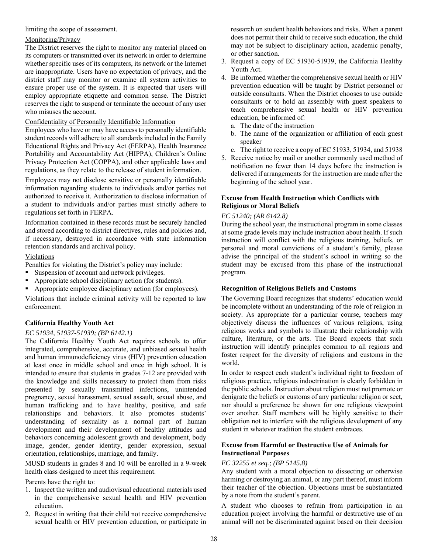limiting the scope of assessment.

#### Monitoring/Privacy

The District reserves the right to monitor any material placed on its computers or transmitted over its network in order to determine whether specific uses of its computers, its network or the Internet are inappropriate. Users have no expectation of privacy, and the district staff may monitor or examine all system activities to ensure proper use of the system. It is expected that users will employ appropriate etiquette and common sense. The District reserves the right to suspend or terminate the account of any user who misuses the account.

#### Confidentiality of Personally Identifiable Information

Employees who have or may have access to personally identifiable student records will adhere to all standards included in the Family Educational Rights and Privacy Act (FERPA), Health Insurance Portability and Accountability Act (HIPPA), Children's Online Privacy Protection Act (COPPA), and other applicable laws and regulations, as they relate to the release of student information.

Employees may not disclose sensitive or personally identifiable information regarding students to individuals and/or parties not authorized to receive it. Authorization to disclose information of a student to individuals and/or parties must strictly adhere to regulations set forth in FERPA.

Information contained in these records must be securely handled and stored according to district directives, rules and policies and, if necessary, destroyed in accordance with state information retention standards and archival policy.

#### Violations

Penalties for violating the District's policy may include:

- Suspension of account and network privileges.
- Appropriate school disciplinary action (for students).
- Appropriate employee disciplinary action (for employees).

Violations that include criminal activity will be reported to law enforcement.

#### **California Healthy Youth Act**

#### *EC 51934, 51937-51939; (BP 6142.1)*

The California Healthy Youth Act requires schools to offer integrated, comprehensive, accurate, and unbiased sexual health and human immunodeficiency virus (HIV) prevention education at least once in middle school and once in high school. It is intended to ensure that students in grades 7-12 are provided with the knowledge and skills necessary to protect them from risks presented by sexually transmitted infections, unintended pregnancy, sexual harassment, sexual assault, sexual abuse, and human trafficking and to have healthy, positive, and safe relationships and behaviors. It also promotes students' understanding of sexuality as a normal part of human development and their development of healthy attitudes and behaviors concerning adolescent growth and development, body image, gender, gender identity, gender expression, sexual orientation, relationships, marriage, and family.

MUSD students in grades 8 and 10 will be enrolled in a 9-week health class designed to meet this requirement.

Parents have the right to:

- 1. Inspect the written and audiovisual educational materials used in the comprehensive sexual health and HIV prevention education.
- 2. Request in writing that their child not receive comprehensive sexual health or HIV prevention education, or participate in

research on student health behaviors and risks. When a parent does not permit their child to receive such education, the child may not be subject to disciplinary action, academic penalty, or other sanction.

- 3. Request a copy of EC 51930-51939, the California Healthy Youth Act.
- 4. Be informed whether the comprehensive sexual health or HIV prevention education will be taught by District personnel or outside consultants. When the District chooses to use outside consultants or to hold an assembly with guest speakers to teach comprehensive sexual health or HIV prevention education, be informed of:
	- a. The date of the instruction
	- b. The name of the organization or affiliation of each guest speaker
	- c. The right to receive a copy of EC 51933, 51934, and 51938
- 5. Receive notice by mail or another commonly used method of notification no fewer than 14 days before the instruction is delivered if arrangements for the instruction are made after the beginning of the school year.

#### **Excuse from Health Instruction which Conflicts with Religious or Moral Beliefs**

#### *EC 51240; (AR 6142.8)*

During the school year, the instructional program in some classes at some grade levels may include instruction about health. If such instruction will conflict with the religious training, beliefs, or personal and moral convictions of a student's family, please advise the principal of the student's school in writing so the student may be excused from this phase of the instructional program.

#### **Recognition of Religious Beliefs and Customs**

The Governing Board recognizes that students' education would be incomplete without an understanding of the role of religion in society. As appropriate for a particular course, teachers may objectively discuss the influences of various religions, using religious works and symbols to illustrate their relationship with culture, literature, or the arts. The Board expects that such instruction will identify principles common to all regions and foster respect for the diversity of religions and customs in the world.

In order to respect each student's individual right to freedom of religious practice, religious indoctrination is clearly forbidden in the public schools. Instruction about religion must not promote or denigrate the beliefs or customs of any particular religion or sect, nor should a preference be shown for one religious viewpoint over another. Staff members will be highly sensitive to their obligation not to interfere with the religious development of any student in whatever tradition the student embraces.

#### **Excuse from Harmful or Destructive Use of Animals for Instructional Purposes**

#### *EC 32255 et seq.; (BP 5145.8)*

Any student with a moral objection to dissecting or otherwise harming or destroying an animal, or any part thereof, must inform their teacher of the objection. Objections must be substantiated by a note from the student's parent.

A student who chooses to refrain from participation in an education project involving the harmful or destructive use of an animal will not be discriminated against based on their decision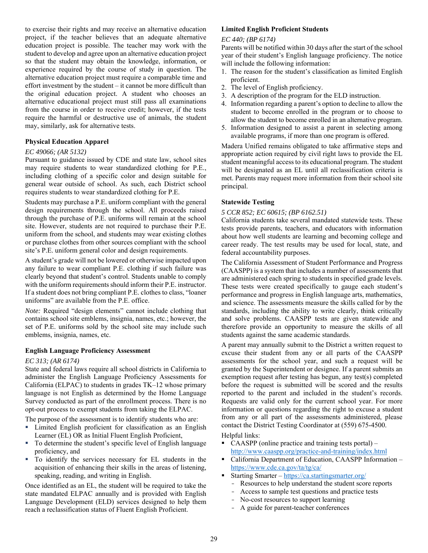to exercise their rights and may receive an alternative education project, if the teacher believes that an adequate alternative education project is possible. The teacher may work with the student to develop and agree upon an alternative education project so that the student may obtain the knowledge, information, or experience required by the course of study in question. The alternative education project must require a comparable time and effort investment by the student – it cannot be more difficult than the original education project. A student who chooses an alternative educational project must still pass all examinations from the course in order to receive credit; however, if the tests require the harmful or destructive use of animals, the student may, similarly, ask for alternative tests.

#### **Physical Education Apparel**

#### *EC 49066; (AR 5132)*

Pursuant to guidance issued by CDE and state law, school sites may require students to wear standardized clothing for P.E., including clothing of a specific color and design suitable for general wear outside of school. As such, each District school requires students to wear standardized clothing for P.E.

Students may purchase a P.E. uniform compliant with the general design requirements through the school. All proceeds raised through the purchase of P.E. uniforms will remain at the school site. However, students are not required to purchase their P.E. uniform from the school, and students may wear existing clothes or purchase clothes from other sources compliant with the school site's P.E. uniform general color and design requirements.

A student's grade will not be lowered or otherwise impacted upon any failure to wear compliant P.E. clothing if such failure was clearly beyond that student's control. Students unable to comply with the uniform requirements should inform their P.E. instructor. If a student does not bring compliant P.E. clothes to class, "loaner uniforms" are available from the P.E. office.

*Note:* Required "design elements" cannot include clothing that contains school site emblems, insignia, names, etc.; however, the set of P.E. uniforms sold by the school site may include such emblems, insignia, names, etc.

#### **English Language Proficiency Assessment**

#### *EC 313; (AR 6174)*

State and federal laws require all school districts in California to administer the English Language Proficiency Assessments for California (ELPAC) to students in grades TK–12 whose primary language is not English as determined by the Home Language Survey conducted as part of the enrollment process. There is no opt-out process to exempt students from taking the ELPAC.

The purpose of the assessment is to identify students who are:

- Limited English proficient for classification as an English Learner (EL) OR as Initial Fluent English Proficient,
- To determine the student's specific level of English language proficiency, and
- To identify the services necessary for EL students in the acquisition of enhancing their skills in the areas of listening, speaking, reading, and writing in English.

Once identified as an EL, the student will be required to take the state mandated ELPAC annually and is provided with English Language Development (ELD) services designed to help them reach a reclassification status of Fluent English Proficient.

#### **Limited English Proficient Students**

#### *EC 440; (BP 6174)*

Parents will be notified within 30 days after the start of the school year of their student's English language proficiency. The notice will include the following information:

- 1. The reason for the student's classification as limited English proficient.
- 2. The level of English proficiency.
- 3. A description of the program for the ELD instruction.
- 4. Information regarding a parent's option to decline to allow the student to become enrolled in the program or to choose to allow the student to become enrolled in an alternative program.
- 5. Information designed to assist a parent in selecting among available programs, if more than one program is offered.

Madera Unified remains obligated to take affirmative steps and appropriate action required by civil right laws to provide the EL student meaningful access to its educational program. The student will be designated as an EL until all reclassification criteria is met. Parents may request more information from their school site principal.

#### **Statewide Testing**

#### *5 CCR 852; EC 60615; (BP 6162.51)*

California students take several mandated statewide tests. These tests provide parents, teachers, and educators with information about how well students are learning and becoming college and career ready. The test results may be used for local, state, and federal accountability purposes.

The California Assessment of Student Performance and Progress (CAASPP) is a system that includes a number of assessments that are administered each spring to students in specified grade levels. These tests were created specifically to gauge each student's performance and progress in English language arts, mathematics, and science. The assessments measure the skills called for by the standards, including the ability to write clearly, think critically and solve problems. CAASPP tests are given statewide and therefore provide an opportunity to measure the skills of all students against the same academic standards.

A parent may annually submit to the District a written request to excuse their student from any or all parts of the CAASPP assessments for the school year, and such a request will be granted by the Superintendent or designee. If a parent submits an exemption request after testing has begun, any test(s) completed before the request is submitted will be scored and the results reported to the parent and included in the student's records. Requests are valid only for the current school year. For more information or questions regarding the right to excuse a student from any or all part of the assessments administered, please contact the District Testing Coordinator at (559) 675-4500.

#### Helpful links:

- $\blacksquare$  CAASPP (online practice and training tests portal) http://www.caaspp.org/practice-and-training/index.html
- California Department of Education, CAASPP Information https://www.cde.ca.gov/ta/tg/ca/
- Starting Smarter https://ca.startingsmarter.org/
	- Resources to help understand the student score reports
	- Access to sample test questions and practice tests
	- No-cost resources to support learning
	- A guide for parent-teacher conferences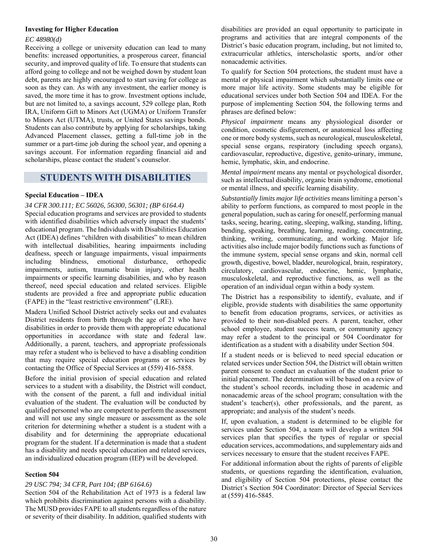#### **Investing for Higher Education**

#### *EC 48980(d)*

Receiving a college or university education can lead to many benefits: increased opportunities, a prosperous career, financial security, and improved quality of life. To ensure that students can afford going to college and not be weighed down by student loan debt, parents are highly encouraged to start saving for college as soon as they can. As with any investment, the earlier money is saved, the more time it has to grow. Investment options include, but are not limited to, a savings account, 529 college plan, Roth IRA, Uniform Gift to Minors Act (UGMA) or Uniform Transfer to Minors Act (UTMA), trusts, or United States savings bonds. Students can also contribute by applying for scholarships, taking Advanced Placement classes, getting a full-time job in the summer or a part-time job during the school year, and opening a savings account. For information regarding financial aid and scholarships, please contact the student's counselor.

#### **STUDENTS WITH DISABILITIES**

#### **Special Education – IDEA**

#### *34 CFR 300.111; EC 56026, 56300, 56301; (BP 6164.4)*

Special education programs and services are provided to students with identified disabilities which adversely impact the students' educational program. The Individuals with Disabilities Education Act (IDEA) defines "children with disabilities" to mean children with intellectual disabilities, hearing impairments including deafness, speech or language impairments, visual impairments including blindness, emotional disturbance, orthopedic impairments, autism, traumatic brain injury, other health impairments or specific learning disabilities, and who by reason thereof, need special education and related services. Eligible students are provided a free and appropriate public education (FAPE) in the "least restrictive environment" (LRE).

Madera Unified School District actively seeks out and evaluates District residents from birth through the age of 21 who have disabilities in order to provide them with appropriate educational opportunities in accordance with state and federal law. Additionally, a parent, teachers, and appropriate professionals may refer a student who is believed to have a disabling condition that may require special education programs or services by contacting the Office of Special Services at (559) 416-5858.

Before the initial provision of special education and related services to a student with a disability, the District will conduct, with the consent of the parent, a full and individual initial evaluation of the student. The evaluation will be conducted by qualified personnel who are competent to perform the assessment and will not use any single measure or assessment as the sole criterion for determining whether a student is a student with a disability and for determining the appropriate educational program for the student. If a determination is made that a student has a disability and needs special education and related services, an individualized education program (IEP) will be developed.

#### **Section 504**

#### *29 USC 794; 34 CFR, Part 104; (BP 6164.6)*

Section 504 of the Rehabilitation Act of 1973 is a federal law which prohibits discrimination against persons with a disability. The MUSD provides FAPE to all students regardless of the nature or severity of their disability. In addition, qualified students with

disabilities are provided an equal opportunity to participate in programs and activities that are integral components of the District's basic education program, including, but not limited to, extracurricular athletics, interscholastic sports, and/or other nonacademic activities.

To qualify for Section 504 protections, the student must have a mental or physical impairment which substantially limits one or more major life activity. Some students may be eligible for educational services under both Section 504 and IDEA. For the purpose of implementing Section 504, the following terms and phrases are defined below:

*Physical impairment* means any physiological disorder or condition, cosmetic disfigurement, or anatomical loss affecting one or more body systems, such as neurological, musculoskeletal, special sense organs, respiratory (including speech organs), cardiovascular, reproductive, digestive, genito-urinary, immune, hemic, lymphatic, skin, and endocrine.

*Mental impairment* means any mental or psychological disorder, such as intellectual disability, organic brain syndrome, emotional or mental illness, and specific learning disability.

*Substantially limits major life activities* means limiting a person's ability to perform functions, as compared to most people in the general population, such as caring for oneself, performing manual tasks, seeing, hearing, eating, sleeping, walking, standing, lifting, bending, speaking, breathing, learning, reading, concentrating, thinking, writing, communicating, and working. Major life activities also include major bodily functions such as functions of the immune system, special sense organs and skin, normal cell growth, digestive, bowel, bladder, neurological, brain, respiratory, circulatory, cardiovascular, endocrine, hemic, lymphatic, musculoskeletal, and reproductive functions, as well as the operation of an individual organ within a body system.

The District has a responsibility to identify, evaluate, and if eligible, provide students with disabilities the same opportunity to benefit from education programs, services, or activities as provided to their non-disabled peers. A parent, teacher, other school employee, student success team, or community agency may refer a student to the principal or 504 Coordinator for identification as a student with a disability under Section 504.

If a student needs or is believed to need special education or related services under Section 504, the District will obtain written parent consent to conduct an evaluation of the student prior to initial placement. The determination will be based on a review of the student's school records, including those in academic and nonacademic areas of the school program; consultation with the student's teacher(s), other professionals, and the parent, as appropriate; and analysis of the student's needs.

If, upon evaluation, a student is determined to be eligible for services under Section 504, a team will develop a written 504 services plan that specifies the types of regular or special education services, accommodations, and supplementary aids and services necessary to ensure that the student receives FAPE.

For additional information about the rights of parents of eligible students, or questions regarding the identification, evaluation, and eligibility of Section 504 protections, please contact the District's Section 504 Coordinator: Director of Special Services at (559) 416-5845.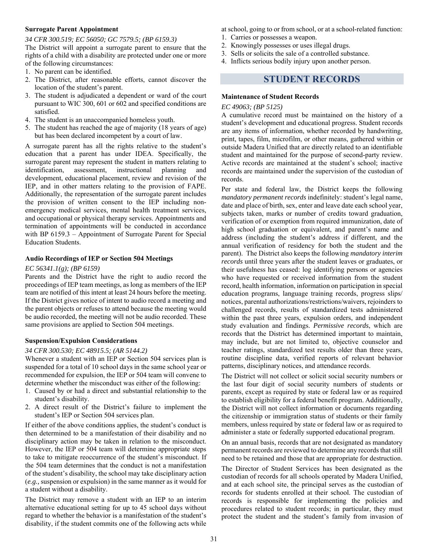#### **Surrogate Parent Appointment**

#### *34 CFR 300.519; EC 56050; GC 7579.5; (BP 6159.3)*

The District will appoint a surrogate parent to ensure that the rights of a child with a disability are protected under one or more of the following circumstances:

- 1. No parent can be identified.
- 2. The District, after reasonable efforts, cannot discover the location of the student's parent.
- 3. The student is adjudicated a dependent or ward of the court pursuant to WIC 300, 601 or 602 and specified conditions are satisfied.
- 4. The student is an unaccompanied homeless youth.
- 5. The student has reached the age of majority (18 years of age) but has been declared incompetent by a court of law.

A surrogate parent has all the rights relative to the student's education that a parent has under IDEA. Specifically, the surrogate parent may represent the student in matters relating to identification, assessment, instructional planning and development, educational placement, review and revision of the IEP, and in other matters relating to the provision of FAPE. Additionally, the representation of the surrogate parent includes the provision of written consent to the IEP including nonemergency medical services, mental health treatment services, and occupational or physical therapy services. Appointments and termination of appointments will be conducted in accordance with BP 6159.3 – Appointment of Surrogate Parent for Special Education Students.

#### **Audio Recordings of IEP or Section 504 Meetings**

#### *EC 56341.1(g); (BP 6159)*

Parents and the District have the right to audio record the proceedings of IEP team meetings, as long as members of the IEP team are notified of this intent at least 24 hours before the meeting. If the District gives notice of intent to audio record a meeting and the parent objects or refuses to attend because the meeting would be audio recorded, the meeting will not be audio recorded. These same provisions are applied to Section 504 meetings.

#### **Suspension/Expulsion Considerations**

#### *34 CFR 300.530; EC 48915.5; (AR 5144.2)*

Whenever a student with an IEP or Section 504 services plan is suspended for a total of 10 school days in the same school year or recommended for expulsion, the IEP or 504 team will convene to determine whether the misconduct was either of the following:

- 1. Caused by or had a direct and substantial relationship to the student's disability.
- 2. A direct result of the District's failure to implement the student's IEP or Section 504 services plan.

If either of the above conditions applies, the student's conduct is then determined to be a manifestation of their disability and no disciplinary action may be taken in relation to the misconduct. However, the IEP or 504 team will determine appropriate steps to take to mitigate reoccurrence of the student's misconduct. If the 504 team determines that the conduct is not a manifestation of the student's disability, the school may take disciplinary action (*e.g.,* suspension or expulsion) in the same manner as it would for a student without a disability.

The District may remove a student with an IEP to an interim alternative educational setting for up to 45 school days without regard to whether the behavior is a manifestation of the student's disability, if the student commits one of the following acts while at school, going to or from school, or at a school-related function:

- 1. Carries or possesses a weapon.
- 2. Knowingly possesses or uses illegal drugs.
- 3. Sells or solicits the sale of a controlled substance.
- 4. Inflicts serious bodily injury upon another person.

### **STUDENT RECORDS**

#### **Maintenance of Student Records**

#### *EC 49063; (BP 5125)*

A cumulative record must be maintained on the history of a student's development and educational progress. Student records are any items of information, whether recorded by handwriting, print, tapes, film, microfilm, or other means, gathered within or outside Madera Unified that are directly related to an identifiable student and maintained for the purpose of second-party review. Active records are maintained at the student's school; inactive records are maintained under the supervision of the custodian of records.

Per state and federal law, the District keeps the following *mandatory permanent records* indefinitely: student's legal name, date and place of birth, sex, enter and leave date each school year, subjects taken, marks or number of credits toward graduation, verification of or exemption from required immunization, date of high school graduation or equivalent, and parent's name and address (including the student's address if different, and the annual verification of residency for both the student and the parent). The District also keeps the following *mandatory interim records* until three years after the student leaves or graduates, or their usefulness has ceased: log identifying persons or agencies who have requested or received information from the student record, health information, information on participation in special education programs, language training records, progress slips/ notices, parental authorizations/restrictions/waivers, rejoinders to challenged records, results of standardized tests administered within the past three years, expulsion orders, and independent study evaluation and findings. *Permissive records*, which are records that the District has determined important to maintain, may include, but are not limited to, objective counselor and teacher ratings, standardized test results older than three years, routine discipline data, verified reports of relevant behavior patterns, disciplinary notices, and attendance records.

The District will not collect or solicit social security numbers or the last four digit of social security numbers of students or parents, except as required by state or federal law or as required to establish eligibility for a federal benefit program. Additionally, the District will not collect information or documents regarding the citizenship or immigration status of students or their family members, unless required by state or federal law or as required to administer a state or federally supported educational program.

On an annual basis, records that are not designated as mandatory permanent records are reviewed to determine any records that still need to be retained and those that are appropriate for destruction.

The Director of Student Services has been designated as the custodian of records for all schools operated by Madera Unified, and at each school site, the principal serves as the custodian of records for students enrolled at their school. The custodian of records is responsible for implementing the policies and procedures related to student records; in particular, they must protect the student and the student's family from invasion of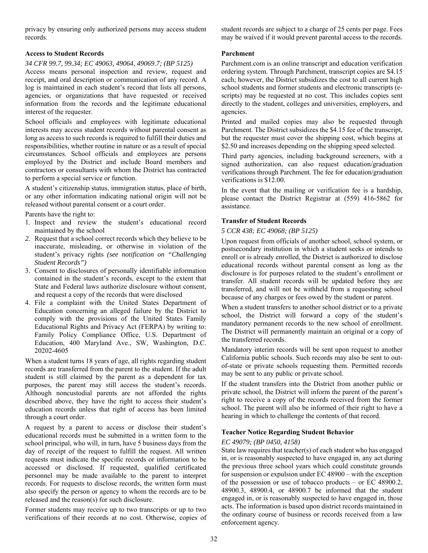privacy by ensuring only authorized persons may access student records.

#### **Access to Student Records**

#### *34 CFR 99.7, 99.34; EC 49063, 49064, 49069.7; (BP 5125)*

Access means personal inspection and review, request and receipt, and oral description or communication of any record. A log is maintained in each student's record that lists all persons, agencies, or organizations that have requested or received information from the records and the legitimate educational interest of the requester.

School officials and employees with legitimate educational interests may access student records without parental consent as long as access to such records is required to fulfill their duties and responsibilities, whether routine in nature or as a result of special circumstances. School officials and employees are persons employed by the District and include Board members and contractors or consultants with whom the District has contracted to perform a special service or function.

A student's citizenship status, immigration status, place of birth, or any other information indicating national origin will not be released without parental consent or a court order.

Parents have the right to:

- 1. Inspect and review the student's educational record maintained by the school
- *2.* Request that a school correct records which they believe to be inaccurate, misleading, or otherwise in violation of the student's privacy rights *(see notification on "Challenging Student Records")*
- 3. Consent to disclosures of personally identifiable information contained in the student's records, except to the extent that State and Federal laws authorize disclosure without consent, and request a copy of the records that were disclosed
- 4. File a complaint with the United States Department of Education concerning an alleged failure by the District to comply with the provisions of the United States Family Educational Rights and Privacy Act (FERPA) by writing to: Family Policy Compliance Office, U.S. Department of Education, 400 Maryland Ave., SW, Washington, D.C. 20202-4605

When a student turns 18 years of age, all rights regarding student records are transferred from the parent to the student. If the adult student is still claimed by the parent as a dependent for tax purposes, the parent may still access the student's records. Although noncustodial parents are not afforded the rights described above, they have the right to access their student's education records unless that right of access has been limited through a court order.

A request by a parent to access or disclose their student's educational records must be submitted in a written form to the school principal, who will, in turn, have 5 business days from the day of receipt of the request to fulfill the request. All written requests must indicate the specific records or information to be accessed or disclosed. If requested, qualified certificated personnel may be made available to the parent to interpret records. For requests to disclose records, the written form must also specify the person or agency to whom the records are to be released and the reason(s) for such disclosure.

Former students may receive up to two transcripts or up to two verifications of their records at no cost. Otherwise, copies of student records are subject to a charge of 25 cents per page. Fees may be waived if it would prevent parental access to the records.

#### **Parchment**

Parchment.com is an online transcript and education verification ordering system. Through Parchment, transcript copies are \$4.15 each; however, the District subsidizes the cost to all current high school students and former students and electronic transcripts (escripts) may be requested at no cost. This includes copies sent directly to the student, colleges and universities, employers, and agencies.

Printed and mailed copies may also be requested through Parchment. The District subsidizes the \$4.15 fee of the transcript, but the requester must cover the shipping cost, which begins at \$2.50 and increases depending on the shipping speed selected.

Third party agencies, including background screeners, with a signed authorization, can also request education/graduation verifications through Parchment. The fee for education/graduation verifications is \$12.00.

In the event that the mailing or verification fee is a hardship, please contact the District Registrar at (559) 416-5862 for assistance.

#### **Transfer of Student Records**

#### *5 CCR 438; EC 49068; (BP 5125)*

Upon request from officials of another school, school system, or postsecondary institution in which a student seeks or intends to enroll or is already enrolled, the District is authorized to disclose educational records without parental consent as long as the disclosure is for purposes related to the student's enrollment or transfer. All student records will be updated before they are transferred, and will not be withheld from a requesting school because of any charges or fees owed by the student or parent.

When a student transfers to another school district or to a private school, the District will forward a copy of the student's mandatory permanent records to the new school of enrollment. The District will permanently maintain an original or a copy of the transferred records.

Mandatory interim records will be sent upon request to another California public schools. Such records may also be sent to outof-state or private schools requesting them. Permitted records may be sent to any public or private school.

If the student transfers into the District from another public or private school, the District will inform the parent of the parent's right to receive a copy of the records received from the former school. The parent will also be informed of their right to have a hearing in which to challenge the contents of that record.

#### **Teacher Notice Regarding Student Behavior**

#### *EC 49079; (BP 0450, 4158)*

State law requires that teacher(s) of each student who has engaged in, or is reasonably suspected to have engaged in, any act during the previous three school years which could constitute grounds for suspension or expulsion under EC 48900 – with the exception of the possession or use of tobacco products – or EC 48900.2, 48900.3, 48900.4, or 48900.7 be informed that the student engaged in, or is reasonably suspected to have engaged in, those acts. The information is based upon district records maintained in the ordinary course of business or records received from a law enforcement agency.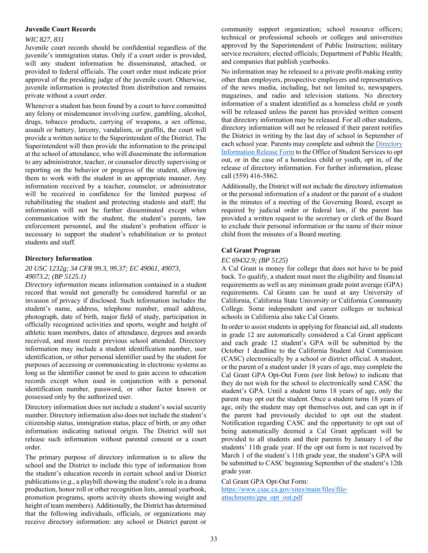#### **Juvenile Court Records**

#### *WIC 827, 831*

Juvenile court records should be confidential regardless of the juvenile's immigration status. Only if a court order is provided, will any student information be disseminated, attached, or provided to federal officials. The court order must indicate prior approval of the presiding judge of the juvenile court. Otherwise, juvenile information is protected from distribution and remains private without a court order.

Whenever a student has been found by a court to have committed any felony or misdemeanor involving curfew, gambling, alcohol, drugs, tobacco products, carrying of weapons, a sex offense, assault or battery, larceny, vandalism, or graffiti, the court will provide a written notice to the Superintendent of the District. The Superintendent will then provide the information to the principal at the school of attendance, who will disseminate the information to any administrator, teacher, or counselor directly supervising or reporting on the behavior or progress of the student, allowing them to work with the student in an appropriate manner. Any information received by a teacher, counselor, or administrator will be received in confidence for the limited purpose of rehabilitating the student and protecting students and staff; the information will not be further disseminated except when communication with the student, the student's parents, law enforcement personnel, and the student's probation officer is necessary to support the student's rehabilitation or to protect students and staff.

#### **Directory Information**

#### *20 USC 1232g; 34 CFR 99.3, 99.37; EC 49061, 49073, 49073.2; (BP 5125.1)*

*Directory information* means information contained in a student record that would not generally be considered harmful or an invasion of privacy if disclosed. Such information includes the student's name, address, telephone number, email address, photograph, date of birth, major field of study, participation in officially recognized activities and sports, weight and height of athletic team members, dates of attendance, degrees and awards received, and most recent previous school attended. Directory information may include a student identification number, user identification, or other personal identifier used by the student for purposes of accessing or communicating in electronic systems as long as the identifier cannot be used to gain access to education records except when used in conjunction with a personal identification number, password, or other factor known or possessed only by the authorized user.

Directory information does not include a student's social security number. Directory information also does not include the student's citizenship status, immigration status, place of birth, or any other information indicating national origin. The District will not release such information without parental consent or a court order.

The primary purpose of directory information is to allow the school and the District to include this type of information from the student's education records in certain school and/or District publications (*e.g.,* a playbill showing the student's role in a drama production, honor roll or other recognition lists, annual yearbook, promotion programs, sports activity sheets showing weight and height of team members). Additionally, the District has determined that the following individuals, officials, or organizations may receive directory information: any school or District parent or community support organization; school resource officers; technical or professional schools or colleges and universities approved by the Superintendent of Public Instruction; military service recruiters; elected officials; Department of Public Health; and companies that publish yearbooks.

No information may be released to a private profit-making entity other than employers, prospective employers and representatives of the news media, including, but not limited to, newspapers, magazines, and radio and television stations. No directory information of a student identified as a homeless child or youth will be released unless the parent has provided written consent that directory information may be released. For all other students, directory information will not be released if their parent notifies the District in writing by the last day of school in September of each school year. Parents may complete and submit the Directory Information Release Form to the Office of Student Services to opt out, or in the case of a homeless child or youth, opt in, of the release of directory information. For further information, please call (559) 416-5862.

Additionally, the District will not include the directory information or the personal information of a student or the parent of a student in the minutes of a meeting of the Governing Board, except as required by judicial order or federal law, if the parent has provided a written request to the secretary or clerk of the Board to exclude their personal information or the name of their minor child from the minutes of a Board meeting.

#### **Cal Grant Program**

#### *EC 69432.9; (BP 5125)*

A Cal Grant is money for college that does not have to be paid back. To qualify, a student must meet the eligibility and financial requirements as well as any minimum grade point average (GPA) requirements. Cal Grants can be used at any University of California, California State University or California Community College. Some independent and career colleges or technical schools in California also take Cal Grants.

In order to assist students in applying for financial aid, all students in grade 12 are automatically considered a Cal Grant applicant and each grade 12 student's GPA will be submitted by the October 1 deadline to the California Student Aid Commission (CASC) electronically by a school or district official. A student, or the parent of a student under 18 years of age, may complete the Cal Grant GPA Opt-Out Form *(see link below)* to indicate that they do not wish for the school to electronically send CASC the student's GPA. Until a student turns 18 years of age, only the parent may opt out the student. Once a student turns 18 years of age, only the student may opt themselves out, and can opt in if the parent had previously decided to opt out the student. Notification regarding CASC and the opportunity to opt out of being automatically deemed a Cal Grant applicant will be provided to all students and their parents by January 1 of the students' 11th grade year. If the opt out form is not received by March 1 of the student's 11th grade year, the student's GPA will be submitted to CASC beginning September of the student's 12th grade year.

Cal Grant GPA Opt-Out Form:

https://www.csac.ca.gov/sites/main/files/fileattachments/gpa\_opt\_out.pdf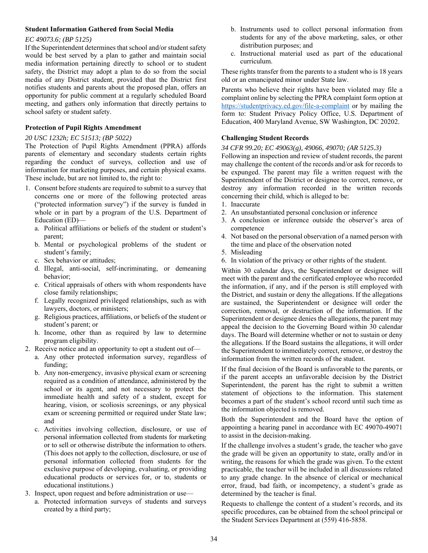#### **Student Information Gathered from Social Media**

#### *EC 49073.6; (BP 5125)*

If the Superintendent determines that school and/or student safety would be best served by a plan to gather and maintain social media information pertaining directly to school or to student safety, the District may adopt a plan to do so from the social media of any District student, provided that the District first notifies students and parents about the proposed plan, offers an opportunity for public comment at a regularly scheduled Board meeting, and gathers only information that directly pertains to school safety or student safety.

#### **Protection of Pupil Rights Amendment**

#### *20 USC 1232h; EC 51513; (BP 5022)*

The Protection of Pupil Rights Amendment (PPRA) affords parents of elementary and secondary students certain rights regarding the conduct of surveys, collection and use of information for marketing purposes, and certain physical exams. These include, but are not limited to, the right to:

- 1. Consent before students are required to submit to a survey that concerns one or more of the following protected areas ("protected information survey") if the survey is funded in whole or in part by a program of the U.S. Department of Education (ED)
	- a. Political affiliations or beliefs of the student or student's parent;
	- b. Mental or psychological problems of the student or student's family;
	- c. Sex behavior or attitudes;
	- d. Illegal, anti-social, self-incriminating, or demeaning behavior;
	- e. Critical appraisals of others with whom respondents have close family relationships;
	- f. Legally recognized privileged relationships, such as with lawyers, doctors, or ministers;
	- g. Religious practices, affiliations, or beliefs of the student or student's parent; or
	- h. Income, other than as required by law to determine program eligibility.
- 2. Receive notice and an opportunity to opt a student out of
	- a. Any other protected information survey, regardless of funding;
	- b. Any non-emergency, invasive physical exam or screening required as a condition of attendance, administered by the school or its agent, and not necessary to protect the immediate health and safety of a student, except for hearing, vision, or scoliosis screenings, or any physical exam or screening permitted or required under State law; and
	- c. Activities involving collection, disclosure, or use of personal information collected from students for marketing or to sell or otherwise distribute the information to others. (This does not apply to the collection, disclosure, or use of personal information collected from students for the exclusive purpose of developing, evaluating, or providing educational products or services for, or to, students or educational institutions.)
- 3. Inspect, upon request and before administration or use
	- a. Protected information surveys of students and surveys created by a third party;
- b. Instruments used to collect personal information from students for any of the above marketing, sales, or other distribution purposes; and
- c. Instructional material used as part of the educational curriculum.

These rights transfer from the parents to a student who is 18 years old or an emancipated minor under State law.

Parents who believe their rights have been violated may file a complaint online by selecting the PPRA complaint form option at https://studentprivacy.ed.gov/file-a-complaint or by mailing the form to: Student Privacy Policy Office, U.S. Department of Education, 400 Maryland Avenue, SW Washington, DC 20202.

#### **Challenging Student Records**

#### *34 CFR 99.20; EC 49063(g), 49066, 49070; (AR 5125.3)*

Following an inspection and review of student records, the parent may challenge the content of the records and/or ask for records to be expunged. The parent may file a written request with the Superintendent of the District or designee to correct, remove, or destroy any information recorded in the written records concerning their child, which is alleged to be:

- 1. Inaccurate
- 2. An unsubstantiated personal conclusion or inference
- 3. A conclusion or inference outside the observer's area of competence
- 4. Not based on the personal observation of a named person with the time and place of the observation noted
- 5. Misleading
- 6. In violation of the privacy or other rights of the student.

Within 30 calendar days, the Superintendent or designee will meet with the parent and the certificated employee who recorded the information, if any, and if the person is still employed with the District, and sustain or deny the allegations. If the allegations are sustained, the Superintendent or designee will order the correction, removal, or destruction of the information. If the Superintendent or designee denies the allegations, the parent may appeal the decision to the Governing Board within 30 calendar days. The Board will determine whether or not to sustain or deny the allegations. If the Board sustains the allegations, it will order the Superintendent to immediately correct, remove, or destroy the information from the written records of the student.

If the final decision of the Board is unfavorable to the parents, or if the parent accepts an unfavorable decision by the District Superintendent, the parent has the right to submit a written statement of objections to the information. This statement becomes a part of the student's school record until such time as the information objected is removed.

Both the Superintendent and the Board have the option of appointing a hearing panel in accordance with EC 49070-49071 to assist in the decision-making.

If the challenge involves a student's grade, the teacher who gave the grade will be given an opportunity to state, orally and/or in writing, the reasons for which the grade was given. To the extent practicable, the teacher will be included in all discussions related to any grade change. In the absence of clerical or mechanical error, fraud, bad faith, or incompetency, a student's grade as determined by the teacher is final.

Requests to challenge the content of a student's records, and its specific procedures, can be obtained from the school principal or the Student Services Department at (559) 416-5858.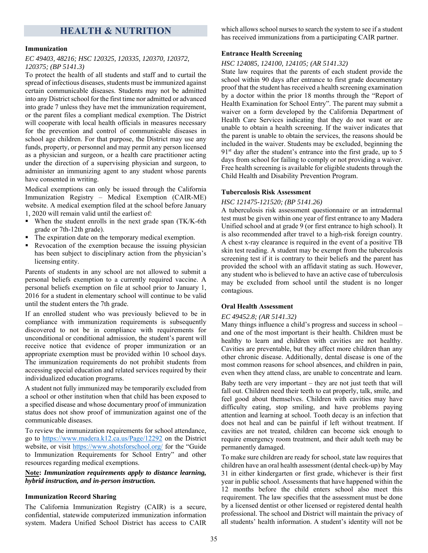### **HEALTH & NUTRITION**

#### **Immunization**

#### *EC 49403, 48216; HSC 120325, 120335, 120370, 120372, 120375; (BP 5141.3)*

To protect the health of all students and staff and to curtail the spread of infectious diseases, students must be immunized against certain communicable diseases. Students may not be admitted into any District school for the first time nor admitted or advanced into grade 7 unless they have met the immunization requirement, or the parent files a compliant medical exemption. The District will cooperate with local health officials in measures necessary for the prevention and control of communicable diseases in school age children. For that purpose, the District may use any funds, property, or personnel and may permit any person licensed as a physician and surgeon, or a health care practitioner acting under the direction of a supervising physician and surgeon, to administer an immunizing agent to any student whose parents have consented in writing.

Medical exemptions can only be issued through the California Immunization Registry – Medical Exemption (CAIR-ME) website. A medical exemption filed at the school before January 1, 2020 will remain valid until the earliest of:

- When the student enrolls in the next grade span (TK/K-6th grade or 7th-12th grade).
- The expiration date on the temporary medical exemption.
- Revocation of the exemption because the issuing physician has been subject to disciplinary action from the physician's licensing entity.

Parents of students in any school are not allowed to submit a personal beliefs exemption to a currently required vaccine. A personal beliefs exemption on file at school prior to January 1, 2016 for a student in elementary school will continue to be valid until the student enters the 7th grade.

If an enrolled student who was previously believed to be in compliance with immunization requirements is subsequently discovered to not be in compliance with requirements for unconditional or conditional admission, the student's parent will receive notice that evidence of proper immunization or an appropriate exemption must be provided within 10 school days. The immunization requirements do not prohibit students from accessing special education and related services required by their individualized education programs.

A student not fully immunized may be temporarily excluded from a school or other institution when that child has been exposed to a specified disease and whose documentary proof of immunization status does not show proof of immunization against one of the communicable diseases.

To review the immunization requirements for school attendance, go to https://www.madera.k12.ca.us/Page/12292 on the District website, or visit https://www.shotsforschool.org/ for the "Guide to Immunization Requirements for School Entry" and other resources regarding medical exemptions.

#### **Note:** *Immunization requirements apply to distance learning, hybrid instruction, and in-person instruction.*

#### **Immunization Record Sharing**

The California Immunization Registry (CAIR) is a secure, confidential, statewide computerized immunization information system. Madera Unified School District has access to CAIR which allows school nurses to search the system to see if a student has received immunizations from a participating CAIR partner.

#### **Entrance Health Screening**

#### *HSC 124085, 124100, 124105; (AR 5141.32)*

State law requires that the parents of each student provide the school within 90 days after entrance to first grade documentary proof that the student has received a health screening examination by a doctor within the prior 18 months through the "Report of Health Examination for School Entry". The parent may submit a waiver on a form developed by the California Department of Health Care Services indicating that they do not want or are unable to obtain a health screening. If the waiver indicates that the parent is unable to obtain the services, the reasons should be included in the waiver. Students may be excluded, beginning the  $91<sup>st</sup>$  day after the student's entrance into the first grade, up to 5 days from school for failing to comply or not providing a waiver. Free health screening is available for eligible students through the Child Health and Disability Prevention Program.

#### **Tuberculosis Risk Assessment**

#### *HSC 121475-121520; (BP 5141.26)*

A tuberculosis risk assessment questionnaire or an intradermal test must be given within one year of first entrance to any Madera Unified school and at grade 9 (or first entrance to high school). It is also recommended after travel to a high-risk foreign country. A chest x-ray clearance is required in the event of a positive TB skin test reading. A student may be exempt from the tuberculosis screening test if it is contrary to their beliefs and the parent has provided the school with an affidavit stating as such. However, any student who is believed to have an active case of tuberculosis may be excluded from school until the student is no longer contagious.

#### **Oral Health Assessment**

#### *EC 49452.8; (AR 5141.32)*

Many things influence a child's progress and success in school – and one of the most important is their health. Children must be healthy to learn and children with cavities are not healthy. Cavities are preventable, but they affect more children than any other chronic disease. Additionally, dental disease is one of the most common reasons for school absences, and children in pain, even when they attend class, are unable to concentrate and learn.

Baby teeth are very important – they are not just teeth that will fall out. Children need their teeth to eat properly, talk, smile, and feel good about themselves. Children with cavities may have difficulty eating, stop smiling, and have problems paying attention and learning at school. Tooth decay is an infection that does not heal and can be painful if left without treatment. If cavities are not treated, children can become sick enough to require emergency room treatment, and their adult teeth may be permanently damaged.

To make sure children are ready for school, state law requires that children have an oral health assessment (dental check-up) by May 31 in either kindergarten or first grade, whichever is their first year in public school. Assessments that have happened within the 12 months before the child enters school also meet this requirement. The law specifies that the assessment must be done by a licensed dentist or other licensed or registered dental health professional. The school and District will maintain the privacy of all students' health information. A student's identity will not be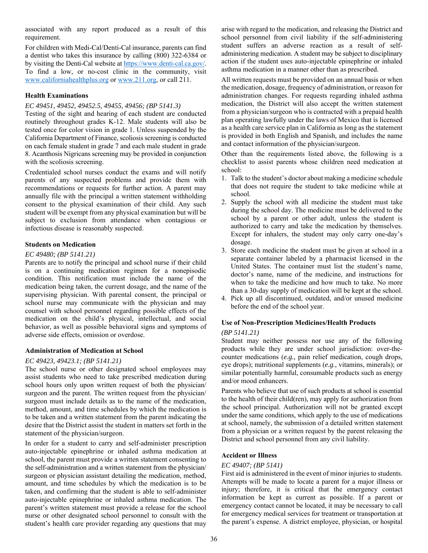associated with any report produced as a result of this requirement.

For children with Medi-Cal/Denti-Cal insurance, parents can find a dentist who takes this insurance by calling (800) 322-6384 or by visiting the Denti-Cal website at https://www.denti-cal.ca.gov/. To find a low, or no-cost clinic in the community, visit www.californiahealthplus.org or www.211.org, or call 211.

#### **Health Examinations**

#### *EC 49451, 49452, 49452.5, 49455, 49456; (BP 5141.3)*

Testing of the sight and hearing of each student are conducted routinely throughout grades K-12. Male students will also be tested once for color vision in grade 1. Unless suspended by the California Department of Finance, scoliosis screening is conducted on each female student in grade 7 and each male student in grade 8. Acanthosis Nigricans screening may be provided in conjunction with the scoliosis screening.

Credentialed school nurses conduct the exams and will notify parents of any suspected problems and provide them with recommendations or requests for further action. A parent may annually file with the principal a written statement withholding consent to the physical examination of their child. Any such student will be exempt from any physical examination but will be subject to exclusion from attendance when contagious or infectious disease is reasonably suspected.

#### **Students on Medication**

#### *EC 49480; (BP 5141.21)*

Parents are to notify the principal and school nurse if their child is on a continuing medication regimen for a nonepisodic condition. This notification must include the name of the medication being taken, the current dosage, and the name of the supervising physician. With parental consent, the principal or school nurse may communicate with the physician and may counsel with school personnel regarding possible effects of the medication on the child's physical, intellectual, and social behavior, as well as possible behavioral signs and symptoms of adverse side effects, omission or overdose.

#### **Administration of Medication at School**

#### *EC 49423, 49423.1; (BP 5141.21)*

The school nurse or other designated school employees may assist students who need to take prescribed medication during school hours only upon written request of both the physician/ surgeon and the parent. The written request from the physician/ surgeon must include details as to the name of the medication, method, amount, and time schedules by which the medication is to be taken and a written statement from the parent indicating the desire that the District assist the student in matters set forth in the statement of the physician/surgeon.

In order for a student to carry and self-administer prescription auto-injectable epinephrine or inhaled asthma medication at school, the parent must provide a written statement consenting to the self-administration and a written statement from the physician/ surgeon or physician assistant detailing the medication, method, amount, and time schedules by which the medication is to be taken, and confirming that the student is able to self-administer auto-injectable epinephrine or inhaled asthma medication. The parent's written statement must provide a release for the school nurse or other designated school personnel to consult with the student's health care provider regarding any questions that may

arise with regard to the medication, and releasing the District and school personnel from civil liability if the self-administering student suffers an adverse reaction as a result of selfadministering medication. A student may be subject to disciplinary action if the student uses auto-injectable epinephrine or inhaled asthma medication in a manner other than as prescribed.

All written requests must be provided on an annual basis or when the medication, dosage, frequency of administration, or reason for administration changes. For requests regarding inhaled asthma medication, the District will also accept the written statement from a physician/surgeon who is contracted with a prepaid health plan operating lawfully under the laws of Mexico that is licensed as a health care service plan in California as long as the statement is provided in both English and Spanish, and includes the name and contact information of the physician/surgeon.

Other than the requirements listed above, the following is a checklist to assist parents whose children need medication at school:

- 1. Talk to the student's doctor about making a medicine schedule that does not require the student to take medicine while at school.
- 2. Supply the school with all medicine the student must take during the school day. The medicine must be delivered to the school by a parent or other adult, unless the student is authorized to carry and take the medication by themselves. Except for inhalers, the student may only carry one-day's dosage.
- 3. Store each medicine the student must be given at school in a separate container labeled by a pharmacist licensed in the United States. The container must list the student's name, doctor's name, name of the medicine, and instructions for when to take the medicine and how much to take. No more than a 30-day supply of medication will be kept at the school.
- 4. Pick up all discontinued, outdated, and/or unused medicine before the end of the school year.

#### **Use of Non-Prescription Medicines/Health Products**

#### *(BP 5141.21)*

Student may neither possess nor use any of the following products while they are under school jurisdiction: over-thecounter medications (*e.g.,* pain relief medication, cough drops, eye drops); nutritional supplements (*e.g.,* vitamins, minerals); or similar potentially harmful, consumable products such as energy and/or mood enhancers.

Parents who believe that use of such products at school is essential to the health of their child(ren), may apply for authorization from the school principal. Authorization will not be granted except under the same conditions, which apply to the use of medications at school, namely, the submission of a detailed written statement from a physician or a written request by the parent releasing the District and school personnel from any civil liability.

#### **Accident or Illness**

#### *EC 49407; (BP 5141)*

First aid is administered in the event of minor injuries to students. Attempts will be made to locate a parent for a major illness or injury; therefore, it is critical that the emergency contact information be kept as current as possible. If a parent or emergency contact cannot be located, it may be necessary to call for emergency medical services for treatment or transportation at the parent's expense. A district employee, physician, or hospital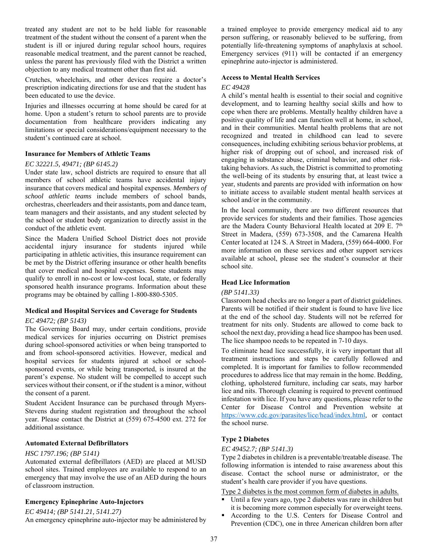treated any student are not to be held liable for reasonable treatment of the student without the consent of a parent when the student is ill or injured during regular school hours, requires reasonable medical treatment, and the parent cannot be reached, unless the parent has previously filed with the District a written objection to any medical treatment other than first aid.

Crutches, wheelchairs, and other devices require a doctor's prescription indicating directions for use and that the student has been educated to use the device.

Injuries and illnesses occurring at home should be cared for at home. Upon a student's return to school parents are to provide documentation from healthcare providers indicating any limitations or special considerations/equipment necessary to the student's continued care at school.

#### **Insurance for Members of Athletic Teams**

#### *EC 32221.5, 49471; (BP 6145.2)*

Under state law, school districts are required to ensure that all members of school athletic teams have accidental injury insurance that covers medical and hospital expenses. *Members of school athletic teams* include members of school bands, orchestras, cheerleaders and their assistants, pom and dance team, team managers and their assistants, and any student selected by the school or student body organization to directly assist in the conduct of the athletic event.

Since the Madera Unified School District does not provide accidental injury insurance for students injured while participating in athletic activities, this insurance requirement can be met by the District offering insurance or other health benefits that cover medical and hospital expenses. Some students may qualify to enroll in no-cost or low-cost local, state, or federally sponsored health insurance programs. Information about these programs may be obtained by calling 1-800-880-5305.

#### **Medical and Hospital Services and Coverage for Students**

#### *EC 49472; (BP 5143)*

The Governing Board may, under certain conditions, provide medical services for injuries occurring on District premises during school-sponsored activities or when being transported to and from school-sponsored activities. However, medical and hospital services for students injured at school or schoolsponsored events, or while being transported, is insured at the parent's expense. No student will be compelled to accept such services without their consent, or if the student is a minor, without the consent of a parent.

Student Accident Insurance can be purchased through Myers-Stevens during student registration and throughout the school year. Please contact the District at (559) 675-4500 ext. 272 for additional assistance.

#### **Automated External Defibrillators**

#### *HSC 1797.196; (BP 5141)*

Automated external defibrillators (AED) are placed at MUSD school sites. Trained employees are available to respond to an emergency that may involve the use of an AED during the hours of classroom instruction.

#### **Emergency Epinephrine Auto-Injectors**

#### *EC 49414; (BP 5141.21, 5141.27)*

An emergency epinephrine auto-injector may be administered by

a trained employee to provide emergency medical aid to any person suffering, or reasonably believed to be suffering, from potentially life-threatening symptoms of anaphylaxis at school. Emergency services (911) will be contacted if an emergency epinephrine auto-injector is administered.

#### **Access to Mental Health Services**

#### *EC 49428*

A child's mental health is essential to their social and cognitive development, and to learning healthy social skills and how to cope when there are problems. Mentally healthy children have a positive quality of life and can function well at home, in school, and in their communities. Mental health problems that are not recognized and treated in childhood can lead to severe consequences, including exhibiting serious behavior problems, at higher risk of dropping out of school, and increased risk of engaging in substance abuse, criminal behavior, and other risktaking behaviors. As such, the District is committed to promoting the well-being of its students by ensuring that, at least twice a year, students and parents are provided with information on how to initiate access to available student mental health services at school and/or in the community.

In the local community, there are two different resources that provide services for students and their families. Those agencies are the Madera County Behavioral Health located at 209 E. 7<sup>th</sup> Street in Madera, (559) 673-3508, and the Camarena Health Center located at 124 S. A Street in Madera, (559) 664-4000. For more information on these services and other support services available at school, please see the student's counselor at their school site.

#### **Head Lice Information**

#### *(BP 5141.33)*

Classroom head checks are no longer a part of district guidelines. Parents will be notified if their student is found to have live lice at the end of the school day. Students will not be referred for treatment for nits only. Students are allowed to come back to school the next day, providing a head lice shampoo has been used. The lice shampoo needs to be repeated in 7-10 days.

To eliminate head lice successfully, it is very important that all treatment instructions and steps be carefully followed and completed. It is important for families to follow recommended procedures to address lice that may remain in the home. Bedding, clothing, upholstered furniture, including car seats, may harbor lice and nits. Thorough cleaning is required to prevent continued infestation with lice. If you have any questions, please refer to the Center for Disease Control and Prevention website at https://www.cdc.gov/parasites/lice/head/index.html, or contact the school nurse.

#### **Type 2 Diabetes**

#### *EC 49452.7; (BP 5141.3)*

Type 2 diabetes in children is a preventable/treatable disease. The following information is intended to raise awareness about this disease. Contact the school nurse or administrator, or the student's health care provider if you have questions.

Type 2 diabetes is the most common form of diabetes in adults.

- Until a few years ago, type 2 diabetes was rare in children but it is becoming more common especially for overweight teens.
- According to the U.S. Centers for Disease Control and Prevention (CDC), one in three American children born after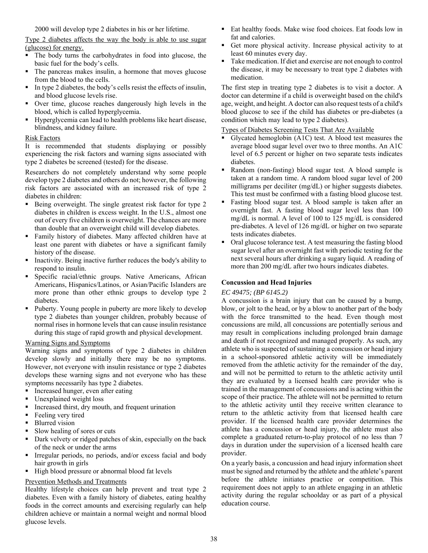2000 will develop type 2 diabetes in his or her lifetime.

Type 2 diabetes affects the way the body is able to use sugar (glucose) for energy.

- The body turns the carbohydrates in food into glucose, the basic fuel for the body's cells.
- The pancreas makes insulin, a hormone that moves glucose from the blood to the cells.
- In type 2 diabetes, the body's cells resist the effects of insulin, and blood glucose levels rise.
- Over time, glucose reaches dangerously high levels in the blood, which is called hyperglycemia.
- Hyperglycemia can lead to health problems like heart disease, blindness, and kidney failure.

#### Risk Factors

It is recommended that students displaying or possibly experiencing the risk factors and warning signs associated with type 2 diabetes be screened (tested) for the disease.

Researchers do not completely understand why some people develop type 2 diabetes and others do not; however, the following risk factors are associated with an increased risk of type 2 diabetes in children:

- Being overweight. The single greatest risk factor for type 2 diabetes in children is excess weight. In the U.S., almost one out of every five children is overweight. The chances are more than double that an overweight child will develop diabetes.
- Family history of diabetes. Many affected children have at least one parent with diabetes or have a significant family history of the disease.
- **Inactivity. Being inactive further reduces the body's ability to** respond to insulin.
- Specific racial/ethnic groups. Native Americans, African Americans, Hispanics/Latinos, or Asian/Pacific Islanders are more prone than other ethnic groups to develop type 2 diabetes.
- Puberty. Young people in puberty are more likely to develop type 2 diabetes than younger children, probably because of normal rises in hormone levels that can cause insulin resistance during this stage of rapid growth and physical development.

#### Warning Signs and Symptoms

Warning signs and symptoms of type 2 diabetes in children develop slowly and initially there may be no symptoms. However, not everyone with insulin resistance or type 2 diabetes develops these warning signs and not everyone who has these symptoms necessarily has type 2 diabetes.

- Increased hunger, even after eating
- Unexplained weight loss
- Increased thirst, dry mouth, and frequent urination
- Feeling very tired
- Blurred vision
- Slow healing of sores or cuts
- Dark velvety or ridged patches of skin, especially on the back of the neck or under the arms
- Irregular periods, no periods, and/or excess facial and body hair growth in girls
- High blood pressure or abnormal blood fat levels

#### Prevention Methods and Treatments

Healthy lifestyle choices can help prevent and treat type 2 diabetes. Even with a family history of diabetes, eating healthy foods in the correct amounts and exercising regularly can help children achieve or maintain a normal weight and normal blood glucose levels.

- Eat healthy foods. Make wise food choices. Eat foods low in fat and calories.
- Get more physical activity. Increase physical activity to at least 60 minutes every day.
- Take medication. If diet and exercise are not enough to control the disease, it may be necessary to treat type 2 diabetes with medication.

The first step in treating type 2 diabetes is to visit a doctor. A doctor can determine if a child is overweight based on the child's age, weight, and height. A doctor can also request tests of a child's blood glucose to see if the child has diabetes or pre-diabetes (a condition which may lead to type 2 diabetes).

#### Types of Diabetes Screening Tests That Are Available

- Glycated hemoglobin (A1C) test. A blood test measures the average blood sugar level over two to three months. An A1C level of 6.5 percent or higher on two separate tests indicates diabetes.
- Random (non-fasting) blood sugar test. A blood sample is taken at a random time. A random blood sugar level of 200 milligrams per deciliter (mg/dL) or higher suggests diabetes. This test must be confirmed with a fasting blood glucose test.
- Fasting blood sugar test. A blood sample is taken after an overnight fast. A fasting blood sugar level less than 100 mg/dL is normal. A level of 100 to 125 mg/dL is considered pre-diabetes. A level of 126 mg/dL or higher on two separate tests indicates diabetes.
- Oral glucose tolerance test. A test measuring the fasting blood sugar level after an overnight fast with periodic testing for the next several hours after drinking a sugary liquid. A reading of more than 200 mg/dL after two hours indicates diabetes.

#### **Concussion and Head Injuries**

#### *EC 49475; (BP 6145.2)*

A concussion is a brain injury that can be caused by a bump, blow, or jolt to the head, or by a blow to another part of the body with the force transmitted to the head. Even though most concussions are mild, all concussions are potentially serious and may result in complications including prolonged brain damage and death if not recognized and managed properly. As such, any athlete who is suspected of sustaining a concussion or head injury in a school-sponsored athletic activity will be immediately removed from the athletic activity for the remainder of the day, and will not be permitted to return to the athletic activity until they are evaluated by a licensed health care provider who is trained in the management of concussions and is acting within the scope of their practice. The athlete will not be permitted to return to the athletic activity until they receive written clearance to return to the athletic activity from that licensed health care provider. If the licensed health care provider determines the athlete has a concussion or head injury, the athlete must also complete a graduated return-to-play protocol of no less than 7 days in duration under the supervision of a licensed health care provider.

On a yearly basis, a concussion and head injury information sheet must be signed and returned by the athlete and the athlete's parent before the athlete initiates practice or competition. This requirement does not apply to an athlete engaging in an athletic activity during the regular schoolday or as part of a physical education course.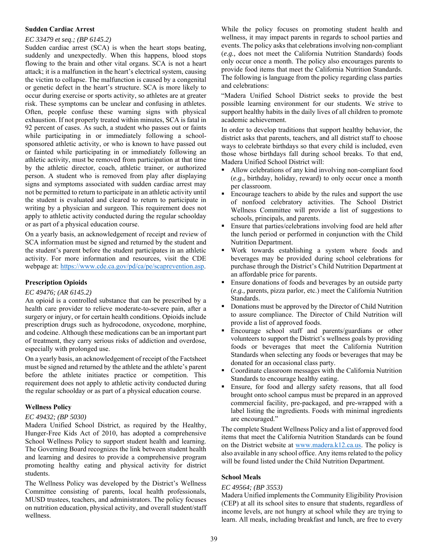#### **Sudden Cardiac Arrest**

#### *EC 33479 et seq.; (BP 6145.2)*

Sudden cardiac arrest (SCA) is when the heart stops beating, suddenly and unexpectedly. When this happens, blood stops flowing to the brain and other vital organs. SCA is not a heart attack; it is a malfunction in the heart's electrical system, causing the victim to collapse. The malfunction is caused by a congenital or genetic defect in the heart's structure. SCA is more likely to occur during exercise or sports activity, so athletes are at greater risk. These symptoms can be unclear and confusing in athletes. Often, people confuse these warning signs with physical exhaustion. If not properly treated within minutes, SCA is fatal in 92 percent of cases. As such, a student who passes out or faints while participating in or immediately following a schoolsponsored athletic activity, or who is known to have passed out or fainted while participating in or immediately following an athletic activity, must be removed from participation at that time by the athletic director, coach, athletic trainer, or authorized person. A student who is removed from play after displaying signs and symptoms associated with sudden cardiac arrest may not be permitted to return to participate in an athletic activity until the student is evaluated and cleared to return to participate in writing by a physician and surgeon. This requirement does not apply to athletic activity conducted during the regular schoolday or as part of a physical education course.

On a yearly basis, an acknowledgement of receipt and review of SCA information must be signed and returned by the student and the student's parent before the student participates in an athletic activity. For more information and resources, visit the CDE webpage at: https://www.cde.ca.gov/pd/ca/pe/scaprevention.asp.

#### **Prescription Opioids**

#### *EC 49476; (AR 6145.2)*

An opioid is a controlled substance that can be prescribed by a health care provider to relieve moderate-to-severe pain, after a surgery or injury, or for certain health conditions. Opioids include prescription drugs such as hydrocodone, oxycodone, morphine, and codeine. Although these medications can be an important part of treatment, they carry serious risks of addiction and overdose, especially with prolonged use.

On a yearly basis, an acknowledgement of receipt of the Factsheet must be signed and returned by the athlete and the athlete's parent before the athlete initiates practice or competition. This requirement does not apply to athletic activity conducted during the regular schoolday or as part of a physical education course.

#### **Wellness Policy**

#### *EC 49432; (BP 5030)*

Madera Unified School District, as required by the Healthy, Hunger-Free Kids Act of 2010, has adopted a comprehensive School Wellness Policy to support student health and learning. The Governing Board recognizes the link between student health and learning and desires to provide a comprehensive program promoting healthy eating and physical activity for district students.

The Wellness Policy was developed by the District's Wellness Committee consisting of parents, local health professionals, MUSD trustees, teachers, and administrators. The policy focuses on nutrition education, physical activity, and overall student/staff wellness.

While the policy focuses on promoting student health and wellness, it may impact parents in regards to school parties and events. The policy asks that celebrations involving non-compliant (*e.g.,* does not meet the California Nutrition Standards) foods only occur once a month. The policy also encourages parents to provide food items that meet the California Nutrition Standards. The following is language from the policy regarding class parties and celebrations:

"Madera Unified School District seeks to provide the best possible learning environment for our students. We strive to support healthy habits in the daily lives of all children to promote academic achievement.

In order to develop traditions that support healthy behavior, the district asks that parents, teachers, and all district staff to choose ways to celebrate birthdays so that every child is included, even those whose birthdays fall during school breaks. To that end, Madera Unified School District will:

- Allow celebrations of any kind involving non-compliant food (*e.g.,* birthday, holiday, reward) to only occur once a month per classroom.
- Encourage teachers to abide by the rules and support the use of nonfood celebratory activities. The School District Wellness Committee will provide a list of suggestions to schools, principals, and parents.
- **Ensure that parties/celebrations involving food are held after** the lunch period or performed in conjunction with the Child Nutrition Department.
- Work towards establishing a system where foods and beverages may be provided during school celebrations for purchase through the District's Child Nutrition Department at an affordable price for parents.
- **Ensure donations of foods and beverages by an outside party** (*e.g.,* parents, pizza parlor, etc.) meet the California Nutrition Standards.
- Donations must be approved by the Director of Child Nutrition to assure compliance. The Director of Child Nutrition will provide a list of approved foods.
- Encourage school staff and parents/guardians or other volunteers to support the District's wellness goals by providing foods or beverages that meet the California Nutrition Standards when selecting any foods or beverages that may be donated for an occasional class party.
- Coordinate classroom messages with the California Nutrition Standards to encourage healthy eating.
- Ensure, for food and allergy safety reasons, that all food brought onto school campus must be prepared in an approved commercial facility, pre-packaged, and pre-wrapped with a label listing the ingredients. Foods with minimal ingredients are encouraged."

The complete Student Wellness Policy and a list of approved food items that meet the California Nutrition Standards can be found on the District website at www.madera.k12.ca.us. The policy is also available in any school office. Any items related to the policy will be found listed under the Child Nutrition Department.

#### **School Meals**

#### *EC 49564; (BP 3553)*

Madera Unified implements the Community Eligibility Provision (CEP) at all its school sites to ensure that students, regardless of income levels, are not hungry at school while they are trying to learn. All meals, including breakfast and lunch, are free to every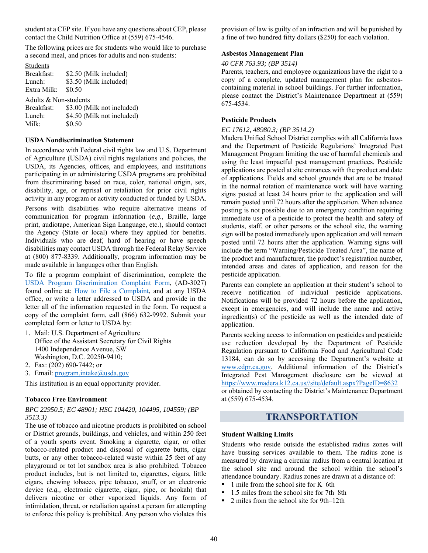student at a CEP site. If you have any questions about CEP, please contact the Child Nutrition Office at (559) 675-4546.

The following prices are for students who would like to purchase a second meal, and prices for adults and non-students:

| Students              |                                                          |
|-----------------------|----------------------------------------------------------|
| Breakfast:            | \$2.50 (Milk included)                                   |
| Lunch:                | \$3.50 (Milk included)                                   |
| Extra Milk:           | \$0.50                                                   |
| Adults & Non-students |                                                          |
|                       | $D_{\text{real}}$ fact: $\ell$ 2.00 (Mills not included) |

| Breakfast: | \$3.00 (Milk not included) |
|------------|----------------------------|
| Lunch:     | \$4.50 (Milk not included) |
| Milk:      | \$0.50                     |

#### **USDA Nondiscrimination Statement**

In accordance with Federal civil rights law and U.S. Department of Agriculture (USDA) civil rights regulations and policies, the USDA, its Agencies, offices, and employees, and institutions participating in or administering USDA programs are prohibited from discriminating based on race, color, national origin, sex, disability, age, or reprisal or retaliation for prior civil rights activity in any program or activity conducted or funded by USDA.

Persons with disabilities who require alternative means of communication for program information (*e.g.,* Braille, large print, audiotape, American Sign Language, etc.), should contact the Agency (State or local) where they applied for benefits. Individuals who are deaf, hard of hearing or have speech disabilities may contact USDA through the Federal Relay Service at (800) 877-8339. Additionally, program information may be made available in languages other than English.

To file a program complaint of discrimination, complete the USDA Program Discrimination Complaint Form, (AD-3027) found online at: How to File a Complaint, and at any USDA office, or write a letter addressed to USDA and provide in the letter all of the information requested in the form. To request a copy of the complaint form, call (866) 632-9992. Submit your completed form or letter to USDA by:

- 1. Mail: U.S. Department of Agriculture Office of the Assistant Secretary for Civil Rights 1400 Independence Avenue, SW Washington, D.C. 20250-9410;
- 2. Fax: (202) 690-7442; or
- 3. Email: program.intake@usda.gov

This institution is an equal opportunity provider.

#### **Tobacco Free Environment**

*BPC 22950.5; EC 48901; HSC 104420, 104495, 104559; (BP 3513.3)* 

The use of tobacco and nicotine products is prohibited on school or District grounds, buildings, and vehicles, and within 250 feet of a youth sports event. Smoking a cigarette, cigar, or other tobacco-related product and disposal of cigarette butts, cigar butts, or any other tobacco-related waste within 25 feet of any playground or tot lot sandbox area is also prohibited. Tobacco product includes, but is not limited to, cigarettes, cigars, little cigars, chewing tobacco, pipe tobacco, snuff, or an electronic device (*e.g.,* electronic cigarette, cigar, pipe, or hookah) that delivers nicotine or other vaporized liquids. Any form of intimidation, threat, or retaliation against a person for attempting to enforce this policy is prohibited. Any person who violates this provision of law is guilty of an infraction and will be punished by a fine of two hundred fifty dollars (\$250) for each violation.

#### **Asbestos Management Plan**

#### *40 CFR 763.93; (BP 3514)*

Parents, teachers, and employee organizations have the right to a copy of a complete, updated management plan for asbestoscontaining material in school buildings. For further information, please contact the District's Maintenance Department at (559) 675-4534.

#### **Pesticide Products**

#### *EC 17612, 48980.3; (BP 3514.2)*

Madera Unified School District complies with all California laws and the Department of Pesticide Regulations' Integrated Pest Management Program limiting the use of harmful chemicals and using the least impactful pest management practices. Pesticide applications are posted at site entrances with the product and date of applications. Fields and school grounds that are to be treated in the normal rotation of maintenance work will have warning signs posted at least 24 hours prior to the application and will remain posted until 72 hours after the application. When advance posting is not possible due to an emergency condition requiring immediate use of a pesticide to protect the health and safety of students, staff, or other persons or the school site, the warning sign will be posted immediately upon application and will remain posted until 72 hours after the application. Warning signs will include the term "Warning/Pesticide Treated Area", the name of the product and manufacturer, the product's registration number, intended areas and dates of application, and reason for the pesticide application.

Parents can complete an application at their student's school to receive notification of individual pesticide applications. Notifications will be provided 72 hours before the application, except in emergencies, and will include the name and active ingredient(s) of the pesticide as well as the intended date of application.

Parents seeking access to information on pesticides and pesticide use reduction developed by the Department of Pesticide Regulation pursuant to California Food and Agricultural Code 13184, can do so by accessing the Department's website at www.cdpr.ca.gov. Additional information of the District's Integrated Pest Management disclosure can be viewed at https://www.madera.k12.ca.us//site/default.aspx?PageID=8632 or obtained by contacting the District's Maintenance Department at (559) 675-4534.

### **TRANSPORTATION**

#### **Student Walking Limits**

Students who reside outside the established radius zones will have bussing services available to them. The radius zone is measured by drawing a circular radius from a central location at the school site and around the school within the school's attendance boundary. Radius zones are drawn at a distance of:

- 1 mile from the school site for K–6th
- $\blacksquare$  1.5 miles from the school site for 7th–8th
- 2 miles from the school site for 9th–12th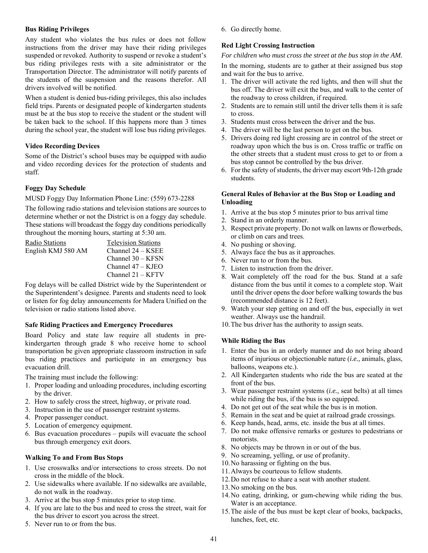#### **Bus Riding Privileges**

Any student who violates the bus rules or does not follow instructions from the driver may have their riding privileges suspended or revoked. Authority to suspend or revoke a student's bus riding privileges rests with a site administrator or the Transportation Director. The administrator will notify parents of the students of the suspension and the reasons therefor. All drivers involved will be notified.

When a student is denied bus-riding privileges, this also includes field trips. Parents or designated people of kindergarten students must be at the bus stop to receive the student or the student will be taken back to the school. If this happens more than 3 times during the school year, the student will lose bus riding privileges.

#### **Video Recording Devices**

Some of the District's school buses may be equipped with audio and video recording devices for the protection of students and staff.

#### **Foggy Day Schedule**

#### MUSD Foggy Day Information Phone Line: (559) 673-2288

The following radio stations and television stations are sources to determine whether or not the District is on a foggy day schedule. These stations will broadcast the foggy day conditions periodically throughout the morning hours, starting at 5:30 am.

| Radio Stations     | <b>Television Stations</b> |
|--------------------|----------------------------|
| English KMJ 580 AM | Channel 24 - KSEE          |
|                    | Channel 30 - KFSN          |
|                    | Channel $47 -$ KJEO        |
|                    | Channel $21 - KFTV$        |

Fog delays will be called District wide by the Superintendent or the Superintendent's designee. Parents and students need to look or listen for fog delay announcements for Madera Unified on the television or radio stations listed above.

#### **Safe Riding Practices and Emergency Procedures**

Board Policy and state law require all students in prekindergarten through grade 8 who receive home to school transportation be given appropriate classroom instruction in safe bus riding practices and participate in an emergency bus evacuation drill.

The training must include the following:

- 1. Proper loading and unloading procedures, including escorting by the driver.
- 2. How to safely cross the street, highway, or private road.
- 3. Instruction in the use of passenger restraint systems.
- 4. Proper passenger conduct.
- 5. Location of emergency equipment.
- 6. Bus evacuation procedures pupils will evacuate the school bus through emergency exit doors.

#### **Walking To and From Bus Stops**

- 1. Use crosswalks and/or intersections to cross streets. Do not cross in the middle of the block.
- 2. Use sidewalks where available. If no sidewalks are available, do not walk in the roadway.
- 3. Arrive at the bus stop 5 minutes prior to stop time.
- 4. If you are late to the bus and need to cross the street, wait for the bus driver to escort you across the street.
- 5. Never run to or from the bus.

6. Go directly home.

#### **Red Light Crossing Instruction**

#### *For children who must cross the street at the bus stop in the AM.*

In the morning, students are to gather at their assigned bus stop and wait for the bus to arrive.

- 1. The driver will activate the red lights, and then will shut the bus off. The driver will exit the bus, and walk to the center of the roadway to cross children, if required.
- 2. Students are to remain still until the driver tells them it is safe to cross.
- 3. Students must cross between the driver and the bus.
- 4. The driver will be the last person to get on the bus.
- 5. Drivers doing red light crossing are in control of the street or roadway upon which the bus is on. Cross traffic or traffic on the other streets that a student must cross to get to or from a bus stop cannot be controlled by the bus driver.
- 6. For the safety of students, the driver may escort 9th-12th grade students.

#### **General Rules of Behavior at the Bus Stop or Loading and Unloading**

- 1. Arrive at the bus stop 5 minutes prior to bus arrival time
- 2. Stand in an orderly manner.
- 3. Respect private property. Do not walk on lawns or flowerbeds, or climb on cars and trees.
- 4. No pushing or shoving.
- 5. Always face the bus as it approaches.
- 6. Never run to or from the bus.
- 7. Listen to instruction from the driver.
- 8. Wait completely off the road for the bus. Stand at a safe distance from the bus until it comes to a complete stop. Wait until the driver opens the door before walking towards the bus (recommended distance is 12 feet).
- 9. Watch your step getting on and off the bus, especially in wet weather. Always use the handrail.
- 10.The bus driver has the authority to assign seats.

#### **While Riding the Bus**

- 1. Enter the bus in an orderly manner and do not bring aboard items of injurious or objectionable nature (*i.e.,* animals, glass, balloons, weapons etc.).
- 2. All Kindergarten students who ride the bus are seated at the front of the bus.
- 3. Wear passenger restraint systems (*i.e.,* seat belts) at all times while riding the bus, if the bus is so equipped.
- 4. Do not get out of the seat while the bus is in motion.
- 5. Remain in the seat and be quiet at railroad grade crossings.
- 6. Keep hands, head, arms, etc. inside the bus at all times.
- 7. Do not make offensive remarks or gestures to pedestrians or motorists.
- 8. No objects may be thrown in or out of the bus.
- 9. No screaming, yelling, or use of profanity.
- 10.No harassing or fighting on the bus.
- 11.Always be courteous to fellow students.
- 12.Do not refuse to share a seat with another student.
- 13.No smoking on the bus.
- 14.No eating, drinking, or gum-chewing while riding the bus. Water is an acceptance.
- 15.The aisle of the bus must be kept clear of books, backpacks, lunches, feet, etc.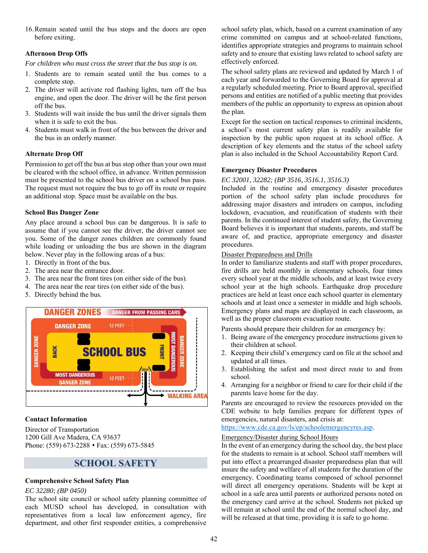16.Remain seated until the bus stops and the doors are open before exiting.

#### **Afternoon Drop Offs**

*For children who must cross the street that the bus stop is on.* 

- 1. Students are to remain seated until the bus comes to a complete stop.
- 2. The driver will activate red flashing lights, turn off the bus engine, and open the door. The driver will be the first person off the bus.
- 3. Students will wait inside the bus until the driver signals them when it is safe to exit the bus.
- 4. Students must walk in front of the bus between the driver and the bus in an orderly manner.

#### **Alternate Drop Off**

Permission to get off the bus at bus stop other than your own must be cleared with the school office, in advance. Written permission must be presented to the school bus driver on a school bus pass. The request must not require the bus to go off its route or require an additional stop. Space must be available on the bus.

#### **School Bus Danger Zone**

Any place around a school bus can be dangerous. It is safe to assume that if you cannot see the driver, the driver cannot see you. Some of the danger zones children are commonly found while loading or unloading the bus are shown in the diagram below. Never play in the following areas of a bus:

- 1. Directly in front of the bus.
- 2. The area near the entrance door.
- 3. The area near the front tires (on either side of the bus).
- 4. The area near the rear tires (on either side of the bus).
- 5. Directly behind the bus.



#### **Contact Information**

Director of Transportation 1200 Gill Ave Madera, CA 93637 Phone: (559) 673-2288 • Fax: (559) 673-5845

### **SCHOOL SAFETY**

#### **Comprehensive School Safety Plan**

#### *EC 32280; (BP 0450)*

The school site council or school safety planning committee of each MUSD school has developed, in consultation with representatives from a local law enforcement agency, fire department, and other first responder entities, a comprehensive school safety plan, which, based on a current examination of any crime committed on campus and at school-related functions, identifies appropriate strategies and programs to maintain school safety and to ensure that existing laws related to school safety are effectively enforced.

The school safety plans are reviewed and updated by March 1 of each year and forwarded to the Governing Board for approval at a regularly scheduled meeting. Prior to Board approval, specified persons and entities are notified of a public meeting that provides members of the public an opportunity to express an opinion about the plan.

Except for the section on tactical responses to criminal incidents, a school's most current safety plan is readily available for inspection by the public upon request at its school office. A description of key elements and the status of the school safety plan is also included in the School Accountability Report Card.

#### **Emergency Disaster Procedures**

#### *EC 32001, 32282; (BP 3516, 3516.1, 3516.3)*

Included in the routine and emergency disaster procedures portion of the school safety plan include procedures for addressing major disasters and intruders on campus, including lockdown, evacuation, and reunification of students with their parents. In the continued interest of student safety, the Governing Board believes it is important that students, parents, and staff be aware of, and practice, appropriate emergency and disaster procedures.

#### Disaster Preparedness and Drills

In order to familiarize students and staff with proper procedures, fire drills are held monthly in elementary schools, four times every school year at the middle schools, and at least twice every school year at the high schools. Earthquake drop procedure practices are held at least once each school quarter in elementary schools and at least once a semester in middle and high schools. Emergency plans and maps are displayed in each classroom, as well as the proper classroom evacuation route.

Parents should prepare their children for an emergency by:

- 1. Being aware of the emergency procedure instructions given to their children at school.
- 2. Keeping their child's emergency card on file at the school and updated at all times.
- 3. Establishing the safest and most direct route to and from school.
- 4. Arranging for a neighbor or friend to care for their child if the parents leave home for the day.

Parents are encouraged to review the resources provided on the CDE website to help families prepare for different types of emergencies, natural disasters, and crisis at:

https://www.cde.ca.gov/ls/ep/schoolemergencyres.asp.

#### Emergency/Disaster during School Hours

In the event of an emergency during the school day, the best place for the students to remain is at school. School staff members will put into effect a prearranged disaster preparedness plan that will insure the safety and welfare of all students for the duration of the emergency. Coordinating teams composed of school personnel will direct all emergency operations. Students will be kept at school in a safe area until parents or authorized persons noted on the emergency card arrive at the school. Students not picked up will remain at school until the end of the normal school day, and will be released at that time, providing it is safe to go home.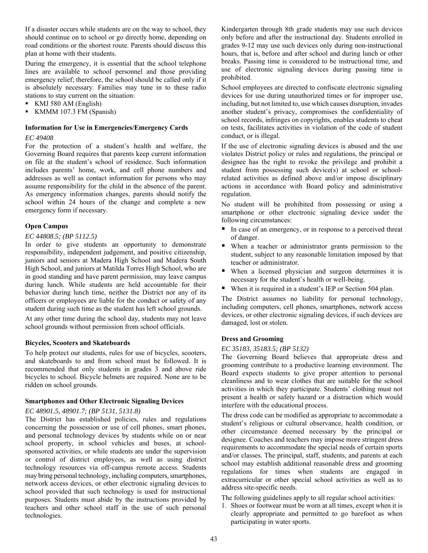If a disaster occurs while students are on the way to school, they should continue on to school or go directly home, depending on road conditions or the shortest route. Parents should discuss this plan at home with their students.

During the emergency, it is essential that the school telephone lines are available to school personnel and those providing emergency relief; therefore, the school should be called only if it is absolutely necessary. Families may tune in to these radio stations to stay current on the situation:

- KMJ 580 AM (English)
- KMMM 107.3 FM (Spanish)

#### **Information for Use in Emergencies/Emergency Cards**

#### *EC 49408*

For the protection of a student's health and welfare, the Governing Board requires that parents keep current information on file at the student's school of residence. Such information includes parents' home, work, and cell phone numbers and addresses as well as contact information for persons who may assume responsibility for the child in the absence of the parent. As emergency information changes, parents should notify the school within 24 hours of the change and complete a new emergency form if necessary.

#### **Open Campus**

#### *EC 44808.5; (BP 5112.5)*

In order to give students an opportunity to demonstrate responsibility, independent judgement, and positive citizenship, juniors and seniors at Madera High School and Madera South High School, and juniors at Matilda Torres High School, who are in good standing and have parent permission, may leave campus during lunch. While students are held accountable for their behavior during lunch time, neither the District nor any of its officers or employees are liable for the conduct or safety of any student during such time as the student has left school grounds.

At any other time during the school day, students may not leave school grounds without permission from school officials.

#### **Bicycles, Scooters and Skateboards**

To help protect our students, rules for use of bicycles, scooters, and skateboards to and from school must be followed. It is recommended that only students in grades 3 and above ride bicycles to school. Bicycle helmets are required. None are to be ridden on school grounds.

#### **Smartphones and Other Electronic Signaling Devices**

#### *EC 48901.5, 48901.7; (BP 5131, 5131.8)*

The District has established policies, rules and regulations concerning the possession or use of cell phones, smart phones, and personal technology devices by students while on or near school property, in school vehicles and buses, at schoolsponsored activities, or while students are under the supervision or control of district employees, as well as using district technology resources via off-campus remote access. Students may bring personal technology, including computers, smartphones, network access devices, or other electronic signaling devices to school provided that such technology is used for instructional purposes. Students must abide by the instructions provided by teachers and other school staff in the use of such personal technologies.

Kindergarten through 8th grade students may use such devices only before and after the instructional day. Students enrolled in grades 9-12 may use such devices only during non-instructional hours, that is, before and after school and during lunch or other breaks. Passing time is considered to be instructional time, and use of electronic signaling devices during passing time is prohibited.

School employees are directed to confiscate electronic signaling devices for use during unauthorized times or for improper use, including, but not limited to, use which causes disruption, invades another student's privacy, compromises the confidentiality of school records, infringes on copyrights, enables students to cheat on tests, facilitates activities in violation of the code of student conduct, or is illegal.

If the use of electronic signaling devices is abused and the use violates District policy or rules and regulations, the principal or designee has the right to revoke the privilege and prohibit a student from possessing such device(s) at school or schoolrelated activities as defined above and/or impose disciplinary actions in accordance with Board policy and administrative regulation.

No student will be prohibited from possessing or using a smartphone or other electronic signaling device under the following circumstances:

- In case of an emergency, or in response to a perceived threat of danger.
- When a teacher or administrator grants permission to the student, subject to any reasonable limitation imposed by that teacher or administrator.
- When a licensed physician and surgeon determines it is necessary for the student's health or well-being.
- When it is required in a student's IEP or Section 504 plan.

The District assumes no liability for personal technology, including computers, cell phones, smartphones, network access devices, or other electronic signaling devices, if such devices are damaged, lost or stolen.

#### **Dress and Grooming**

#### *EC 35183, 35183.5; (BP 5132)*

The Governing Board believes that appropriate dress and grooming contribute to a productive learning environment. The Board expects students to give proper attention to personal cleanliness and to wear clothes that are suitable for the school activities in which they participate. Students' clothing must not present a health or safety hazard or a distraction which would interfere with the educational process.

The dress code can be modified as appropriate to accommodate a student's religious or cultural observance, health condition, or other circumstance deemed necessary by the principal or designee. Coaches and teachers may impose more stringent dress requirements to accommodate the special needs of certain sports and/or classes. The principal, staff, students, and parents at each school may establish additional reasonable dress and grooming regulations for times when students are engaged in extracurricular or other special school activities as well as to address site-specific needs.

The following guidelines apply to all regular school activities:

1. Shoes or footwear must be worn at all times, except when it is clearly appropriate and permitted to go barefoot as when participating in water sports.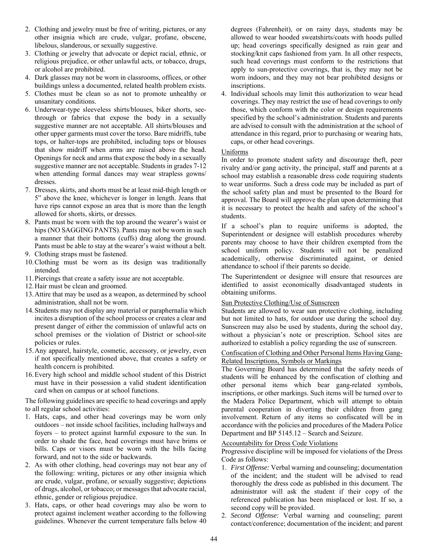- 2. Clothing and jewelry must be free of writing, pictures, or any other insignia which are crude, vulgar, profane, obscene, libelous, slanderous, or sexually suggestive.
- 3. Clothing or jewelry that advocate or depict racial, ethnic, or religious prejudice, or other unlawful acts, or tobacco, drugs, or alcohol are prohibited.
- 4. Dark glasses may not be worn in classrooms, offices, or other buildings unless a documented, related health problem exists.
- 5. Clothes must be clean so as not to promote unhealthy or unsanitary conditions.
- 6. Underwear-type sleeveless shirts/blouses, biker shorts, seethrough or fabrics that expose the body in a sexually suggestive manner are not acceptable. All shirts/blouses and other upper garments must cover the torso. Bare midriffs, tube tops, or halter-tops are prohibited, including tops or blouses that show midriff when arms are raised above the head. Openings for neck and arms that expose the body in a sexually suggestive manner are not acceptable. Students in grades 7-12 when attending formal dances may wear strapless gowns/ dresses.
- 7. Dresses, skirts, and shorts must be at least mid-thigh length or 5" above the knee, whichever is longer in length. Jeans that have rips cannot expose an area that is more than the length allowed for shorts, skirts, or dresses.
- 8. Pants must be worn with the top around the wearer's waist or hips (NO SAGGING PANTS). Pants may not be worn in such a manner that their bottoms (cuffs) drag along the ground. Pants must be able to stay at the wearer's waist without a belt.
- 9. Clothing straps must be fastened.
- 10.Clothing must be worn as its design was traditionally intended.
- 11.Piercings that create a safety issue are not acceptable.
- 12.Hair must be clean and groomed.
- 13.Attire that may be used as a weapon, as determined by school administration, shall not be worn.
- 14.Students may not display any material or paraphernalia which incites a disruption of the school process or creates a clear and present danger of either the commission of unlawful acts on school premises or the violation of District or school-site policies or rules.
- 15.Any apparel, hairstyle, cosmetic, accessory, or jewelry, even if not specifically mentioned above, that creates a safety or health concern is prohibited.
- 16.Every high school and middle school student of this District must have in their possession a valid student identification card when on campus or at school functions.

The following guidelines are specific to head coverings and apply to all regular school activities:

- 1. Hats, caps, and other head coverings may be worn only outdoors – not inside school facilities, including hallways and foyers – to protect against harmful exposure to the sun. In order to shade the face, head coverings must have brims or bills. Caps or visors must be worn with the bills facing forward, and not to the side or backwards.
- 2. As with other clothing, head coverings may not bear any of the following: writing, pictures or any other insignia which are crude, vulgar, profane, or sexually suggestive; depictions of drugs, alcohol, or tobacco; or messages that advocate racial, ethnic, gender or religious prejudice.
- 3. Hats, caps, or other head coverings may also be worn to protect against inclement weather according to the following guidelines. Whenever the current temperature falls below 40

degrees (Fahrenheit), or on rainy days, students may be allowed to wear hooded sweatshirts/coats with hoods pulled up; head coverings specifically designed as rain gear and stocking/knit caps fashioned from yarn. In all other respects, such head coverings must conform to the restrictions that apply to sun-protective coverings, that is, they may not be worn indoors, and they may not bear prohibited designs or inscriptions.

4. Individual schools may limit this authorization to wear head coverings. They may restrict the use of head coverings to only those, which conform with the color or design requirements specified by the school's administration. Students and parents are advised to consult with the administration at the school of attendance in this regard, prior to purchasing or wearing hats, caps, or other head coverings.

#### Uniforms

In order to promote student safety and discourage theft, peer rivalry and/or gang activity, the principal, staff and parents at a school may establish a reasonable dress code requiring students to wear uniforms. Such a dress code may be included as part of the school safety plan and must be presented to the Board for approval. The Board will approve the plan upon determining that it is necessary to protect the health and safety of the school's students.

If a school's plan to require uniforms is adopted, the Superintendent or designee will establish procedures whereby parents may choose to have their children exempted from the school uniform policy. Students will not be penalized academically, otherwise discriminated against, or denied attendance to school if their parents so decide.

The Superintendent or designee will ensure that resources are identified to assist economically disadvantaged students in obtaining uniforms.

#### Sun Protective Clothing/Use of Sunscreen

Students are allowed to wear sun protective clothing, including but not limited to hats, for outdoor use during the school day. Sunscreen may also be used by students, during the school day, without a physician's note or prescription. School sites are authorized to establish a policy regarding the use of sunscreen.

#### Confiscation of Clothing and Other Personal Items Having Gang-Related Inscriptions, Symbols or Markings

The Governing Board has determined that the safety needs of students will be enhanced by the confiscation of clothing and other personal items which bear gang-related symbols, inscriptions, or other markings. Such items will be turned over to the Madera Police Department, which will attempt to obtain parental cooperation in diverting their children from gang involvement. Return of any items so confiscated will be in accordance with the policies and procedures of the Madera Police Department and BP 5145.12 – Search and Seizure.

#### Accountability for Dress Code Violations

Progressive discipline will be imposed for violations of the Dress Code as follows:

- 1. *First Offense:* Verbal warning and counseling; documentation of the incident; and the student will be advised to read thoroughly the dress code as published in this document. The administrator will ask the student if their copy of the referenced publication has been misplaced or lost. If so, a second copy will be provided.
- 2. *Second Offense:* Verbal warning and counseling; parent contact/conference; documentation of the incident; and parent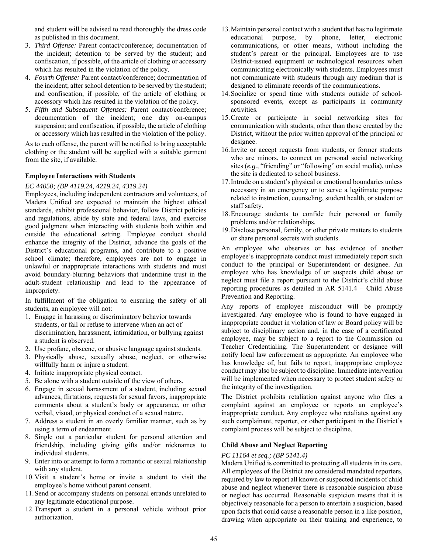and student will be advised to read thoroughly the dress code as published in this document.

- 3. *Third Offense:* Parent contact/conference; documentation of the incident; detention to be served by the student; and confiscation, if possible, of the article of clothing or accessory which has resulted in the violation of the policy.
- 4. *Fourth Offense:* Parent contact/conference; documentation of the incident; after school detention to be served by the student; and confiscation, if possible, of the article of clothing or accessory which has resulted in the violation of the policy.
- 5. *Fifth and Subsequent Offenses:* Parent contact/conference; documentation of the incident; one day on-campus suspension; and confiscation, if possible, the article of clothing or accessory which has resulted in the violation of the policy.

As to each offense, the parent will be notified to bring acceptable clothing or the student will be supplied with a suitable garment from the site, if available.

#### **Employee Interactions with Students**

#### *EC 44050; (BP 4119.24, 4219.24, 4319.24)*

Employees, including independent contractors and volunteers, of Madera Unified are expected to maintain the highest ethical standards, exhibit professional behavior, follow District policies and regulations, abide by state and federal laws, and exercise good judgment when interacting with students both within and outside the educational setting. Employee conduct should enhance the integrity of the District, advance the goals of the District's educational programs, and contribute to a positive school climate; therefore, employees are not to engage in unlawful or inappropriate interactions with students and must avoid boundary-blurring behaviors that undermine trust in the adult-student relationship and lead to the appearance of impropriety.

In fulfillment of the obligation to ensuring the safety of all students, an employee will not:

- 1. Engage in harassing or discriminatory behavior towards students, or fail or refuse to intervene when an act of discrimination, harassment, intimidation, or bullying against a student is observed.
- 2. Use profane, obscene, or abusive language against students.
- 3. Physically abuse, sexually abuse, neglect, or otherwise willfully harm or injure a student.
- 4. Initiate inappropriate physical contact.
- 5. Be alone with a student outside of the view of others.
- 6. Engage in sexual harassment of a student, including sexual advances, flirtations, requests for sexual favors, inappropriate comments about a student's body or appearance, or other verbal, visual, or physical conduct of a sexual nature.
- 7. Address a student in an overly familiar manner, such as by using a term of endearment.
- 8. Single out a particular student for personal attention and friendship, including giving gifts and/or nicknames to individual students.
- 9. Enter into or attempt to form a romantic or sexual relationship with any student.
- 10.Visit a student's home or invite a student to visit the employee's home without parent consent.
- 11.Send or accompany students on personal errands unrelated to any legitimate educational purpose.
- 12.Transport a student in a personal vehicle without prior authorization.
- 13.Maintain personal contact with a student that has no legitimate educational purpose, by phone, letter, electronic communications, or other means, without including the student's parent or the principal. Employees are to use District-issued equipment or technological resources when communicating electronically with students. Employees must not communicate with students through any medium that is designed to eliminate records of the communications.
- 14.Socialize or spend time with students outside of schoolsponsored events, except as participants in community activities.
- 15.Create or participate in social networking sites for communication with students, other than those created by the District, without the prior written approval of the principal or designee.
- 16.Invite or accept requests from students, or former students who are minors, to connect on personal social networking sites (*e.g.,* "friending" or "following" on social media), unless the site is dedicated to school business.
- 17.Intrude on a student's physical or emotional boundaries unless necessary in an emergency or to serve a legitimate purpose related to instruction, counseling, student health, or student or staff safety.
- 18.Encourage students to confide their personal or family problems and/or relationships.
- 19.Disclose personal, family, or other private matters to students or share personal secrets with students.

An employee who observes or has evidence of another employee's inappropriate conduct must immediately report such conduct to the principal or Superintendent or designee. An employee who has knowledge of or suspects child abuse or neglect must file a report pursuant to the District's child abuse reporting procedures as detailed in AR 5141.4 – Child Abuse Prevention and Reporting.

Any reports of employee misconduct will be promptly investigated. Any employee who is found to have engaged in inappropriate conduct in violation of law or Board policy will be subject to disciplinary action and, in the case of a certificated employee, may be subject to a report to the Commission on Teacher Credentialing. The Superintendent or designee will notify local law enforcement as appropriate. An employee who has knowledge of, but fails to report, inappropriate employee conduct may also be subject to discipline. Immediate intervention will be implemented when necessary to protect student safety or the integrity of the investigation.

The District prohibits retaliation against anyone who files a complaint against an employee or reports an employee's inappropriate conduct. Any employee who retaliates against any such complainant, reporter, or other participant in the District's complaint process will be subject to discipline.

#### **Child Abuse and Neglect Reporting**

#### *PC 11164 et seq.; (BP 5141.4)*

Madera Unified is committed to protecting all students in its care. All employees of the District are considered mandated reporters, required by law to report all known or suspected incidents of child abuse and neglect whenever there is reasonable suspicion abuse or neglect has occurred. Reasonable suspicion means that it is objectively reasonable for a person to entertain a suspicion, based upon facts that could cause a reasonable person in a like position, drawing when appropriate on their training and experience, to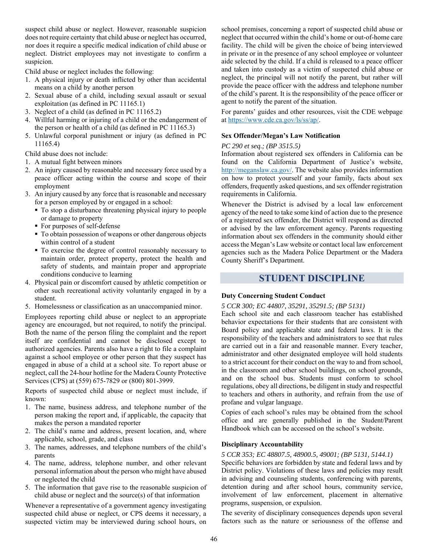suspect child abuse or neglect. However, reasonable suspicion does not require certainty that child abuse or neglect has occurred, nor does it require a specific medical indication of child abuse or neglect. District employees may not investigate to confirm a suspicion.

Child abuse or neglect includes the following:

- 1. A physical injury or death inflicted by other than accidental means on a child by another person
- 2. Sexual abuse of a child, including sexual assault or sexual exploitation (as defined in PC 11165.1)
- 3. Neglect of a child (as defined in PC 11165.2)
- 4. Willful harming or injuring of a child or the endangerment of the person or health of a child (as defined in PC 11165.3)
- 5. Unlawful corporal punishment or injury (as defined in PC 11165.4)

Child abuse does not include:

- 1. A mutual fight between minors
- 2. An injury caused by reasonable and necessary force used by a peace officer acting within the course and scope of their employment
- 3. An injury caused by any force that is reasonable and necessary for a person employed by or engaged in a school:
	- To stop a disturbance threatening physical injury to people or damage to property
	- **For purposes of self-defense**
	- $\blacksquare$  To obtain possession of weapons or other dangerous objects within control of a student
	- $\blacksquare$  To exercise the degree of control reasonably necessary to maintain order, protect property, protect the health and safety of students, and maintain proper and appropriate conditions conducive to learning
- 4. Physical pain or discomfort caused by athletic competition or other such recreational activity voluntarily engaged in by a student.
- 5. Homelessness or classification as an unaccompanied minor.

Employees reporting child abuse or neglect to an appropriate agency are encouraged, but not required, to notify the principal. Both the name of the person filing the complaint and the report itself are confidential and cannot be disclosed except to authorized agencies. Parents also have a right to file a complaint against a school employee or other person that they suspect has engaged in abuse of a child at a school site. To report abuse or neglect, call the 24-hour hotline for the Madera County Protective Services (CPS) at (559) 675-7829 or (800) 801-3999.

Reports of suspected child abuse or neglect must include, if known:

- 1. The name, business address, and telephone number of the person making the report and, if applicable, the capacity that makes the person a mandated reporter
- 2. The child's name and address, present location, and, where applicable, school, grade, and class
- 3. The names, addresses, and telephone numbers of the child's parents
- 4. The name, address, telephone number, and other relevant personal information about the person who might have abused or neglected the child
- 5. The information that gave rise to the reasonable suspicion of child abuse or neglect and the source(s) of that information

Whenever a representative of a government agency investigating suspected child abuse or neglect, or CPS deems it necessary, a suspected victim may be interviewed during school hours, on school premises, concerning a report of suspected child abuse or neglect that occurred within the child's home or out-of-home care facility. The child will be given the choice of being interviewed in private or in the presence of any school employee or volunteer aide selected by the child. If a child is released to a peace officer and taken into custody as a victim of suspected child abuse or neglect, the principal will not notify the parent, but rather will provide the peace officer with the address and telephone number of the child's parent. It is the responsibility of the peace officer or agent to notify the parent of the situation.

For parents' guides and other resources, visit the CDE webpage at https://www.cde.ca.gov/ls/ss/ap/.

#### **Sex Offender/Megan's Law Notification**

#### *PC 290 et seq.; (BP 3515.5)*

Information about registered sex offenders in California can be found on the California Department of Justice's website, http://meganslaw.ca.gov/. The website also provides information on how to protect yourself and your family, facts about sex offenders, frequently asked questions, and sex offender registration requirements in California.

Whenever the District is advised by a local law enforcement agency of the need to take some kind of action due to the presence of a registered sex offender, the District will respond as directed or advised by the law enforcement agency. Parents requesting information about sex offenders in the community should either access the Megan's Law website or contact local law enforcement agencies such as the Madera Police Department or the Madera County Sheriff's Department.

#### **STUDENT DISCIPLINE**

#### **Duty Concerning Student Conduct**

#### *5 CCR 300; EC 44807, 35291, 35291.5; (BP 5131)*

Each school site and each classroom teacher has established behavior expectations for their students that are consistent with Board policy and applicable state and federal laws. It is the responsibility of the teachers and administrators to see that rules are carried out in a fair and reasonable manner. Every teacher, administrator and other designated employee will hold students to a strict account for their conduct on the way to and from school, in the classroom and other school buildings, on school grounds, and on the school bus. Students must conform to school regulations, obey all directions, be diligent in study and respectful to teachers and others in authority, and refrain from the use of profane and vulgar language.

Copies of each school's rules may be obtained from the school office and are generally published in the Student/Parent Handbook which can be accessed on the school's website.

#### **Disciplinary Accountability**

#### *5 CCR 353; EC 48807.5, 48900.5, 49001; (BP 5131, 5144.1)*

Specific behaviors are forbidden by state and federal laws and by District policy. Violations of these laws and policies may result in advising and counseling students, conferencing with parents, detention during and after school hours, community service, involvement of law enforcement, placement in alternative programs, suspension, or expulsion.

The severity of disciplinary consequences depends upon several factors such as the nature or seriousness of the offense and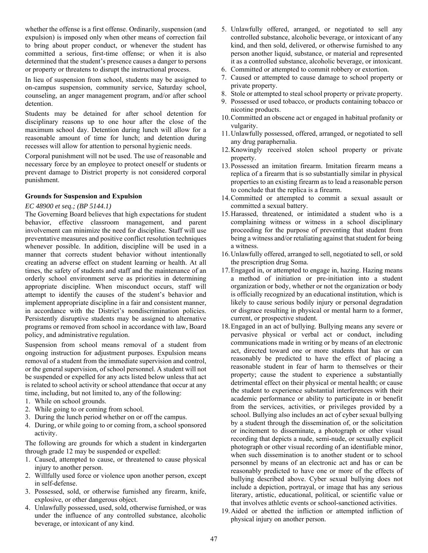whether the offense is a first offense. Ordinarily, suspension (and expulsion) is imposed only when other means of correction fail to bring about proper conduct, or whenever the student has committed a serious, first-time offense; or when it is also determined that the student's presence causes a danger to persons or property or threatens to disrupt the instructional process.

In lieu of suspension from school, students may be assigned to on-campus suspension, community service, Saturday school, counseling, an anger management program, and/or after school detention.

Students may be detained for after school detention for disciplinary reasons up to one hour after the close of the maximum school day. Detention during lunch will allow for a reasonable amount of time for lunch; and detention during recesses will allow for attention to personal hygienic needs.

Corporal punishment will not be used. The use of reasonable and necessary force by an employee to protect oneself or students or prevent damage to District property is not considered corporal punishment.

#### **Grounds for Suspension and Expulsion**

#### *EC 48900 et seq.; (BP 5144.1)*

The Governing Board believes that high expectations for student behavior, effective classroom management, and parent involvement can minimize the need for discipline. Staff will use preventative measures and positive conflict resolution techniques whenever possible. In addition, discipline will be used in a manner that corrects student behavior without intentionally creating an adverse effect on student learning or health. At all times, the safety of students and staff and the maintenance of an orderly school environment serve as priorities in determining appropriate discipline. When misconduct occurs, staff will attempt to identify the causes of the student's behavior and implement appropriate discipline in a fair and consistent manner, in accordance with the District's nondiscrimination policies. Persistently disruptive students may be assigned to alternative programs or removed from school in accordance with law, Board policy, and administrative regulation.

Suspension from school means removal of a student from ongoing instruction for adjustment purposes. Expulsion means removal of a student from the immediate supervision and control, or the general supervision, of school personnel. A student will not be suspended or expelled for any acts listed below unless that act is related to school activity or school attendance that occur at any time, including, but not limited to, any of the following:

- 1. While on school grounds.
- 2. While going to or coming from school.
- 3. During the lunch period whether on or off the campus.
- 4. During, or while going to or coming from, a school sponsored activity.

The following are grounds for which a student in kindergarten through grade 12 may be suspended or expelled:

- 1. Caused, attempted to cause, or threatened to cause physical injury to another person.
- 2. Willfully used force or violence upon another person, except in self-defense.
- 3. Possessed, sold, or otherwise furnished any firearm, knife, explosive, or other dangerous object.
- 4. Unlawfully possessed, used, sold, otherwise furnished, or was under the influence of any controlled substance, alcoholic beverage, or intoxicant of any kind.
- 5. Unlawfully offered, arranged, or negotiated to sell any controlled substance, alcoholic beverage, or intoxicant of any kind, and then sold, delivered, or otherwise furnished to any person another liquid, substance, or material and represented it as a controlled substance, alcoholic beverage, or intoxicant.
- 6. Committed or attempted to commit robbery or extortion.
- 7. Caused or attempted to cause damage to school property or private property.
- 8. Stole or attempted to steal school property or private property.
- 9. Possessed or used tobacco, or products containing tobacco or nicotine products.
- 10.Committed an obscene act or engaged in habitual profanity or vulgarity.
- 11.Unlawfully possessed, offered, arranged, or negotiated to sell any drug paraphernalia.
- 12.Knowingly received stolen school property or private property.
- 13.Possessed an imitation firearm. Imitation firearm means a replica of a firearm that is so substantially similar in physical properties to an existing firearm as to lead a reasonable person to conclude that the replica is a firearm.
- 14.Committed or attempted to commit a sexual assault or committed a sexual battery.
- 15.Harassed, threatened, or intimidated a student who is a complaining witness or witness in a school disciplinary proceeding for the purpose of preventing that student from being a witness and/or retaliating against that student for being a witness.
- 16.Unlawfully offered, arranged to sell, negotiated to sell, or sold the prescription drug Soma.
- 17.Engaged in, or attempted to engage in, hazing. Hazing means a method of initiation or pre-initiation into a student organization or body, whether or not the organization or body is officially recognized by an educational institution, which is likely to cause serious bodily injury or personal degradation or disgrace resulting in physical or mental harm to a former, current, or prospective student.
- 18.Engaged in an act of bullying. Bullying means any severe or pervasive physical or verbal act or conduct, including communications made in writing or by means of an electronic act, directed toward one or more students that has or can reasonably be predicted to have the effect of placing a reasonable student in fear of harm to themselves or their property; cause the student to experience a substantially detrimental effect on their physical or mental health; or cause the student to experience substantial interferences with their academic performance or ability to participate in or benefit from the services, activities, or privileges provided by a school. Bullying also includes an act of cyber sexual bullying by a student through the dissemination of, or the solicitation or incitement to disseminate, a photograph or other visual recording that depicts a nude, semi-nude, or sexually explicit photograph or other visual recording of an identifiable minor, when such dissemination is to another student or to school personnel by means of an electronic act and has or can be reasonably predicted to have one or more of the effects of bullying described above. Cyber sexual bullying does not include a depiction, portrayal, or image that has any serious literary, artistic, educational, political, or scientific value or that involves athletic events or school-sanctioned activities.
- 19.Aided or abetted the infliction or attempted infliction of physical injury on another person.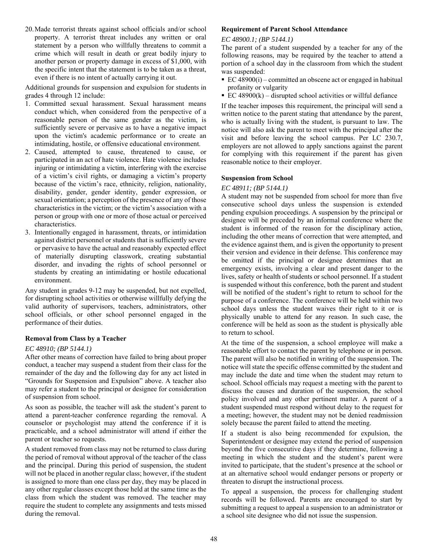20.Made terrorist threats against school officials and/or school property. A terrorist threat includes any written or oral statement by a person who willfully threatens to commit a crime which will result in death or great bodily injury to another person or property damage in excess of \$1,000, with the specific intent that the statement is to be taken as a threat, even if there is no intent of actually carrying it out.

Additional grounds for suspension and expulsion for students in grades 4 through 12 include:

- 1. Committed sexual harassment. Sexual harassment means conduct which, when considered from the perspective of a reasonable person of the same gender as the victim, is sufficiently severe or pervasive as to have a negative impact upon the victim's academic performance or to create an intimidating, hostile, or offensive educational environment.
- 2. Caused, attempted to cause, threatened to cause, or participated in an act of hate violence. Hate violence includes injuring or intimidating a victim, interfering with the exercise of a victim's civil rights, or damaging a victim's property because of the victim's race, ethnicity, religion, nationality, disability, gender, gender identity, gender expression, or sexual orientation; a perception of the presence of any of those characteristics in the victim; or the victim's association with a person or group with one or more of those actual or perceived characteristics.
- 3. Intentionally engaged in harassment, threats, or intimidation against district personnel or students that is sufficiently severe or pervasive to have the actual and reasonably expected effect of materially disrupting classwork, creating substantial disorder, and invading the rights of school personnel or students by creating an intimidating or hostile educational environment.

Any student in grades 9-12 may be suspended, but not expelled, for disrupting school activities or otherwise willfully defying the valid authority of supervisors, teachers, administrators, other school officials, or other school personnel engaged in the performance of their duties.

#### **Removal from Class by a Teacher**

#### *EC 48910; (BP 5144.1)*

After other means of correction have failed to bring about proper conduct, a teacher may suspend a student from their class for the remainder of the day and the following day for any act listed in "Grounds for Suspension and Expulsion" above. A teacher also may refer a student to the principal or designee for consideration of suspension from school.

As soon as possible, the teacher will ask the student's parent to attend a parent-teacher conference regarding the removal. A counselor or psychologist may attend the conference if it is practicable, and a school administrator will attend if either the parent or teacher so requests.

A student removed from class may not be returned to class during the period of removal without approval of the teacher of the class and the principal. During this period of suspension, the student will not be placed in another regular class; however, if the student is assigned to more than one class per day, they may be placed in any other regular classes except those held at the same time as the class from which the student was removed. The teacher may require the student to complete any assignments and tests missed during the removal.

#### **Requirement of Parent School Attendance**

#### *EC 48900.1; (BP 5144.1)*

The parent of a student suspended by a teacher for any of the following reasons, may be required by the teacher to attend a portion of a school day in the classroom from which the student was suspended:

- EC 48900(i) committed an obscene act or engaged in habitual profanity or vulgarity
- EC  $48900(k)$  disrupted school activities or willful defiance

If the teacher imposes this requirement, the principal will send a written notice to the parent stating that attendance by the parent, who is actually living with the student, is pursuant to law. The notice will also ask the parent to meet with the principal after the visit and before leaving the school campus. Per LC 230.7, employers are not allowed to apply sanctions against the parent for complying with this requirement if the parent has given reasonable notice to their employer.

#### **Suspension from School**

#### *EC 48911; (BP 5144.1)*

A student may not be suspended from school for more than five consecutive school days unless the suspension is extended pending expulsion proceedings. A suspension by the principal or designee will be preceded by an informal conference where the student is informed of the reason for the disciplinary action, including the other means of correction that were attempted, and the evidence against them, and is given the opportunity to present their version and evidence in their defense. This conference may be omitted if the principal or designee determines that an emergency exists, involving a clear and present danger to the lives, safety or health of students or school personnel. If a student is suspended without this conference, both the parent and student will be notified of the student's right to return to school for the purpose of a conference. The conference will be held within two school days unless the student waives their right to it or is physically unable to attend for any reason. In such case, the conference will be held as soon as the student is physically able to return to school.

At the time of the suspension, a school employee will make a reasonable effort to contact the parent by telephone or in person. The parent will also be notified in writing of the suspension. The notice will state the specific offense committed by the student and may include the date and time when the student may return to school. School officials may request a meeting with the parent to discuss the causes and duration of the suspension, the school policy involved and any other pertinent matter. A parent of a student suspended must respond without delay to the request for a meeting; however, the student may not be denied readmission solely because the parent failed to attend the meeting.

If a student is also being recommended for expulsion, the Superintendent or designee may extend the period of suspension beyond the five consecutive days if they determine, following a meeting in which the student and the student's parent were invited to participate, that the student's presence at the school or at an alternative school would endanger persons or property or threaten to disrupt the instructional process.

To appeal a suspension, the process for challenging student records will be followed. Parents are encouraged to start by submitting a request to appeal a suspension to an administrator or a school site designee who did not issue the suspension.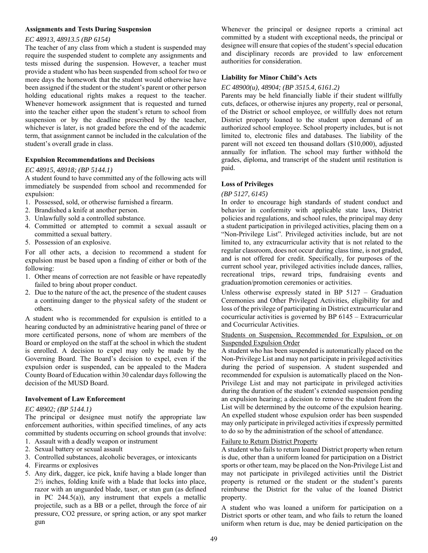#### **Assignments and Tests During Suspension**

#### *EC 48913, 48913.5 (BP 6154)*

The teacher of any class from which a student is suspended may require the suspended student to complete any assignments and tests missed during the suspension. However, a teacher must provide a student who has been suspended from school for two or more days the homework that the student would otherwise have been assigned if the student or the student's parent or other person holding educational rights makes a request to the teacher. Whenever homework assignment that is requested and turned into the teacher either upon the student's return to school from suspension or by the deadline prescribed by the teacher, whichever is later, is not graded before the end of the academic term, that assignment cannot be included in the calculation of the student's overall grade in class.

#### **Expulsion Recommendations and Decisions**

#### *EC 48915, 48918; (BP 5144.1)*

A student found to have committed any of the following acts will immediately be suspended from school and recommended for expulsion:

- 1. Possessed, sold, or otherwise furnished a firearm.
- 2. Brandished a knife at another person.
- 3. Unlawfully sold a controlled substance.
- 4. Committed or attempted to commit a sexual assault or committed a sexual battery.
- 5. Possession of an explosive.

For all other acts, a decision to recommend a student for expulsion must be based upon a finding of either or both of the following:

- 1. Other means of correction are not feasible or have repeatedly failed to bring about proper conduct.
- 2. Due to the nature of the act, the presence of the student causes a continuing danger to the physical safety of the student or others.

A student who is recommended for expulsion is entitled to a hearing conducted by an administrative hearing panel of three or more certificated persons, none of whom are members of the Board or employed on the staff at the school in which the student is enrolled. A decision to expel may only be made by the Governing Board. The Board's decision to expel, even if the expulsion order is suspended, can be appealed to the Madera County Board of Education within 30 calendar days following the decision of the MUSD Board.

#### **Involvement of Law Enforcement**

#### *EC 48902; (BP 5144.1)*

The principal or designee must notify the appropriate law enforcement authorities, within specified timelines, of any acts committed by students occurring on school grounds that involve:

- 1. Assault with a deadly weapon or instrument
- 2. Sexual battery or sexual assault
- 3. Controlled substances, alcoholic beverages, or intoxicants
- 4. Firearms or explosives
- 5. Any dirk, dagger, ice pick, knife having a blade longer than 2½ inches, folding knife with a blade that locks into place, razor with an unguarded blade, taser, or stun gun (as defined in PC 244.5(a)), any instrument that expels a metallic projectile, such as a BB or a pellet, through the force of air pressure, CO2 pressure, or spring action, or any spot marker gun

Whenever the principal or designee reports a criminal act committed by a student with exceptional needs, the principal or designee will ensure that copies of the student's special education and disciplinary records are provided to law enforcement authorities for consideration.

#### **Liability for Minor Child's Acts**

#### *EC 48900(u), 48904; (BP 3515.4, 6161.2)*

Parents may be held financially liable if their student willfully cuts, defaces, or otherwise injures any property, real or personal, of the District or school employee, or willfully does not return District property loaned to the student upon demand of an authorized school employee. School property includes, but is not limited to, electronic files and databases. The liability of the parent will not exceed ten thousand dollars (\$10,000), adjusted annually for inflation. The school may further withhold the grades, diploma, and transcript of the student until restitution is paid.

#### **Loss of Privileges**

#### *(BP 5127, 6145)*

In order to encourage high standards of student conduct and behavior in conformity with applicable state laws, District policies and regulations, and school rules, the principal may deny a student participation in privileged activities, placing them on a "Non-Privilege List". Privileged activities include, but are not limited to, any extracurricular activity that is not related to the regular classroom, does not occur during class time, is not graded, and is not offered for credit. Specifically, for purposes of the current school year, privileged activities include dances, rallies, recreational trips, reward trips, fundraising events and graduation/promotion ceremonies or activities.

Unless otherwise expressly stated in BP 5127 – Graduation Ceremonies and Other Privileged Activities, eligibility for and loss of the privilege of participating in District extracurricular and cocurricular activities is governed by BP 6145 – Extracurricular and Cocurricular Activities.

#### Students on Suspension, Recommended for Expulsion, or on Suspended Expulsion Order

A student who has been suspended is automatically placed on the Non-Privilege List and may not participate in privileged activities during the period of suspension. A student suspended and recommended for expulsion is automatically placed on the Non-Privilege List and may not participate in privileged activities during the duration of the student's extended suspension pending an expulsion hearing; a decision to remove the student from the List will be determined by the outcome of the expulsion hearing. An expelled student whose expulsion order has been suspended may only participate in privileged activities if expressly permitted to do so by the administration of the school of attendance.

#### Failure to Return District Property

A student who fails to return loaned District property when return is due, other than a uniform loaned for participation on a District sports or other team, may be placed on the Non-Privilege List and may not participate in privileged activities until the District property is returned or the student or the student's parents reimburse the District for the value of the loaned District property.

A student who was loaned a uniform for participation on a District sports or other team, and who fails to return the loaned uniform when return is due, may be denied participation on the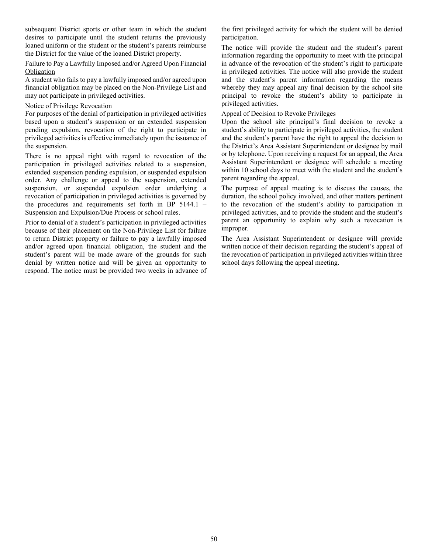subsequent District sports or other team in which the student desires to participate until the student returns the previously loaned uniform or the student or the student's parents reimburse the District for the value of the loaned District property.

#### Failure to Pay a Lawfully Imposed and/or Agreed Upon Financial Obligation

A student who fails to pay a lawfully imposed and/or agreed upon financial obligation may be placed on the Non-Privilege List and may not participate in privileged activities.

#### Notice of Privilege Revocation

For purposes of the denial of participation in privileged activities based upon a student's suspension or an extended suspension pending expulsion, revocation of the right to participate in privileged activities is effective immediately upon the issuance of the suspension.

There is no appeal right with regard to revocation of the participation in privileged activities related to a suspension, extended suspension pending expulsion, or suspended expulsion order. Any challenge or appeal to the suspension, extended suspension, or suspended expulsion order underlying a revocation of participation in privileged activities is governed by the procedures and requirements set forth in BP 5144.1 – Suspension and Expulsion/Due Process or school rules.

Prior to denial of a student's participation in privileged activities because of their placement on the Non-Privilege List for failure to return District property or failure to pay a lawfully imposed and/or agreed upon financial obligation, the student and the student's parent will be made aware of the grounds for such denial by written notice and will be given an opportunity to respond. The notice must be provided two weeks in advance of the first privileged activity for which the student will be denied participation.

The notice will provide the student and the student's parent information regarding the opportunity to meet with the principal in advance of the revocation of the student's right to participate in privileged activities. The notice will also provide the student and the student's parent information regarding the means whereby they may appeal any final decision by the school site principal to revoke the student's ability to participate in privileged activities.

#### Appeal of Decision to Revoke Privileges

Upon the school site principal's final decision to revoke a student's ability to participate in privileged activities, the student and the student's parent have the right to appeal the decision to the District's Area Assistant Superintendent or designee by mail or by telephone. Upon receiving a request for an appeal, the Area Assistant Superintendent or designee will schedule a meeting within 10 school days to meet with the student and the student's parent regarding the appeal.

The purpose of appeal meeting is to discuss the causes, the duration, the school policy involved, and other matters pertinent to the revocation of the student's ability to participation in privileged activities, and to provide the student and the student's parent an opportunity to explain why such a revocation is improper.

The Area Assistant Superintendent or designee will provide written notice of their decision regarding the student's appeal of the revocation of participation in privileged activities within three school days following the appeal meeting.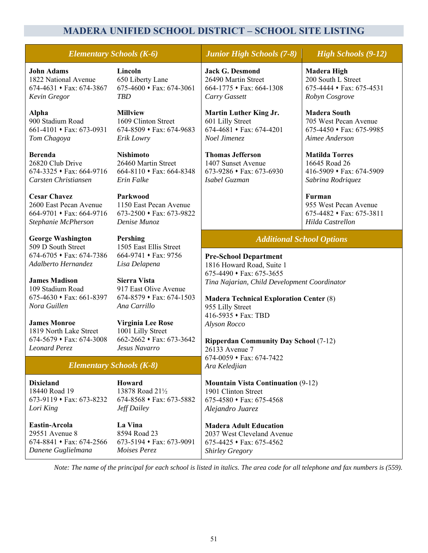### **MADERA UNIFIED SCHOOL DISTRICT – SCHOOL SITE LISTING**

### *Elementary Schools (K-6) Junior High Schools (7-8) High Schools (9-12)*

**John Adams**  1822 National Avenue  $674-4631 \cdot \text{Fax}: 674-3867$ *Kevin Gregor*

**Alpha** 900 Stadium Road  $661-4101 \cdot \text{Fax}: 673-0931$ *Tom Chagoya* 

**Berenda** 26820 Club Drive 674-3325 Fax: 664-9716 *Carsten Christiansen* 

**Cesar Chavez**  2600 East Pecan Avenue  $664-9701 \cdot \text{Fax: } 664-9716$ *Stephanie McPherson* 

**George Washington**  509 D South Street  $674-6705 \cdot \text{Fax} \cdot 674-7386$ *Adalberto Hernandez* 

**James Madison**  109 Stadium Road  $675-4630 \cdot \text{Fax: } 661-8397$ *Nora Guillen* 

**James Monroe**  1819 North Lake Street  $674-5679 \cdot \text{Fax}: 674-3008$ *Leonard Perez* 

**Lincoln**  650 Liberty Lane  $675-4600 \cdot \text{Fax: } 674-3061$ *TBD* 

**Millview**  1609 Clinton Street 674-8509 Fax: 674-9683 *Erik Lowry* 

**Nishimoto**  26460 Martin Street 664-8110 Fax: 664-8348 *Erin Falke* 

**Parkwood**  1150 East Pecan Avenue  $673-2500 \cdot \text{Fax}: 673-9822$ *Denise Munoz* 

**Pershing**  1505 East Ellis Street  $664-9741 \cdot \text{Fax} \cdot 9756$ *Lisa Delapena* 

**Sierra Vista**  917 East Olive Avenue  $674 - 8579 \cdot \text{Fax}: 674 - 1503$ *Ana Carrillo* 

**Virginia Lee Rose**  1001 Lilly Street  $662 - 2662 \cdot \text{Fax}: 673 - 3642$ *Jesus Navarro* 

#### *Elementary Schools (K-8)*

**Dixieland**  18440 Road 19 673-9119 Fax: 673-8232 *Lori King* 

**Eastin-Arcola**  29551 Avenue 8  $674 - 8841 \cdot \text{Fax: } 674 - 2566$ *Danene Guglielmana* 

**Howard**  13878 Road 21½ 674-8568 Fax: 673-5882 *Jeff Dailey* 

**La Vina**  8594 Road 23  $673-5194 \cdot \text{Fax}: 673-9091$ *Moises Perez* 

**Jack G. Desmond**  26490 Martin Street 664-1775 Fax: 664-1308 *Carry Gassett*

**Martin Luther King Jr.**  601 Lilly Street  $674-4681 \cdot \text{Fax}: 674-4201$ *Noel Jimenez* 

**Thomas Jefferson**  1407 Sunset Avenue  $673-9286$  • Fax: 673-6930 *Isabel Guzman*

**Madera High**  200 South L Street  $675-4444 \cdot \text{Fax}: 675-4531$ *Robyn Cosgrove*

**Madera South**  705 West Pecan Avenue  $675-4450 \cdot \text{Fax}: 675-9985$ *Aimee Anderson* 

**Matilda Torres**  16645 Road 26  $416-5909 \cdot \text{Fax}: 674-5909$ *Sabrina Rodriquez*

**Furman**  955 West Pecan Avenue 675-4482 Fax: 675-3811 *Hilda Castrellon*

### *Additional School Options*

**Pre-School Department**  1816 Howard Road, Suite 1  $675-4490 \cdot \text{Fax: } 675-3655$ *Tina Najarian, Child Development Coordinator* 

**Madera Technical Exploration Center** (8) 955 Lilly Street 416-5935 Fax: TBD *Alyson Rocco* 

**Ripperdan Community Day School** (7-12) 26133 Avenue 7  $674-0059 \cdot \text{Fax: } 674-7422$ *Ara Keledjian* 

**Mountain Vista Continuation** (9-12) 1901 Clinton Street  $675-4580 \rightarrow \text{Fax}: 675-4568$ *Alejandro Juarez* 

**Madera Adult Education**  2037 West Cleveland Avenue  $675-4425 \cdot \text{Fax: } 675-4562$ *Shirley Gregory*

*Note: The name of the principal for each school is listed in italics. The area code for all telephone and fax numbers is (559).*